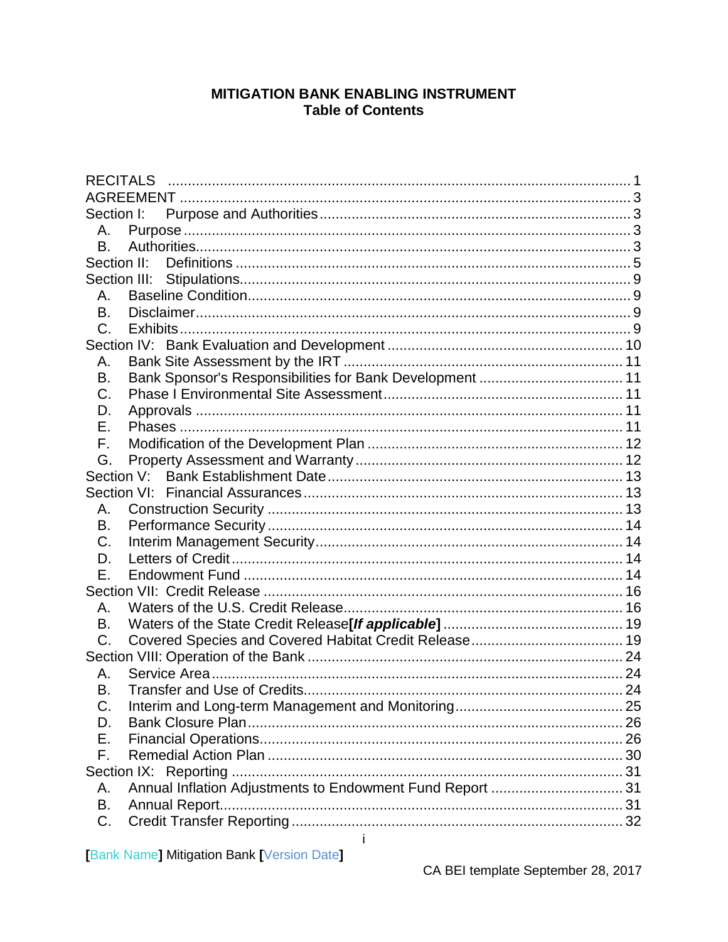## **MITIGATION BANK ENABLING INSTRUMENT Table of Contents**

| Section I:<br>А.<br>Β.<br>Section II:<br>Section III:<br>А.<br>B.<br>C.<br>Α.<br>Bank Sponsor's Responsibilities for Bank Development  11<br>В.<br>C.<br>D.<br>Е.<br>F.<br>G.<br>Section V:<br>А.<br>В.<br>C.<br>D.<br>Ε.<br>Α.<br>В.<br>C.<br>А.<br>В.<br>C.<br>D.<br>Е.<br>F.<br>Annual Inflation Adjustments to Endowment Fund Report  31<br>А.<br>В.<br>C. | <b>RECITALS</b> |              |  |
|----------------------------------------------------------------------------------------------------------------------------------------------------------------------------------------------------------------------------------------------------------------------------------------------------------------------------------------------------------------|-----------------|--------------|--|
|                                                                                                                                                                                                                                                                                                                                                                |                 |              |  |
|                                                                                                                                                                                                                                                                                                                                                                |                 |              |  |
|                                                                                                                                                                                                                                                                                                                                                                |                 |              |  |
|                                                                                                                                                                                                                                                                                                                                                                |                 |              |  |
|                                                                                                                                                                                                                                                                                                                                                                |                 |              |  |
|                                                                                                                                                                                                                                                                                                                                                                |                 |              |  |
|                                                                                                                                                                                                                                                                                                                                                                |                 |              |  |
|                                                                                                                                                                                                                                                                                                                                                                |                 |              |  |
|                                                                                                                                                                                                                                                                                                                                                                |                 |              |  |
|                                                                                                                                                                                                                                                                                                                                                                |                 |              |  |
|                                                                                                                                                                                                                                                                                                                                                                |                 |              |  |
|                                                                                                                                                                                                                                                                                                                                                                |                 |              |  |
|                                                                                                                                                                                                                                                                                                                                                                |                 |              |  |
|                                                                                                                                                                                                                                                                                                                                                                |                 |              |  |
|                                                                                                                                                                                                                                                                                                                                                                |                 |              |  |
|                                                                                                                                                                                                                                                                                                                                                                |                 |              |  |
|                                                                                                                                                                                                                                                                                                                                                                |                 |              |  |
|                                                                                                                                                                                                                                                                                                                                                                |                 |              |  |
|                                                                                                                                                                                                                                                                                                                                                                |                 |              |  |
|                                                                                                                                                                                                                                                                                                                                                                |                 |              |  |
|                                                                                                                                                                                                                                                                                                                                                                |                 |              |  |
|                                                                                                                                                                                                                                                                                                                                                                |                 |              |  |
|                                                                                                                                                                                                                                                                                                                                                                |                 |              |  |
|                                                                                                                                                                                                                                                                                                                                                                |                 |              |  |
|                                                                                                                                                                                                                                                                                                                                                                |                 |              |  |
|                                                                                                                                                                                                                                                                                                                                                                |                 |              |  |
|                                                                                                                                                                                                                                                                                                                                                                |                 |              |  |
|                                                                                                                                                                                                                                                                                                                                                                |                 |              |  |
|                                                                                                                                                                                                                                                                                                                                                                |                 |              |  |
|                                                                                                                                                                                                                                                                                                                                                                |                 |              |  |
|                                                                                                                                                                                                                                                                                                                                                                |                 |              |  |
|                                                                                                                                                                                                                                                                                                                                                                |                 |              |  |
|                                                                                                                                                                                                                                                                                                                                                                |                 |              |  |
|                                                                                                                                                                                                                                                                                                                                                                |                 |              |  |
|                                                                                                                                                                                                                                                                                                                                                                |                 |              |  |
|                                                                                                                                                                                                                                                                                                                                                                |                 |              |  |
|                                                                                                                                                                                                                                                                                                                                                                |                 |              |  |
|                                                                                                                                                                                                                                                                                                                                                                |                 |              |  |
|                                                                                                                                                                                                                                                                                                                                                                |                 |              |  |
|                                                                                                                                                                                                                                                                                                                                                                |                 | $\mathbf{i}$ |  |

**Bank Name] Mitigation Bank [Version Date]**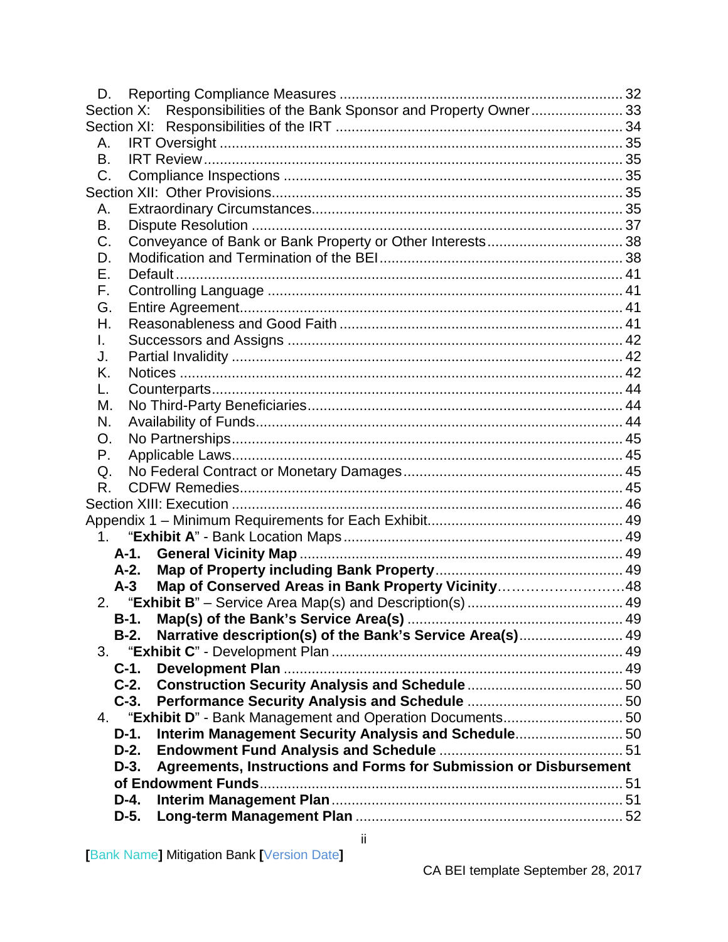| D.             |                                                                   |  |
|----------------|-------------------------------------------------------------------|--|
| Section X:     | Responsibilities of the Bank Sponsor and Property Owner 33        |  |
|                |                                                                   |  |
| Α.             |                                                                   |  |
| В.             |                                                                   |  |
| C.             |                                                                   |  |
|                |                                                                   |  |
| Α.             |                                                                   |  |
| Β.             |                                                                   |  |
| C.             |                                                                   |  |
| D.             |                                                                   |  |
| Е.             |                                                                   |  |
| F.             |                                                                   |  |
| G.             |                                                                   |  |
| Н.             |                                                                   |  |
| L.             |                                                                   |  |
| J.             |                                                                   |  |
| Κ.             |                                                                   |  |
| L.             |                                                                   |  |
| М.             |                                                                   |  |
| N.             |                                                                   |  |
| O.             |                                                                   |  |
| Р.             |                                                                   |  |
| Q.             |                                                                   |  |
| R.             |                                                                   |  |
|                |                                                                   |  |
|                |                                                                   |  |
| 1 <sup>1</sup> |                                                                   |  |
| A-1.           |                                                                   |  |
| A-2.           |                                                                   |  |
| $A-3$          | Map of Conserved Areas in Bank Property Vicinity48                |  |
|                |                                                                   |  |
| B-1.           |                                                                   |  |
| B-2.           | Narrative description(s) of the Bank's Service Area(s) 49         |  |
| 3.             |                                                                   |  |
| $C-1$ .        |                                                                   |  |
| $C-2.$         |                                                                   |  |
| $C-3.$         |                                                                   |  |
| 4.             |                                                                   |  |
| $D-1.$         | Interim Management Security Analysis and Schedule 50              |  |
| $D-2.$         |                                                                   |  |
| $D-3.$         | Agreements, Instructions and Forms for Submission or Disbursement |  |
|                |                                                                   |  |
| D-4.           |                                                                   |  |
| D-5.           |                                                                   |  |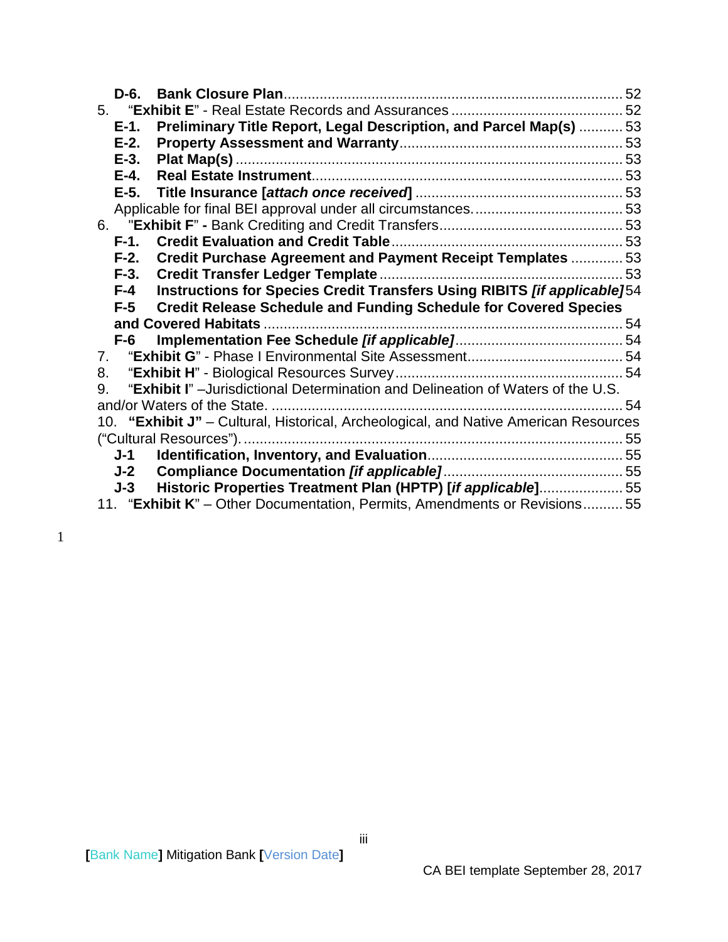| D-6.                           |                                                                                                                                           |  |
|--------------------------------|-------------------------------------------------------------------------------------------------------------------------------------------|--|
|                                |                                                                                                                                           |  |
| $E-1$ .                        | Preliminary Title Report, Legal Description, and Parcel Map(s)  53                                                                        |  |
| $E-2$ .                        |                                                                                                                                           |  |
| $E-3.$                         |                                                                                                                                           |  |
| $E-4.$                         |                                                                                                                                           |  |
| $E-5.$                         |                                                                                                                                           |  |
|                                |                                                                                                                                           |  |
|                                |                                                                                                                                           |  |
| $F-1.$                         |                                                                                                                                           |  |
| $F-2.$                         | Credit Purchase Agreement and Payment Receipt Templates  53                                                                               |  |
| $F-3.$                         |                                                                                                                                           |  |
| F-4                            | Instructions for Species Credit Transfers Using RIBITS [if applicable]54                                                                  |  |
|                                |                                                                                                                                           |  |
| $F-5$                          | <b>Credit Release Schedule and Funding Schedule for Covered Species</b>                                                                   |  |
|                                |                                                                                                                                           |  |
| $F-6$                          |                                                                                                                                           |  |
| $7_{\scriptscriptstyle{\sim}}$ |                                                                                                                                           |  |
| 8.                             |                                                                                                                                           |  |
| 9.                             | "Exhibit I" - Jurisdictional Determination and Delineation of Waters of the U.S.                                                          |  |
|                                |                                                                                                                                           |  |
|                                | 10. "Exhibit J" - Cultural, Historical, Archeological, and Native American Resources                                                      |  |
|                                |                                                                                                                                           |  |
| J-1                            |                                                                                                                                           |  |
| J-2                            |                                                                                                                                           |  |
| J-3                            | Historic Properties Treatment Plan (HPTP) [if applicable]55<br>11. "Exhibit K" – Other Documentation, Permits, Amendments or Revisions 55 |  |

1

iii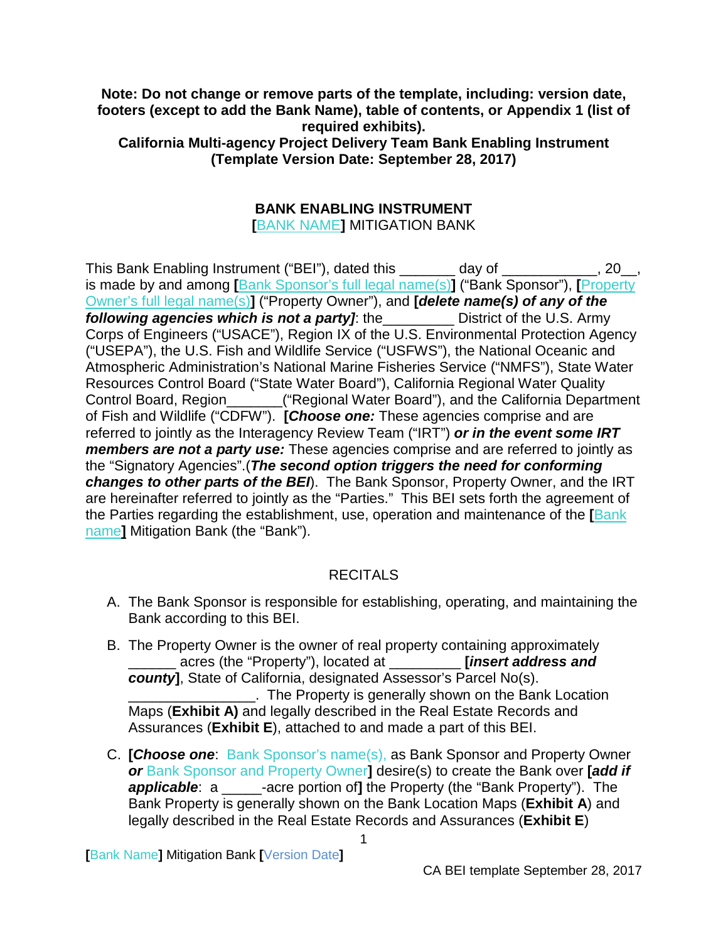**Note: Do not change or remove parts of the template, including: version date, footers (except to add the Bank Name), table of contents, or Appendix 1 (list of required exhibits). California Multi-agency Project Delivery Team Bank Enabling Instrument (Template Version Date: September 28, 2017)**

## **BANK ENABLING INSTRUMENT**

**[**BANK NAME**]** MITIGATION BANK

This Bank Enabling Instrument ("BEI"), dated this \_\_\_\_\_\_\_ day of \_\_\_\_\_\_\_\_\_\_\_, 20\_, is made by and among **[**Bank Sponsor's full legal name(s)**]** ("Bank Sponsor"), **[**Property Owner's full legal name(s)**]** ("Property Owner"), and **[***delete name(s) of any of the following agencies which is not a party]*: the\_\_\_\_\_\_\_\_\_ District of the U.S. Army Corps of Engineers ("USACE"), Region IX of the U.S. Environmental Protection Agency ("USEPA"), the U.S. Fish and Wildlife Service ("USFWS"), the National Oceanic and Atmospheric Administration's National Marine Fisheries Service ("NMFS"), State Water Resources Control Board ("State Water Board"), California Regional Water Quality Control Board, Region\_\_\_\_\_\_\_("Regional Water Board"), and the California Department of Fish and Wildlife ("CDFW"). **[***Choose one:* These agencies comprise and are referred to jointly as the Interagency Review Team ("IRT") *or in the event some IRT members are not a party use:* These agencies comprise and are referred to jointly as the "Signatory Agencies".(*The second option triggers the need for conforming changes to other parts of the BEI*). The Bank Sponsor, Property Owner, and the IRT are hereinafter referred to jointly as the "Parties." This BEI sets forth the agreement of the Parties regarding the establishment, use, operation and maintenance of the **[**Bank name**]** Mitigation Bank (the "Bank").

## **RECITALS**

- <span id="page-3-0"></span>A. The Bank Sponsor is responsible for establishing, operating, and maintaining the Bank according to this BEI.
- B. The Property Owner is the owner of real property containing approximately \_\_\_\_\_\_ acres (the "Property"), located at \_\_\_\_\_\_\_\_\_ **[***insert address and county***]**, State of California, designated Assessor's Parcel No(s). . The Property is generally shown on the Bank Location Maps (**Exhibit A)** and legally described in the Real Estate Records and Assurances (**Exhibit E**), attached to and made a part of this BEI.
- C. **[***Choose one*: Bank Sponsor's name(s), as Bank Sponsor and Property Owner *or* Bank Sponsor and Property Owner**]** desire(s) to create the Bank over **[***add if applicable*: a \_\_\_\_\_-acre portion of**]** the Property (the "Bank Property"). The Bank Property is generally shown on the Bank Location Maps (**Exhibit A**) and legally described in the Real Estate Records and Assurances (**Exhibit E**)

1

**[**Bank Name**]** Mitigation Bank **[**Version Date**]**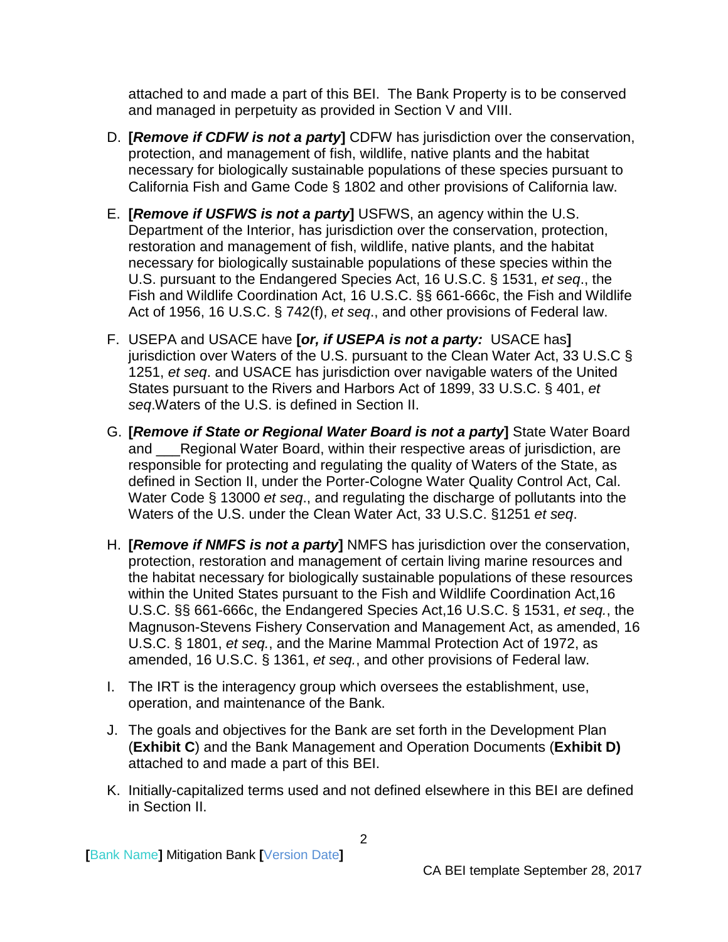attached to and made a part of this BEI. The Bank Property is to be conserved and managed in perpetuity as provided in Section V and VIII.

- D. **[***Remove if CDFW is not a party***]** CDFW has jurisdiction over the conservation, protection, and management of fish, wildlife, native plants and the habitat necessary for biologically sustainable populations of these species pursuant to California Fish and Game Code § 1802 and other provisions of California law.
- E. **[***Remove if USFWS is not a party***]** USFWS, an agency within the U.S. Department of the Interior, has jurisdiction over the conservation, protection, restoration and management of fish, wildlife, native plants, and the habitat necessary for biologically sustainable populations of these species within the U.S. pursuant to the Endangered Species Act, 16 U.S.C. § 1531, *et seq*., the Fish and Wildlife Coordination Act, 16 U.S.C. §§ 661-666c, the Fish and Wildlife Act of 1956, 16 U.S.C. § 742(f), *et seq*., and other provisions of Federal law.
- F. USEPA and USACE have **[***or, if USEPA is not a party:* USACE has**]** jurisdiction over Waters of the U.S. pursuant to the Clean Water Act, 33 U.S.C § 1251, *et seq*. and USACE has jurisdiction over navigable waters of the United States pursuant to the Rivers and Harbors Act of 1899, 33 U.S.C. § 401, *et seq*.Waters of the U.S. is defined in Section II.
- G. **[***Remove if State or Regional Water Board is not a party***]** State Water Board and Regional Water Board, within their respective areas of jurisdiction, are responsible for protecting and regulating the quality of Waters of the State, as defined in Section II, under the Porter-Cologne Water Quality Control Act, Cal. Water Code § 13000 *et seq*., and regulating the discharge of pollutants into the Waters of the U.S. under the Clean Water Act, 33 U.S.C. §1251 *et seq*.
- H. **[***Remove if NMFS is not a party***]** NMFS has jurisdiction over the conservation, protection, restoration and management of certain living marine resources and the habitat necessary for biologically sustainable populations of these resources within the United States pursuant to the Fish and Wildlife Coordination Act,16 U.S.C. §§ 661-666c, the Endangered Species Act,16 U.S.C. § 1531, *et seq.*, the Magnuson-Stevens Fishery Conservation and Management Act, as amended, 16 U.S.C. § 1801, *et seq.*, and the Marine Mammal Protection Act of 1972, as amended, 16 U.S.C. § 1361, *et seq.*, and other provisions of Federal law.
- I. The IRT is the interagency group which oversees the establishment, use, operation, and maintenance of the Bank.
- J. The goals and objectives for the Bank are set forth in the Development Plan (**Exhibit C**) and the Bank Management and Operation Documents (**Exhibit D)** attached to and made a part of this BEI.
- K. Initially-capitalized terms used and not defined elsewhere in this BEI are defined in Section II.

**[**Bank Name**]** Mitigation Bank **[**Version Date**]**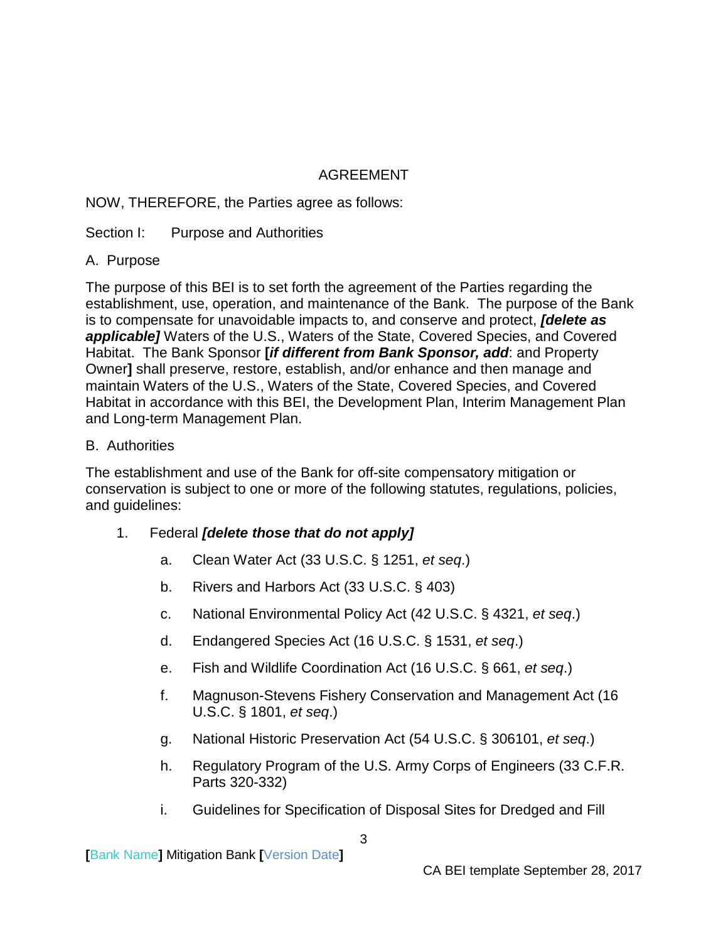## AGREEMENT

### <span id="page-5-0"></span>NOW, THEREFORE, the Parties agree as follows:

### <span id="page-5-1"></span>Section I: Purpose and Authorities

### <span id="page-5-2"></span>A. Purpose

The purpose of this BEI is to set forth the agreement of the Parties regarding the establishment, use, operation, and maintenance of the Bank. The purpose of the Bank is to compensate for unavoidable impacts to, and conserve and protect, *[delete as applicable]* Waters of the U.S., Waters of the State, Covered Species, and Covered Habitat. The Bank Sponsor **[***if different from Bank Sponsor, add*: and Property Owner**]** shall preserve, restore, establish, and/or enhance and then manage and maintain Waters of the U.S., Waters of the State, Covered Species, and Covered Habitat in accordance with this BEI, the Development Plan, Interim Management Plan and Long-term Management Plan.

#### <span id="page-5-3"></span>B. Authorities

The establishment and use of the Bank for off-site compensatory mitigation or conservation is subject to one or more of the following statutes, regulations, policies, and guidelines:

- 1. Federal *[delete those that do not apply]*
	- a. Clean Water Act (33 U.S.C. § 1251, *et seq*.)
	- b. Rivers and Harbors Act (33 U.S.C. § 403)
	- c. National Environmental Policy Act (42 U.S.C. § 4321, *et seq*.)
	- d. Endangered Species Act (16 U.S.C. § 1531, *et seq*.)
	- e. Fish and Wildlife Coordination Act (16 U.S.C. § 661, *et seq*.)
	- f. Magnuson-Stevens Fishery Conservation and Management Act (16 U.S.C. § 1801, *et seq*.)
	- g. National Historic Preservation Act (54 U.S.C. § 306101, *et seq*.)
	- h. Regulatory Program of the U.S. Army Corps of Engineers (33 C.F.R. Parts 320-332)
	- i. Guidelines for Specification of Disposal Sites for Dredged and Fill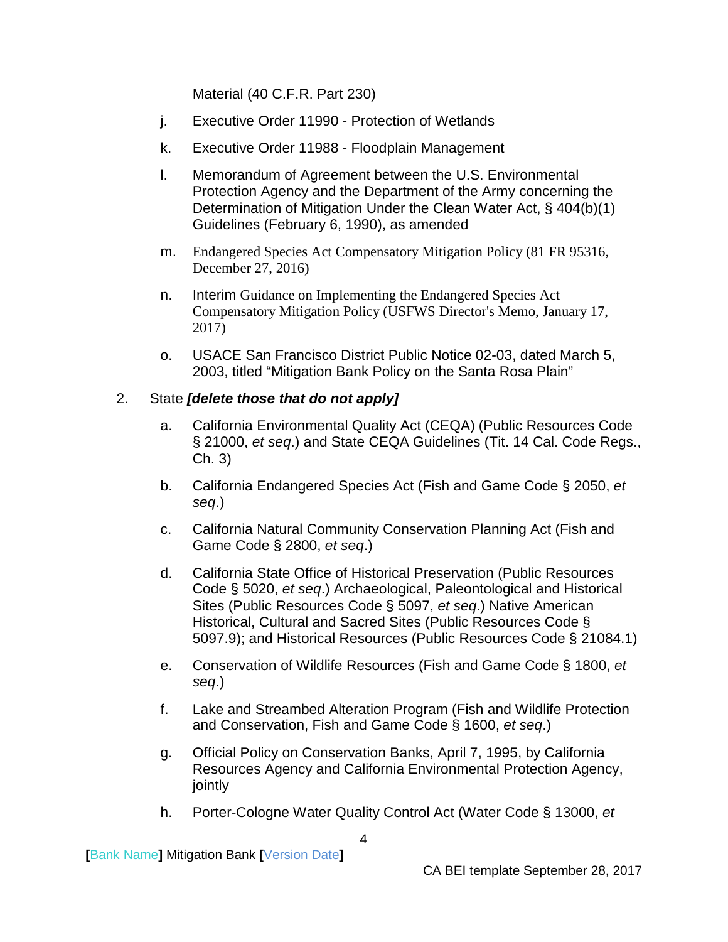Material (40 C.F.R. Part 230)

- j. Executive Order 11990 Protection of Wetlands
- k. Executive Order 11988 Floodplain Management
- l. Memorandum of Agreement between the U.S. Environmental Protection Agency and the Department of the Army concerning the Determination of Mitigation Under the Clean Water Act, § 404(b)(1) Guidelines (February 6, 1990), as amended
- m. Endangered Species Act Compensatory Mitigation Policy (81 FR 95316, December 27, 2016)
- n. Interim Guidance on Implementing the Endangered Species Act Compensatory Mitigation Policy (USFWS Director's Memo, January 17, 2017)
- o. USACE San Francisco District Public Notice 02-03, dated March 5, 2003, titled "Mitigation Bank Policy on the Santa Rosa Plain"

### 2. State *[delete those that do not apply]*

- a. California Environmental Quality Act (CEQA) (Public Resources Code § 21000, *et seq*.) and State CEQA Guidelines (Tit. 14 Cal. Code Regs., Ch. 3)
- b. California Endangered Species Act (Fish and Game Code § 2050, *et seq*.)
- c. California Natural Community Conservation Planning Act (Fish and Game Code § 2800, *et seq*.)
- d. California State Office of Historical Preservation (Public Resources Code § 5020, *et seq*.) Archaeological, Paleontological and Historical Sites (Public Resources Code § 5097, *et seq*.) Native American Historical, Cultural and Sacred Sites (Public Resources Code § 5097.9); and Historical Resources (Public Resources Code § 21084.1)
- e. Conservation of Wildlife Resources (Fish and Game Code § 1800, *et seq*.)
- f. Lake and Streambed Alteration Program (Fish and Wildlife Protection and Conservation, Fish and Game Code § 1600, *et seq*.)
- g. Official Policy on Conservation Banks, April 7, 1995, by California Resources Agency and California Environmental Protection Agency, jointly
- h. Porter-Cologne Water Quality Control Act (Water Code § 13000, *et*

**[**Bank Name**]** Mitigation Bank **[**Version Date**]**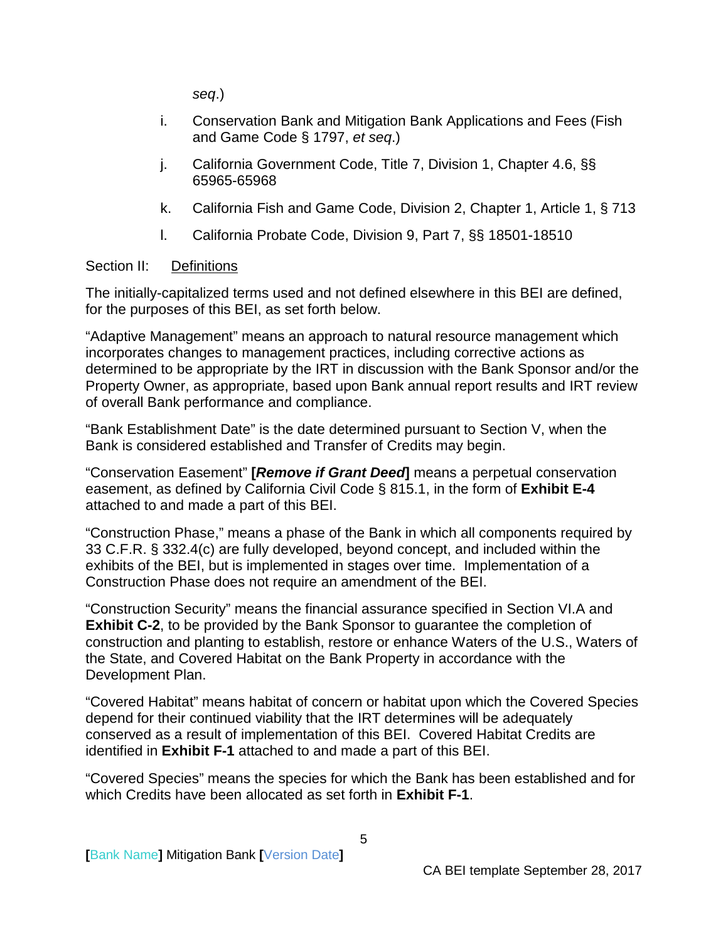*seq*.)

- i. Conservation Bank and Mitigation Bank Applications and Fees (Fish and Game Code § 1797, *et seq*.)
- j. California Government Code, Title 7, Division 1, Chapter 4.6, §§ 65965-65968
- k. California Fish and Game Code, Division 2, Chapter 1, Article 1, § 713
- l. California Probate Code, Division 9, Part 7, §§ 18501-18510

#### <span id="page-7-0"></span>Section II: Definitions

The initially-capitalized terms used and not defined elsewhere in this BEI are defined, for the purposes of this BEI, as set forth below.

"Adaptive Management" means an approach to natural resource management which incorporates changes to management practices, including corrective actions as determined to be appropriate by the IRT in discussion with the Bank Sponsor and/or the Property Owner, as appropriate, based upon Bank annual report results and IRT review of overall Bank performance and compliance.

"Bank Establishment Date" is the date determined pursuant to Section V, when the Bank is considered established and Transfer of Credits may begin.

"Conservation Easement" **[***Remove if Grant Deed***]** means a perpetual conservation easement, as defined by California Civil Code § 815.1, in the form of **Exhibit E-4** attached to and made a part of this BEI.

"Construction Phase," means a phase of the Bank in which all components required by 33 C.F.R. § 332.4(c) are fully developed, beyond concept, and included within the exhibits of the BEI, but is implemented in stages over time. Implementation of a Construction Phase does not require an amendment of the BEI.

"Construction Security" means the financial assurance specified in Section VI.A and **Exhibit C-2**, to be provided by the Bank Sponsor to guarantee the completion of construction and planting to establish, restore or enhance Waters of the U.S., Waters of the State, and Covered Habitat on the Bank Property in accordance with the Development Plan.

"Covered Habitat" means habitat of concern or habitat upon which the Covered Species depend for their continued viability that the IRT determines will be adequately conserved as a result of implementation of this BEI. Covered Habitat Credits are identified in **Exhibit F-1** attached to and made a part of this BEI.

"Covered Species" means the species for which the Bank has been established and for which Credits have been allocated as set forth in **Exhibit F-1**.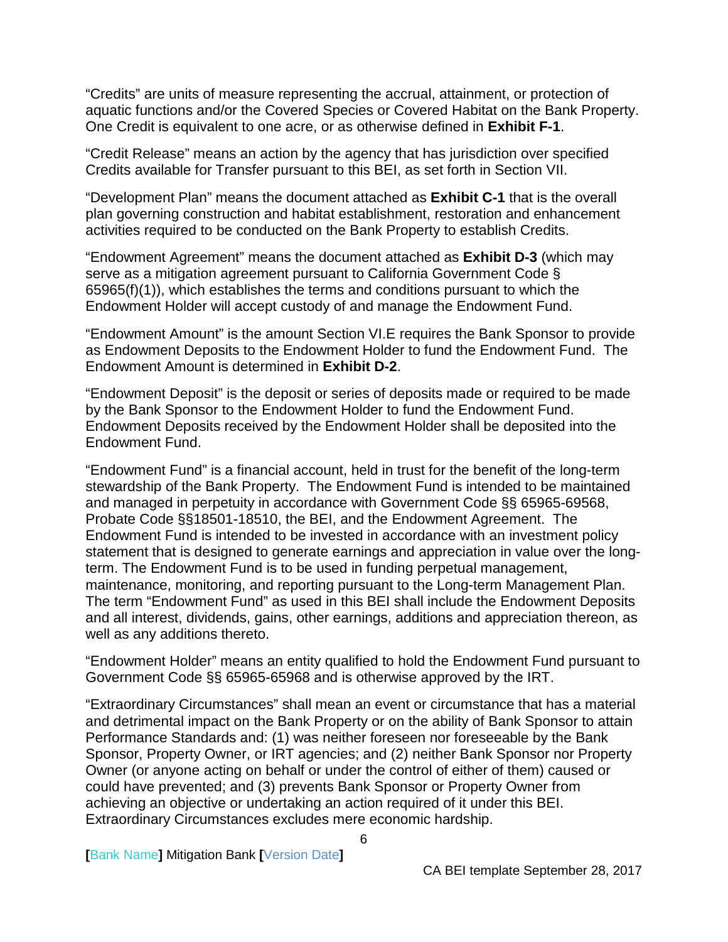"Credits" are units of measure representing the accrual, attainment, or protection of aquatic functions and/or the Covered Species or Covered Habitat on the Bank Property. One Credit is equivalent to one acre, or as otherwise defined in **Exhibit F-1**.

"Credit Release" means an action by the agency that has jurisdiction over specified Credits available for Transfer pursuant to this BEI, as set forth in Section VII.

"Development Plan" means the document attached as **Exhibit C-1** that is the overall plan governing construction and habitat establishment, restoration and enhancement activities required to be conducted on the Bank Property to establish Credits.

"Endowment Agreement" means the document attached as **Exhibit D-3** (which may serve as a mitigation agreement pursuant to California Government Code § 65965(f)(1)), which establishes the terms and conditions pursuant to which the Endowment Holder will accept custody of and manage the Endowment Fund.

"Endowment Amount" is the amount Section VI.E requires the Bank Sponsor to provide as Endowment Deposits to the Endowment Holder to fund the Endowment Fund. The Endowment Amount is determined in **Exhibit D-2**.

"Endowment Deposit" is the deposit or series of deposits made or required to be made by the Bank Sponsor to the Endowment Holder to fund the Endowment Fund. Endowment Deposits received by the Endowment Holder shall be deposited into the Endowment Fund.

"Endowment Fund" is a financial account, held in trust for the benefit of the long-term stewardship of the Bank Property. The Endowment Fund is intended to be maintained and managed in perpetuity in accordance with Government Code §§ 65965-69568, Probate Code §§18501-18510, the BEI, and the Endowment Agreement. The Endowment Fund is intended to be invested in accordance with an investment policy statement that is designed to generate earnings and appreciation in value over the longterm. The Endowment Fund is to be used in funding perpetual management, maintenance, monitoring, and reporting pursuant to the Long-term Management Plan. The term "Endowment Fund" as used in this BEI shall include the Endowment Deposits and all interest, dividends, gains, other earnings, additions and appreciation thereon, as well as any additions thereto.

"Endowment Holder" means an entity qualified to hold the Endowment Fund pursuant to Government Code §§ 65965-65968 and is otherwise approved by the IRT.

"Extraordinary Circumstances" shall mean an event or circumstance that has a material and detrimental impact on the Bank Property or on the ability of Bank Sponsor to attain Performance Standards and: (1) was neither foreseen nor foreseeable by the Bank Sponsor, Property Owner, or IRT agencies; and (2) neither Bank Sponsor nor Property Owner (or anyone acting on behalf or under the control of either of them) caused or could have prevented; and (3) prevents Bank Sponsor or Property Owner from achieving an objective or undertaking an action required of it under this BEI. Extraordinary Circumstances excludes mere economic hardship.

**[**Bank Name**]** Mitigation Bank **[**Version Date**]**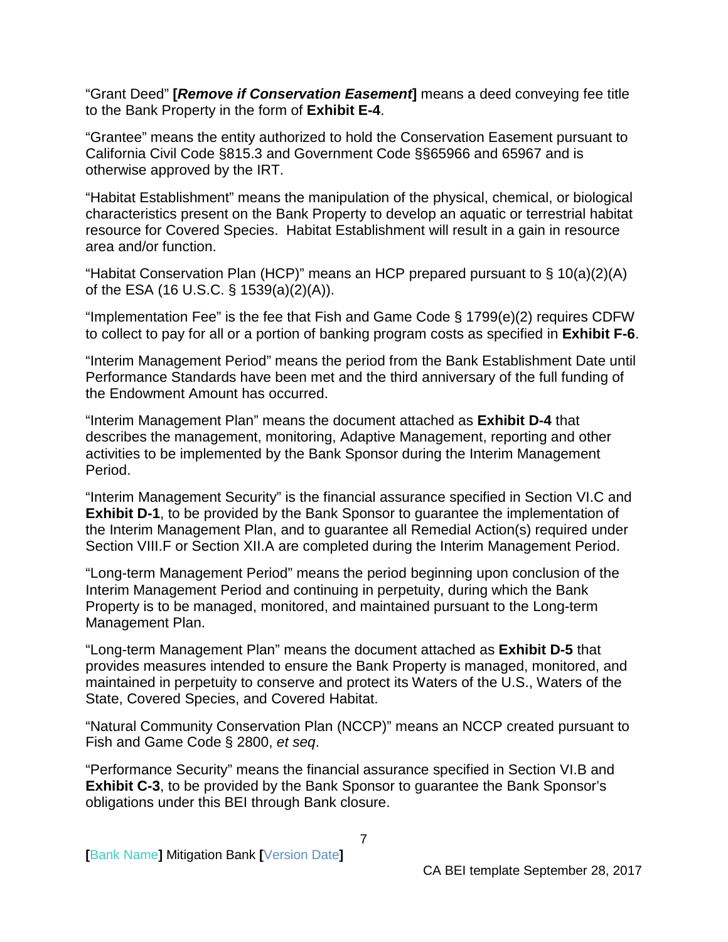"Grant Deed" **[***Remove if Conservation Easement***]** means a deed conveying fee title to the Bank Property in the form of **Exhibit E-4**.

"Grantee" means the entity authorized to hold the Conservation Easement pursuant to California Civil Code §815.3 and Government Code §§65966 and 65967 and is otherwise approved by the IRT.

"Habitat Establishment" means the manipulation of the physical, chemical, or biological characteristics present on the Bank Property to develop an aquatic or terrestrial habitat resource for Covered Species. Habitat Establishment will result in a gain in resource area and/or function.

"Habitat Conservation Plan (HCP)" means an HCP prepared pursuant to § 10(a)(2)(A) of the ESA (16 U.S.C. § 1539(a)(2)(A)).

"Implementation Fee" is the fee that Fish and Game Code § 1799(e)(2) requires CDFW to collect to pay for all or a portion of banking program costs as specified in **Exhibit F-6**.

"Interim Management Period" means the period from the Bank Establishment Date until Performance Standards have been met and the third anniversary of the full funding of the Endowment Amount has occurred.

"Interim Management Plan" means the document attached as **Exhibit D-4** that describes the management, monitoring, Adaptive Management, reporting and other activities to be implemented by the Bank Sponsor during the Interim Management Period.

"Interim Management Security" is the financial assurance specified in Section VI.C and **Exhibit D-1**, to be provided by the Bank Sponsor to guarantee the implementation of the Interim Management Plan, and to guarantee all Remedial Action(s) required under Section VIII.F or Section XII.A are completed during the Interim Management Period.

"Long-term Management Period" means the period beginning upon conclusion of the Interim Management Period and continuing in perpetuity, during which the Bank Property is to be managed, monitored, and maintained pursuant to the Long-term Management Plan.

"Long-term Management Plan" means the document attached as **Exhibit D-5** that provides measures intended to ensure the Bank Property is managed, monitored, and maintained in perpetuity to conserve and protect its Waters of the U.S., Waters of the State, Covered Species, and Covered Habitat.

"Natural Community Conservation Plan (NCCP)" means an NCCP created pursuant to Fish and Game Code § 2800, *et seq*.

"Performance Security" means the financial assurance specified in Section VI.B and **Exhibit C-3**, to be provided by the Bank Sponsor to guarantee the Bank Sponsor's obligations under this BEI through Bank closure.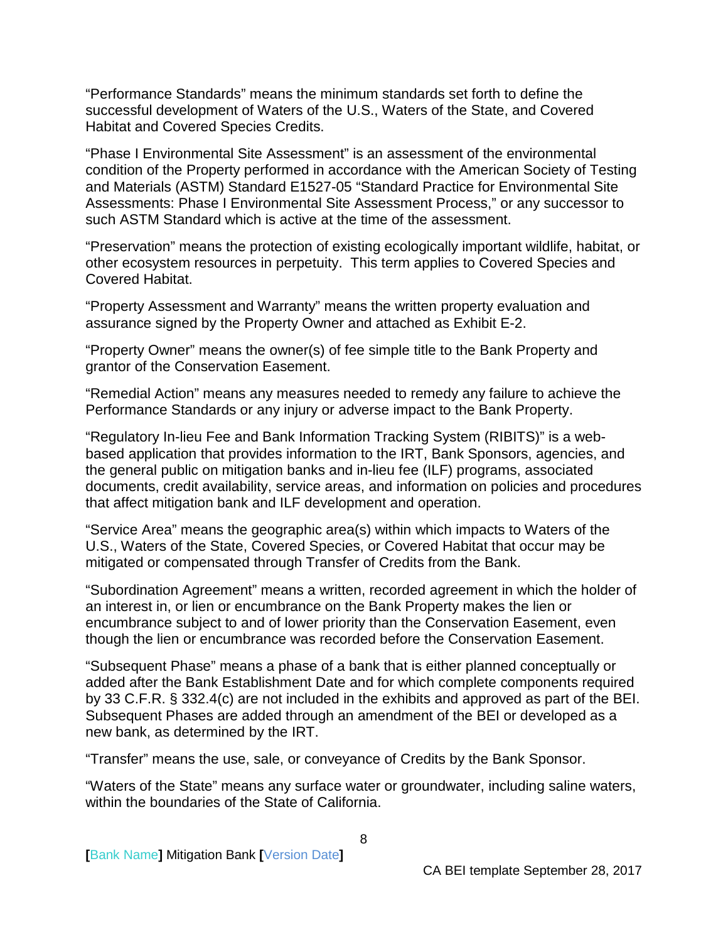"Performance Standards" means the minimum standards set forth to define the successful development of Waters of the U.S., Waters of the State, and Covered Habitat and Covered Species Credits.

"Phase I Environmental Site Assessment" is an assessment of the environmental condition of the Property performed in accordance with the American Society of Testing and Materials (ASTM) Standard E1527-05 "Standard Practice for Environmental Site Assessments: Phase I Environmental Site Assessment Process," or any successor to such ASTM Standard which is active at the time of the assessment.

"Preservation" means the protection of existing ecologically important wildlife, habitat, or other ecosystem resources in perpetuity. This term applies to Covered Species and Covered Habitat.

"Property Assessment and Warranty" means the written property evaluation and assurance signed by the Property Owner and attached as Exhibit E-2.

"Property Owner" means the owner(s) of fee simple title to the Bank Property and grantor of the Conservation Easement.

"Remedial Action" means any measures needed to remedy any failure to achieve the Performance Standards or any injury or adverse impact to the Bank Property.

"Regulatory In-lieu Fee and Bank Information Tracking System (RIBITS)" is a webbased application that provides information to the IRT, Bank Sponsors, agencies, and the general public on mitigation banks and in-lieu fee (ILF) programs, associated documents, credit availability, service areas, and information on policies and procedures that affect mitigation bank and ILF development and operation.

"Service Area" means the geographic area(s) within which impacts to Waters of the U.S., Waters of the State, Covered Species, or Covered Habitat that occur may be mitigated or compensated through Transfer of Credits from the Bank.

"Subordination Agreement" means a written, recorded agreement in which the holder of an interest in, or lien or encumbrance on the Bank Property makes the lien or encumbrance subject to and of lower priority than the Conservation Easement, even though the lien or encumbrance was recorded before the Conservation Easement.

"Subsequent Phase" means a phase of a bank that is either planned conceptually or added after the Bank Establishment Date and for which complete components required by 33 C.F.R. § 332.4(c) are not included in the exhibits and approved as part of the BEI. Subsequent Phases are added through an amendment of the BEI or developed as a new bank, as determined by the IRT.

"Transfer" means the use, sale, or conveyance of Credits by the Bank Sponsor.

"Waters of the State" means any surface water or groundwater, including saline waters, within the boundaries of the State of California.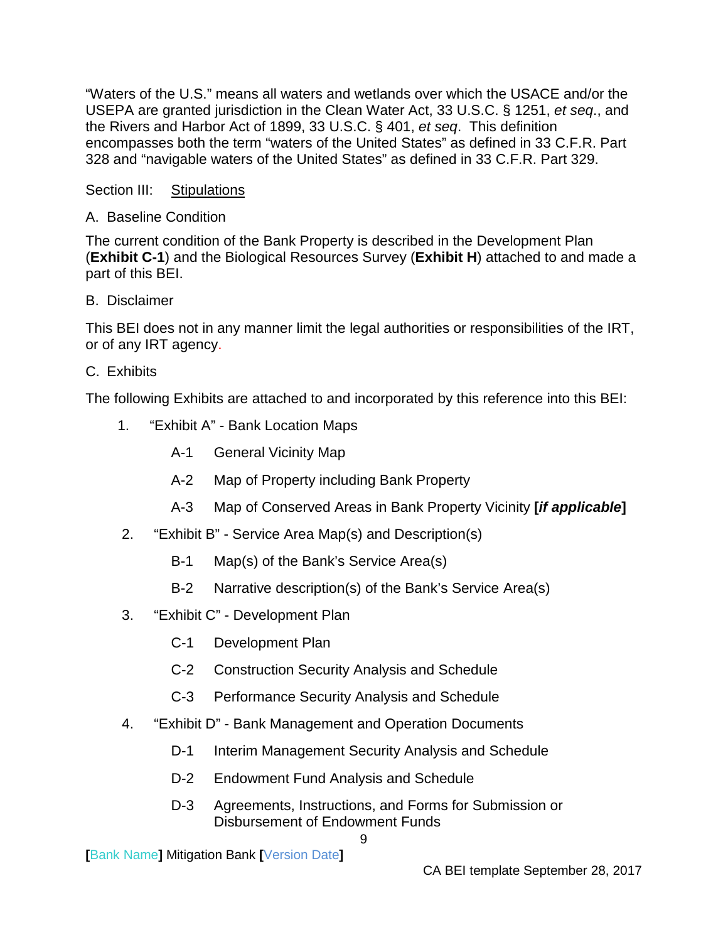"Waters of the U.S." means all waters and wetlands over which the USACE and/or the USEPA are granted jurisdiction in the Clean Water Act, 33 [U.S.C.](http://en.wikipedia.org/wiki/United_States_Code) § [1251,](http://www.law.cornell.edu/uscode/33/1251.html) *et seq*., and the Rivers and Harbor Act of 1899, 33 U.S.C. § 401, *et seq*. This definition encompasses both the term "waters of the United States" as defined in 33 C.F.R. Part 328 and "navigable waters of the United States" as defined in 33 C.F.R. Part 329.

<span id="page-11-0"></span>Section III: Stipulations

## <span id="page-11-1"></span>A. Baseline Condition

The current condition of the Bank Property is described in the Development Plan (**Exhibit C-1**) and the Biological Resources Survey (**Exhibit H**) attached to and made a part of this BEI.

<span id="page-11-2"></span>B. Disclaimer

This BEI does not in any manner limit the legal authorities or responsibilities of the IRT, or of any IRT agency.

## <span id="page-11-3"></span>C. Exhibits

The following Exhibits are attached to and incorporated by this reference into this BEI:

- 1. "Exhibit A" Bank Location Maps
	- A-1 General Vicinity Map
	- A-2 Map of Property including Bank Property
	- A-3 Map of Conserved Areas in Bank Property Vicinity **[***if applicable***]**
- 2. "Exhibit B" Service Area Map(s) and Description(s)
	- B-1 Map(s) of the Bank's Service Area(s)
	- B-2 Narrative description(s) of the Bank's Service Area(s)
- 3. "Exhibit C" Development Plan
	- C-1 Development Plan
	- C-2 Construction Security Analysis and Schedule
	- C-3 Performance Security Analysis and Schedule
- 4. "Exhibit D" Bank Management and Operation Documents
	- D-1 Interim Management Security Analysis and Schedule
	- D-2 Endowment Fund Analysis and Schedule
	- D-3 Agreements, Instructions, and Forms for Submission or Disbursement of Endowment Funds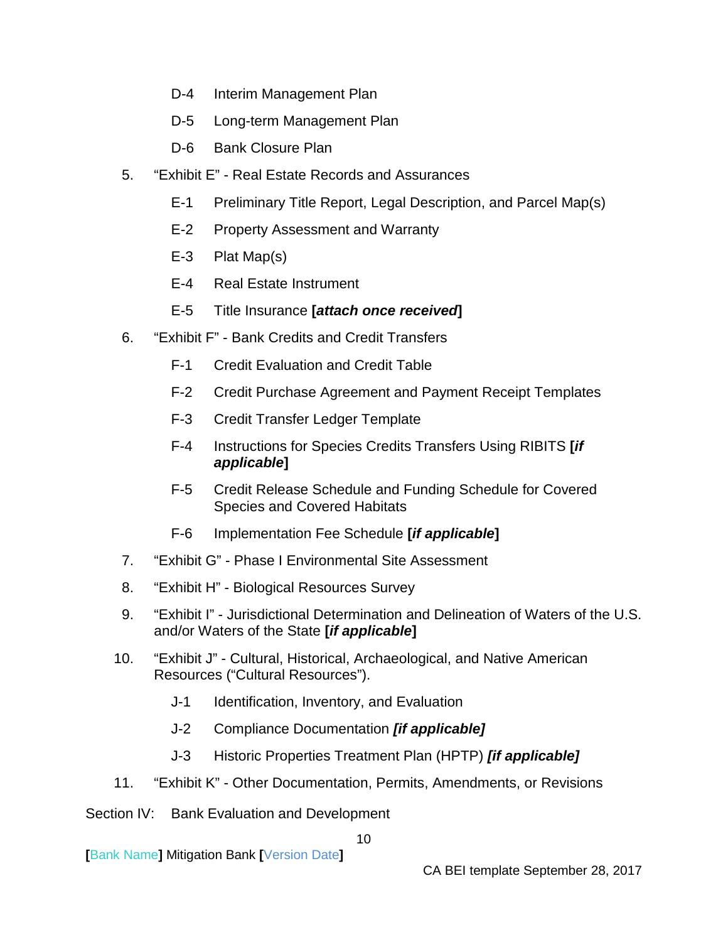- D-4 Interim Management Plan
- D-5 Long-term Management Plan
- D-6 Bank Closure Plan
- 5. "Exhibit E" Real Estate Records and Assurances
	- E-1 Preliminary Title Report, Legal Description, and Parcel Map(s)
	- E-2 Property Assessment and Warranty
	- E-3 Plat Map(s)
	- E-4 Real Estate Instrument
	- E-5 Title Insurance **[***attach once received***]**
- 6. "Exhibit F" Bank Credits and Credit Transfers
	- F-1 Credit Evaluation and Credit Table
	- F-2 Credit Purchase Agreement and Payment Receipt Templates
	- F-3 Credit Transfer Ledger Template
	- F-4 Instructions for Species Credits Transfers Using RIBITS **[***if applicable***]**
	- F-5 Credit Release Schedule and Funding Schedule for Covered Species and Covered Habitats
	- F-6 Implementation Fee Schedule **[***if applicable***]**
- 7. "Exhibit G" Phase I Environmental Site Assessment
- 8. "Exhibit H" Biological Resources Survey
- 9. "Exhibit I" Jurisdictional Determination and Delineation of Waters of the U.S. and/or Waters of the State **[***if applicable***]**
- 10. "Exhibit J" Cultural, Historical, Archaeological, and Native American Resources ("Cultural Resources").
	- J-1 Identification, Inventory, and Evaluation
	- J-2 Compliance Documentation *[if applicable]*
	- J-3 Historic Properties Treatment Plan (HPTP) *[if applicable]*
- 11. "Exhibit K" Other Documentation, Permits, Amendments, or Revisions

## <span id="page-12-0"></span>Section IV: Bank Evaluation and Development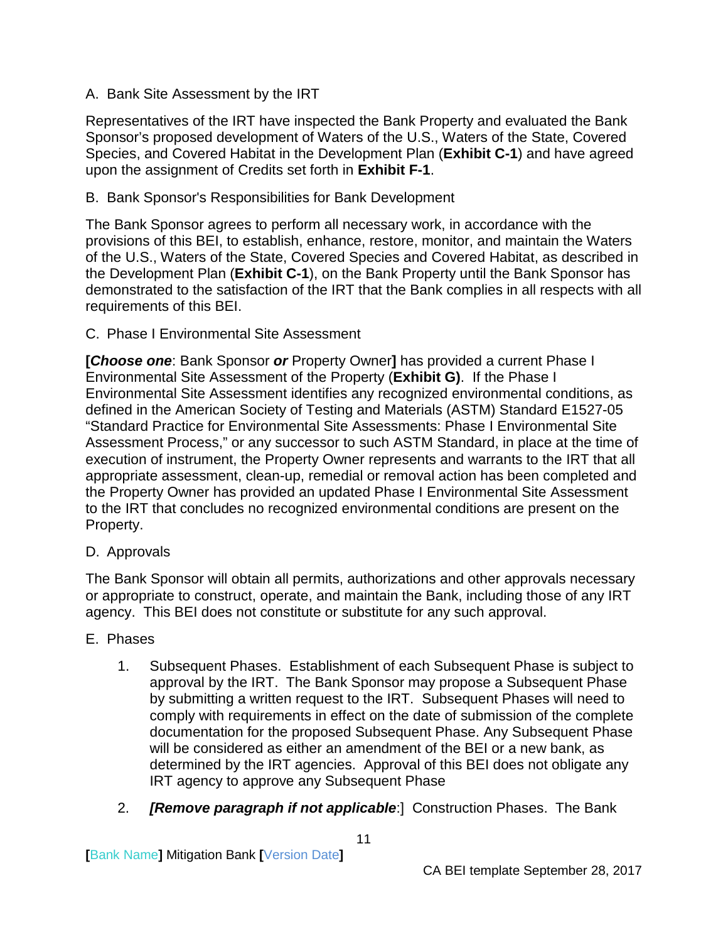## <span id="page-13-0"></span>A. Bank Site Assessment by the IRT

Representatives of the IRT have inspected the Bank Property and evaluated the Bank Sponsor's proposed development of Waters of the U.S., Waters of the State, Covered Species, and Covered Habitat in the Development Plan (**Exhibit C-1**) and have agreed upon the assignment of Credits set forth in **Exhibit F-1**.

## <span id="page-13-1"></span>B. Bank Sponsor's Responsibilities for Bank Development

The Bank Sponsor agrees to perform all necessary work, in accordance with the provisions of this BEI, to establish, enhance, restore, monitor, and maintain the Waters of the U.S., Waters of the State, Covered Species and Covered Habitat, as described in the Development Plan (**Exhibit C-1**), on the Bank Property until the Bank Sponsor has demonstrated to the satisfaction of the IRT that the Bank complies in all respects with all requirements of this BEI.

<span id="page-13-2"></span>C. Phase I Environmental Site Assessment

**[***Choose one*: Bank Sponsor *or* Property Owner**]** has provided a current Phase I Environmental Site Assessment of the Property (**Exhibit G)**. If the Phase I Environmental Site Assessment identifies any recognized environmental conditions, as defined in the American Society of Testing and Materials (ASTM) Standard E1527-05 "Standard Practice for Environmental Site Assessments: Phase I Environmental Site Assessment Process," or any successor to such ASTM Standard, in place at the time of execution of instrument, the Property Owner represents and warrants to the IRT that all appropriate assessment, clean-up, remedial or removal action has been completed and the Property Owner has provided an updated Phase I Environmental Site Assessment to the IRT that concludes no recognized environmental conditions are present on the Property.

## <span id="page-13-3"></span>D. Approvals

The Bank Sponsor will obtain all permits, authorizations and other approvals necessary or appropriate to construct, operate, and maintain the Bank, including those of any IRT agency. This BEI does not constitute or substitute for any such approval.

## <span id="page-13-4"></span>E. Phases

- 1. Subsequent Phases. Establishment of each Subsequent Phase is subject to approval by the IRT. The Bank Sponsor may propose a Subsequent Phase by submitting a written request to the IRT. Subsequent Phases will need to comply with requirements in effect on the date of submission of the complete documentation for the proposed Subsequent Phase. Any Subsequent Phase will be considered as either an amendment of the BEI or a new bank, as determined by the IRT agencies. Approval of this BEI does not obligate any IRT agency to approve any Subsequent Phase
- 2. *[Remove paragraph if not applicable*:] Construction Phases. The Bank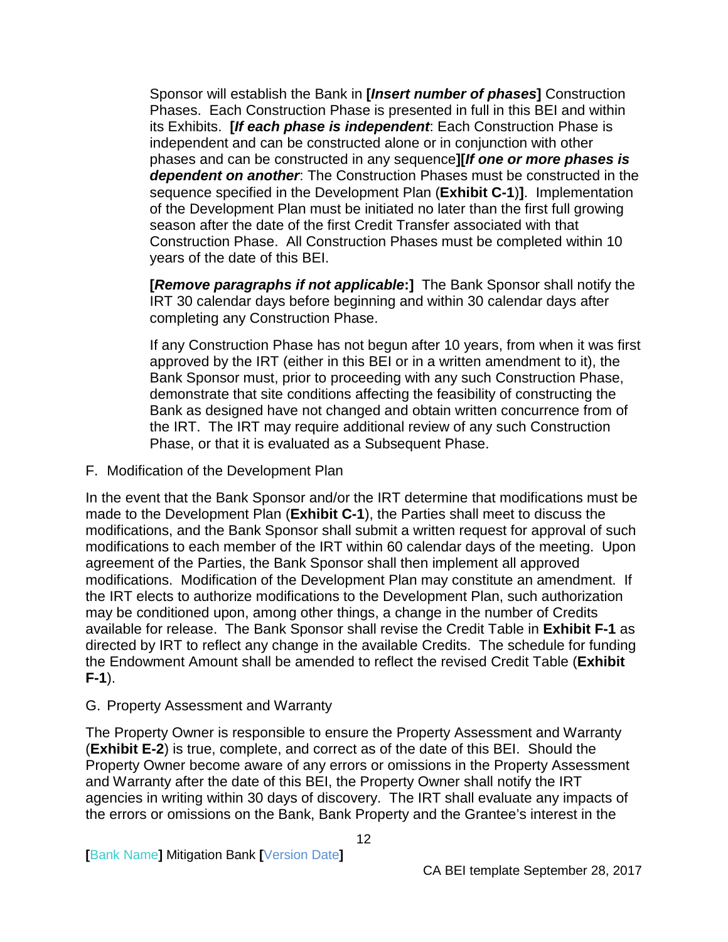Sponsor will establish the Bank in **[***Insert number of phases***]** Construction Phases. Each Construction Phase is presented in full in this BEI and within its Exhibits. **[***If each phase is independent*: Each Construction Phase is independent and can be constructed alone or in conjunction with other phases and can be constructed in any sequence**][***If one or more phases is dependent on another*: The Construction Phases must be constructed in the sequence specified in the Development Plan (**Exhibit C-1**)**]**. Implementation of the Development Plan must be initiated no later than the first full growing season after the date of the first Credit Transfer associated with that Construction Phase. All Construction Phases must be completed within 10 years of the date of this BEI.

**[***Remove paragraphs if not applicable***:]** The Bank Sponsor shall notify the IRT 30 calendar days before beginning and within 30 calendar days after completing any Construction Phase.

If any Construction Phase has not begun after 10 years, from when it was first approved by the IRT (either in this BEI or in a written amendment to it), the Bank Sponsor must, prior to proceeding with any such Construction Phase, demonstrate that site conditions affecting the feasibility of constructing the Bank as designed have not changed and obtain written concurrence from of the IRT. The IRT may require additional review of any such Construction Phase, or that it is evaluated as a Subsequent Phase.

<span id="page-14-0"></span>F. Modification of the Development Plan

In the event that the Bank Sponsor and/or the IRT determine that modifications must be made to the Development Plan (**Exhibit C-1**), the Parties shall meet to discuss the modifications, and the Bank Sponsor shall submit a written request for approval of such modifications to each member of the IRT within 60 calendar days of the meeting. Upon agreement of the Parties, the Bank Sponsor shall then implement all approved modifications. Modification of the Development Plan may constitute an amendment. If the IRT elects to authorize modifications to the Development Plan, such authorization may be conditioned upon, among other things, a change in the number of Credits available for release. The Bank Sponsor shall revise the Credit Table in **Exhibit F-1** as directed by IRT to reflect any change in the available Credits. The schedule for funding the Endowment Amount shall be amended to reflect the revised Credit Table (**Exhibit F-1**).

## <span id="page-14-1"></span>G. Property Assessment and Warranty

The Property Owner is responsible to ensure the Property Assessment and Warranty (**Exhibit E-2**) is true, complete, and correct as of the date of this BEI. Should the Property Owner become aware of any errors or omissions in the Property Assessment and Warranty after the date of this BEI, the Property Owner shall notify the IRT agencies in writing within 30 days of discovery. The IRT shall evaluate any impacts of the errors or omissions on the Bank, Bank Property and the Grantee's interest in the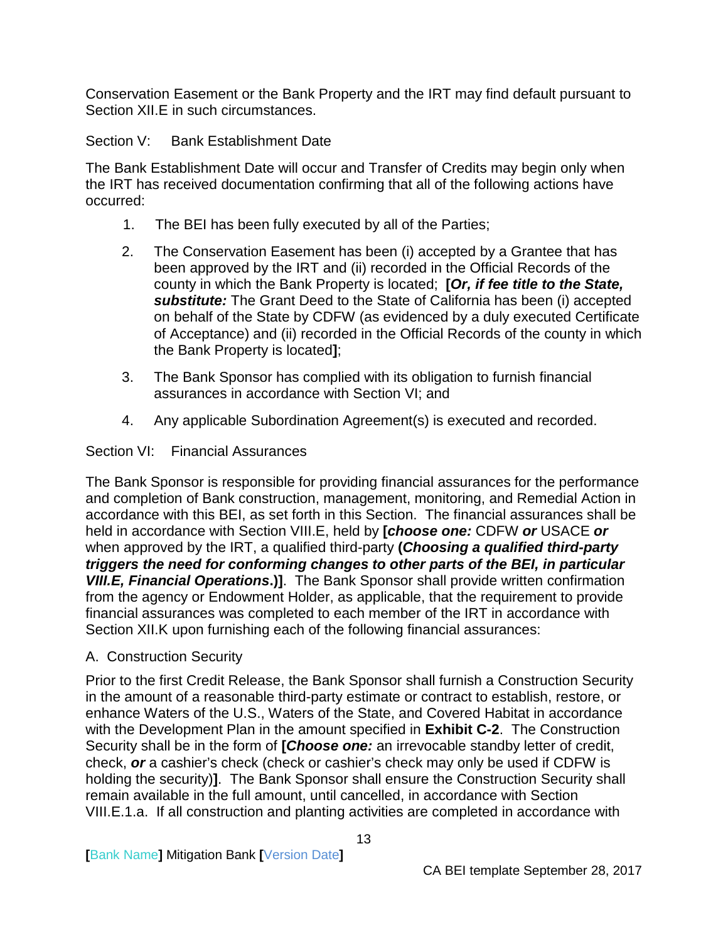Conservation Easement or the Bank Property and the IRT may find default pursuant to Section XII.E in such circumstances.

<span id="page-15-0"></span>Section V: Bank Establishment Date

The Bank Establishment Date will occur and Transfer of Credits may begin only when the IRT has received documentation confirming that all of the following actions have occurred:

- 1. The BEI has been fully executed by all of the Parties;
- 2. The Conservation Easement has been (i) accepted by a Grantee that has been approved by the IRT and (ii) recorded in the Official Records of the county in which the Bank Property is located; **[***Or, if fee title to the State, substitute:* The Grant Deed to the State of California has been (i) accepted on behalf of the State by CDFW (as evidenced by a duly executed Certificate of Acceptance) and (ii) recorded in the Official Records of the county in which the Bank Property is located**]**;
- 3. The Bank Sponsor has complied with its obligation to furnish financial assurances in accordance with Section VI; and
- 4. Any applicable Subordination Agreement(s) is executed and recorded.

## <span id="page-15-1"></span>Section VI: Financial Assurances

The Bank Sponsor is responsible for providing financial assurances for the performance and completion of Bank construction, management, monitoring, and Remedial Action in accordance with this BEI, as set forth in this Section. The financial assurances shall be held in accordance with Section VIII.E, held by **[***choose one:* CDFW *or* USACE *or* when approved by the IRT, a qualified third-party **(***Choosing a qualified third-party triggers the need for conforming changes to other parts of the BEI, in particular VIII.E, Financial Operations***.)]**. The Bank Sponsor shall provide written confirmation from the agency or Endowment Holder, as applicable, that the requirement to provide financial assurances was completed to each member of the IRT in accordance with Section XII.K upon furnishing each of the following financial assurances:

<span id="page-15-2"></span>A. Construction Security

Prior to the first Credit Release, the Bank Sponsor shall furnish a Construction Security in the amount of a reasonable third-party estimate or contract to establish, restore, or enhance Waters of the U.S., Waters of the State, and Covered Habitat in accordance with the Development Plan in the amount specified in **Exhibit C-2**. The Construction Security shall be in the form of **[***Choose one:* an irrevocable standby letter of credit, check, *or* a cashier's check (check or cashier's check may only be used if CDFW is holding the security)**]**. The Bank Sponsor shall ensure the Construction Security shall remain available in the full amount, until cancelled, in accordance with Section VIII.E.1.a. If all construction and planting activities are completed in accordance with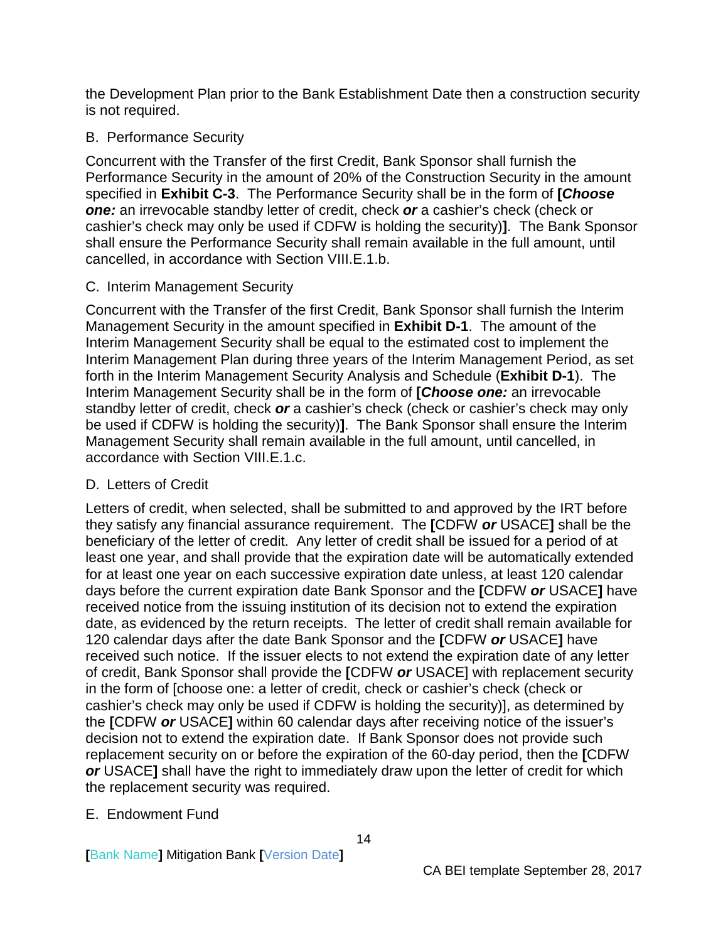the Development Plan prior to the Bank Establishment Date then a construction security is not required.

### <span id="page-16-0"></span>B. Performance Security

Concurrent with the Transfer of the first Credit, Bank Sponsor shall furnish the Performance Security in the amount of 20% of the Construction Security in the amount specified in **Exhibit C-3**. The Performance Security shall be in the form of **[***Choose one:* an irrevocable standby letter of credit, check *or* a cashier's check (check or cashier's check may only be used if CDFW is holding the security)**]**. The Bank Sponsor shall ensure the Performance Security shall remain available in the full amount, until cancelled, in accordance with Section VIII.E.1.b.

### <span id="page-16-1"></span>C. Interim Management Security

Concurrent with the Transfer of the first Credit, Bank Sponsor shall furnish the Interim Management Security in the amount specified in **Exhibit D-1**. The amount of the Interim Management Security shall be equal to the estimated cost to implement the Interim Management Plan during three years of the Interim Management Period, as set forth in the Interim Management Security Analysis and Schedule (**Exhibit D-1**). The Interim Management Security shall be in the form of **[***Choose one:* an irrevocable standby letter of credit, check *or* a cashier's check (check or cashier's check may only be used if CDFW is holding the security)**]**. The Bank Sponsor shall ensure the Interim Management Security shall remain available in the full amount, until cancelled, in accordance with Section VIII.E.1.c.

#### <span id="page-16-2"></span>D. Letters of Credit

Letters of credit, when selected, shall be submitted to and approved by the IRT before they satisfy any financial assurance requirement. The **[**CDFW *or* USACE**]** shall be the beneficiary of the letter of credit. Any letter of credit shall be issued for a period of at least one year, and shall provide that the expiration date will be automatically extended for at least one year on each successive expiration date unless, at least 120 calendar days before the current expiration date Bank Sponsor and the **[**CDFW *or* USACE**]** have received notice from the issuing institution of its decision not to extend the expiration date, as evidenced by the return receipts. The letter of credit shall remain available for 120 calendar days after the date Bank Sponsor and the **[**CDFW *or* USACE**]** have received such notice. If the issuer elects to not extend the expiration date of any letter of credit, Bank Sponsor shall provide the **[**CDFW *or* USACE] with replacement security in the form of [choose one: a letter of credit, check or cashier's check (check or cashier's check may only be used if CDFW is holding the security)], as determined by the **[**CDFW *or* USACE**]** within 60 calendar days after receiving notice of the issuer's decision not to extend the expiration date. If Bank Sponsor does not provide such replacement security on or before the expiration of the 60-day period, then the **[**CDFW *or* USACE**]** shall have the right to immediately draw upon the letter of credit for which the replacement security was required.

## <span id="page-16-3"></span>E. Endowment Fund

**[**Bank Name**]** Mitigation Bank **[**Version Date**]**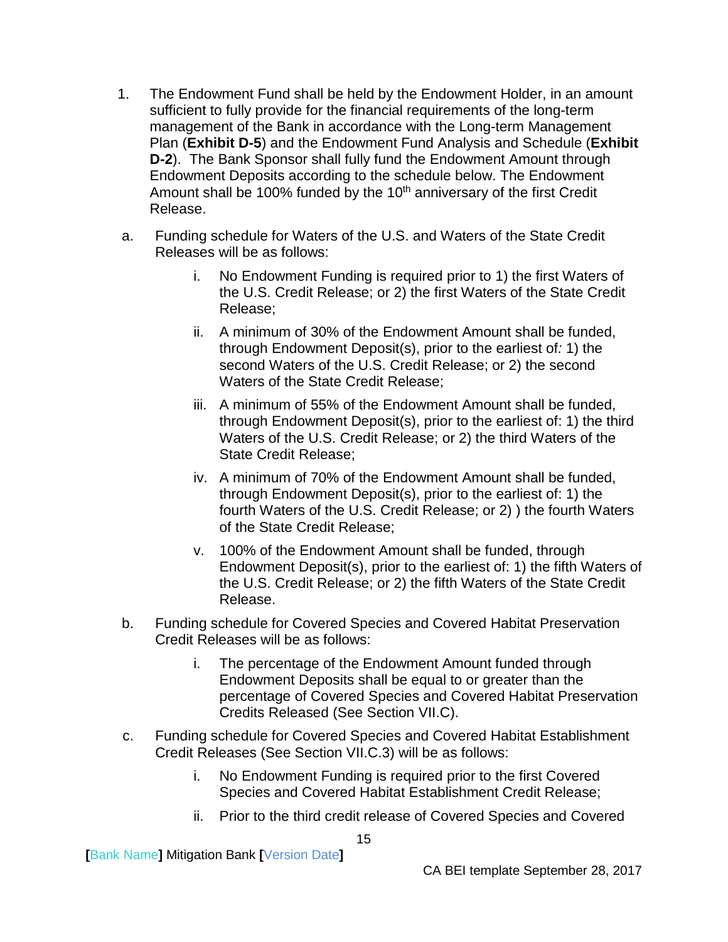- 1. The Endowment Fund shall be held by the Endowment Holder, in an amount sufficient to fully provide for the financial requirements of the long-term management of the Bank in accordance with the Long-term Management Plan (**Exhibit D-5**) and the Endowment Fund Analysis and Schedule (**Exhibit D-2**). The Bank Sponsor shall fully fund the Endowment Amount through Endowment Deposits according to the schedule below. The Endowment Amount shall be 100% funded by the  $10<sup>th</sup>$  anniversary of the first Credit Release.
- a. Funding schedule for Waters of the U.S. and Waters of the State Credit Releases will be as follows:
	- i. No Endowment Funding is required prior to 1) the first Waters of the U.S. Credit Release; or 2) the first Waters of the State Credit Release;
	- ii. A minimum of 30% of the Endowment Amount shall be funded, through Endowment Deposit(s), prior to the earliest of*:* 1) the second Waters of the U.S. Credit Release; or 2) the second Waters of the State Credit Release;
	- iii. A minimum of 55% of the Endowment Amount shall be funded, through Endowment Deposit(s), prior to the earliest of: 1) the third Waters of the U.S. Credit Release; or 2) the third Waters of the State Credit Release;
	- iv. A minimum of 70% of the Endowment Amount shall be funded, through Endowment Deposit(s), prior to the earliest of: 1) the fourth Waters of the U.S. Credit Release; or 2) ) the fourth Waters of the State Credit Release;
	- v. 100% of the Endowment Amount shall be funded, through Endowment Deposit(s), prior to the earliest of: 1) the fifth Waters of the U.S. Credit Release; or 2) the fifth Waters of the State Credit Release.
- b. Funding schedule for Covered Species and Covered Habitat Preservation Credit Releases will be as follows:
	- i. The percentage of the Endowment Amount funded through Endowment Deposits shall be equal to or greater than the percentage of Covered Species and Covered Habitat Preservation Credits Released (See Section VII.C).
- c. Funding schedule for Covered Species and Covered Habitat Establishment Credit Releases (See Section VII.C.3) will be as follows:
	- i. No Endowment Funding is required prior to the first Covered Species and Covered Habitat Establishment Credit Release;
	- ii. Prior to the third credit release of Covered Species and Covered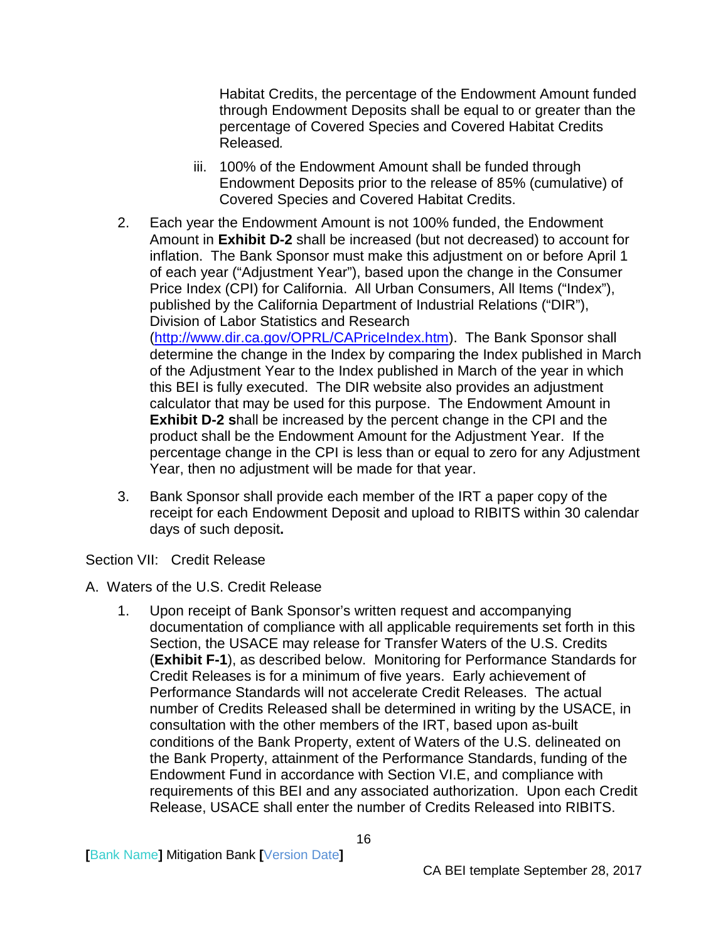Habitat Credits, the percentage of the Endowment Amount funded through Endowment Deposits shall be equal to or greater than the percentage of Covered Species and Covered Habitat Credits Released*.* 

- iii. 100% of the Endowment Amount shall be funded through Endowment Deposits prior to the release of 85% (cumulative) of Covered Species and Covered Habitat Credits.
- 2. Each year the Endowment Amount is not 100% funded, the Endowment Amount in **Exhibit D-2** shall be increased (but not decreased) to account for inflation. The Bank Sponsor must make this adjustment on or before April 1 of each year ("Adjustment Year"), based upon the change in the Consumer Price Index (CPI) for California. All Urban Consumers, All Items ("Index"), published by the California Department of Industrial Relations ("DIR"), Division of Labor Statistics and Research [\(http://www.dir.ca.gov/OPRL/CAPriceIndex.htm\)](http://www.dir.ca.gov/OPRL/CAPriceIndex.htm). The Bank Sponsor shall determine the change in the Index by comparing the Index published in March of the Adjustment Year to the Index published in March of the year in which this BEI is fully executed. The DIR website also provides an adjustment calculator that may be used for this purpose. The Endowment Amount in **Exhibit D-2 s**hall be increased by the percent change in the CPI and the product shall be the Endowment Amount for the Adjustment Year. If the percentage change in the CPI is less than or equal to zero for any Adjustment Year, then no adjustment will be made for that year.
- 3. Bank Sponsor shall provide each member of the IRT a paper copy of the receipt for each Endowment Deposit and upload to RIBITS within 30 calendar days of such deposit**.**

<span id="page-18-0"></span>Section VII: Credit Release

- <span id="page-18-1"></span>A. Waters of the U.S. Credit Release
	- 1. Upon receipt of Bank Sponsor's written request and accompanying documentation of compliance with all applicable requirements set forth in this Section, the USACE may release for Transfer Waters of the U.S. Credits (**Exhibit F-1**), as described below. Monitoring for Performance Standards for Credit Releases is for a minimum of five years. Early achievement of Performance Standards will not accelerate Credit Releases. The actual number of Credits Released shall be determined in writing by the USACE, in consultation with the other members of the IRT, based upon as-built conditions of the Bank Property, extent of Waters of the U.S. delineated on the Bank Property, attainment of the Performance Standards, funding of the Endowment Fund in accordance with Section VI.E, and compliance with requirements of this BEI and any associated authorization. Upon each Credit Release, USACE shall enter the number of Credits Released into RIBITS.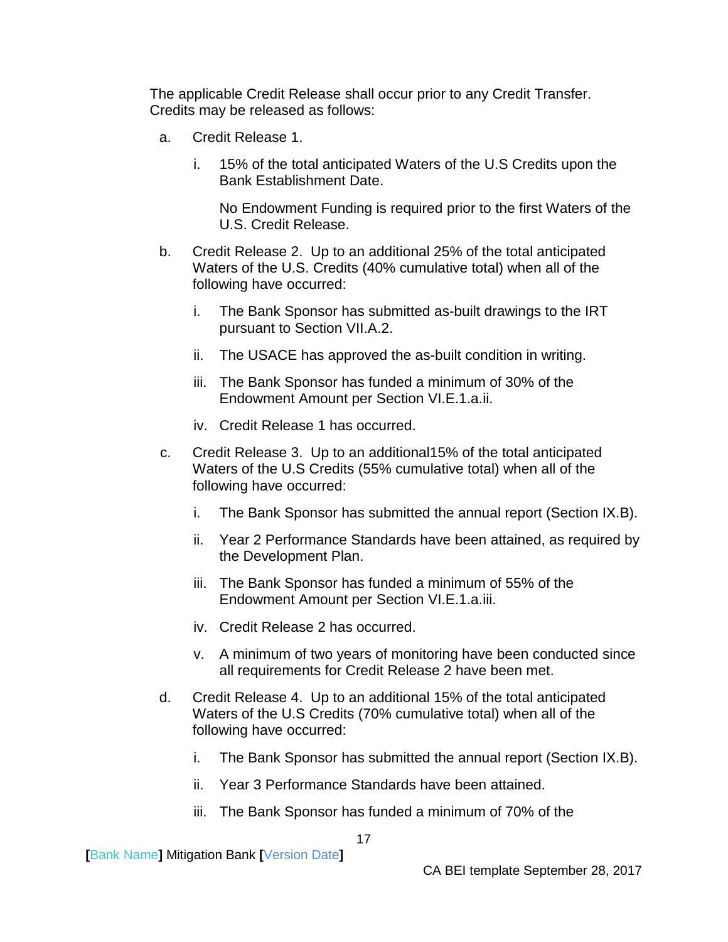The applicable Credit Release shall occur prior to any Credit Transfer. Credits may be released as follows:

- a. Credit Release 1.
	- i. 15% of the total anticipated Waters of the U.S Credits upon the Bank Establishment Date.

No Endowment Funding is required prior to the first Waters of the U.S. Credit Release.

- b. Credit Release 2. Up to an additional 25% of the total anticipated Waters of the U.S. Credits (40% cumulative total) when all of the following have occurred:
	- i. The Bank Sponsor has submitted as-built drawings to the IRT pursuant to Section VII.A.2.
	- ii. The USACE has approved the as-built condition in writing.
	- iii. The Bank Sponsor has funded a minimum of 30% of the Endowment Amount per Section VI.E.1.a.ii.
	- iv. Credit Release 1 has occurred.
- c. Credit Release 3. Up to an additional15% of the total anticipated Waters of the U.S Credits (55% cumulative total) when all of the following have occurred:
	- i. The Bank Sponsor has submitted the annual report (Section IX.B).
	- ii. Year 2 Performance Standards have been attained, as required by the Development Plan.
	- iii. The Bank Sponsor has funded a minimum of 55% of the Endowment Amount per Section VI.E.1.a.iii.
	- iv. Credit Release 2 has occurred.
	- v. A minimum of two years of monitoring have been conducted since all requirements for Credit Release 2 have been met.
- d. Credit Release 4. Up to an additional 15% of the total anticipated Waters of the U.S Credits (70% cumulative total) when all of the following have occurred:
	- i. The Bank Sponsor has submitted the annual report (Section IX.B).
	- ii. Year 3 Performance Standards have been attained.
	- iii. The Bank Sponsor has funded a minimum of 70% of the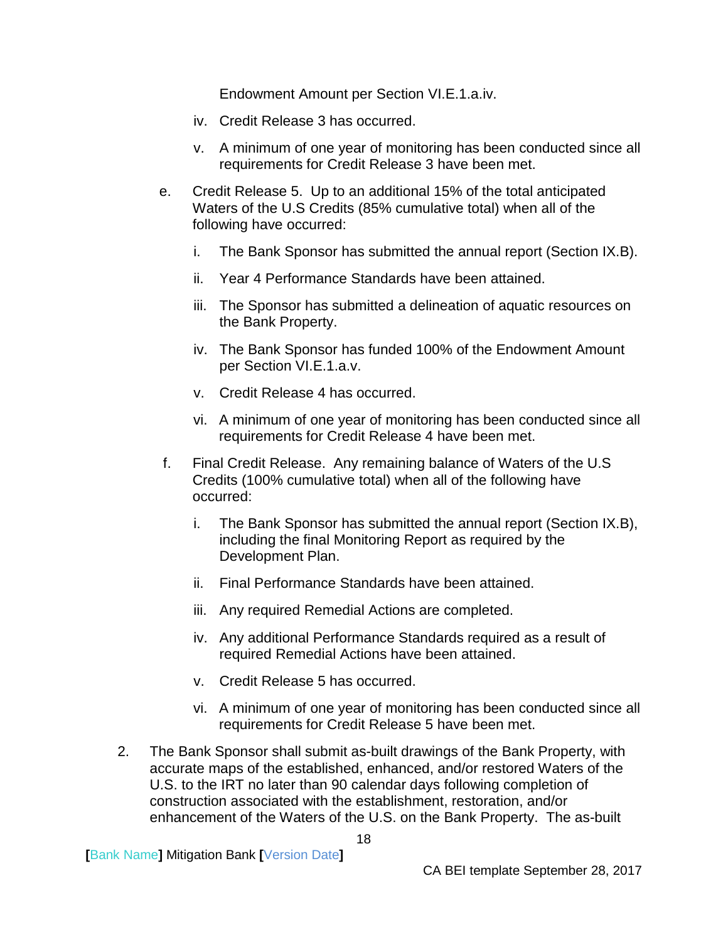Endowment Amount per Section VI.E.1.a.iv.

- iv. Credit Release 3 has occurred.
- v. A minimum of one year of monitoring has been conducted since all requirements for Credit Release 3 have been met.
- e. Credit Release 5. Up to an additional 15% of the total anticipated Waters of the U.S Credits (85% cumulative total) when all of the following have occurred:
	- i. The Bank Sponsor has submitted the annual report (Section IX.B).
	- ii. Year 4 Performance Standards have been attained.
	- iii. The Sponsor has submitted a delineation of aquatic resources on the Bank Property.
	- iv. The Bank Sponsor has funded 100% of the Endowment Amount per Section VI.E.1.a.v.
	- v. Credit Release 4 has occurred.
	- vi. A minimum of one year of monitoring has been conducted since all requirements for Credit Release 4 have been met.
- f. Final Credit Release. Any remaining balance of Waters of the U.S Credits (100% cumulative total) when all of the following have occurred:
	- i. The Bank Sponsor has submitted the annual report (Section IX.B), including the final Monitoring Report as required by the Development Plan.
	- ii. Final Performance Standards have been attained.
	- iii. Any required Remedial Actions are completed.
	- iv. Any additional Performance Standards required as a result of required Remedial Actions have been attained.
	- v. Credit Release 5 has occurred.
	- vi. A minimum of one year of monitoring has been conducted since all requirements for Credit Release 5 have been met.
- 2. The Bank Sponsor shall submit as-built drawings of the Bank Property, with accurate maps of the established, enhanced, and/or restored Waters of the U.S. to the IRT no later than 90 calendar days following completion of construction associated with the establishment, restoration, and/or enhancement of the Waters of the U.S. on the Bank Property. The as-built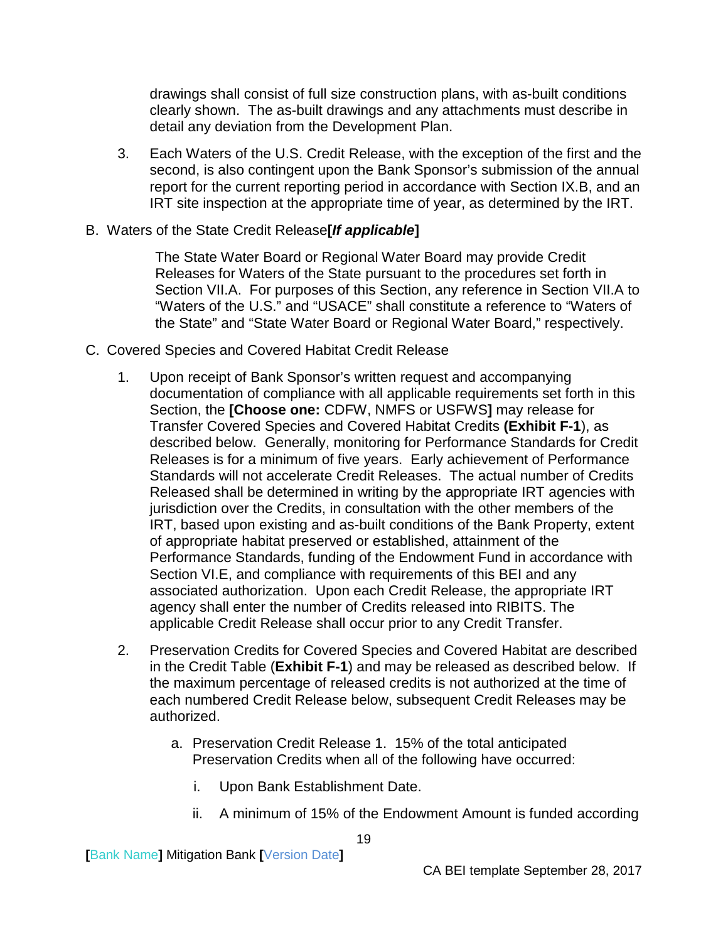drawings shall consist of full size construction plans, with as-built conditions clearly shown. The as-built drawings and any attachments must describe in detail any deviation from the Development Plan.

- 3. Each Waters of the U.S. Credit Release, with the exception of the first and the second, is also contingent upon the Bank Sponsor's submission of the annual report for the current reporting period in accordance with Section IX.B, and an IRT site inspection at the appropriate time of year, as determined by the IRT.
- <span id="page-21-0"></span>B. Waters of the State Credit Release**[***If applicable***]**

The State Water Board or Regional Water Board may provide Credit Releases for Waters of the State pursuant to the procedures set forth in Section VII.A. For purposes of this Section, any reference in Section VII.A to "Waters of the U.S." and "USACE" shall constitute a reference to "Waters of the State" and "State Water Board or Regional Water Board," respectively.

- <span id="page-21-1"></span>C. Covered Species and Covered Habitat Credit Release
	- 1. Upon receipt of Bank Sponsor's written request and accompanying documentation of compliance with all applicable requirements set forth in this Section, the **[Choose one:** CDFW, NMFS or USFWS**]** may release for Transfer Covered Species and Covered Habitat Credits **(Exhibit F-1**), as described below. Generally, monitoring for Performance Standards for Credit Releases is for a minimum of five years. Early achievement of Performance Standards will not accelerate Credit Releases. The actual number of Credits Released shall be determined in writing by the appropriate IRT agencies with jurisdiction over the Credits, in consultation with the other members of the IRT, based upon existing and as-built conditions of the Bank Property, extent of appropriate habitat preserved or established, attainment of the Performance Standards, funding of the Endowment Fund in accordance with Section VI.E, and compliance with requirements of this BEI and any associated authorization. Upon each Credit Release, the appropriate IRT agency shall enter the number of Credits released into RIBITS. The applicable Credit Release shall occur prior to any Credit Transfer.
	- 2. Preservation Credits for Covered Species and Covered Habitat are described in the Credit Table (**Exhibit F-1**) and may be released as described below. If the maximum percentage of released credits is not authorized at the time of each numbered Credit Release below, subsequent Credit Releases may be authorized.
		- a. Preservation Credit Release 1. 15% of the total anticipated Preservation Credits when all of the following have occurred:
			- i. Upon Bank Establishment Date.
			- ii. A minimum of 15% of the Endowment Amount is funded according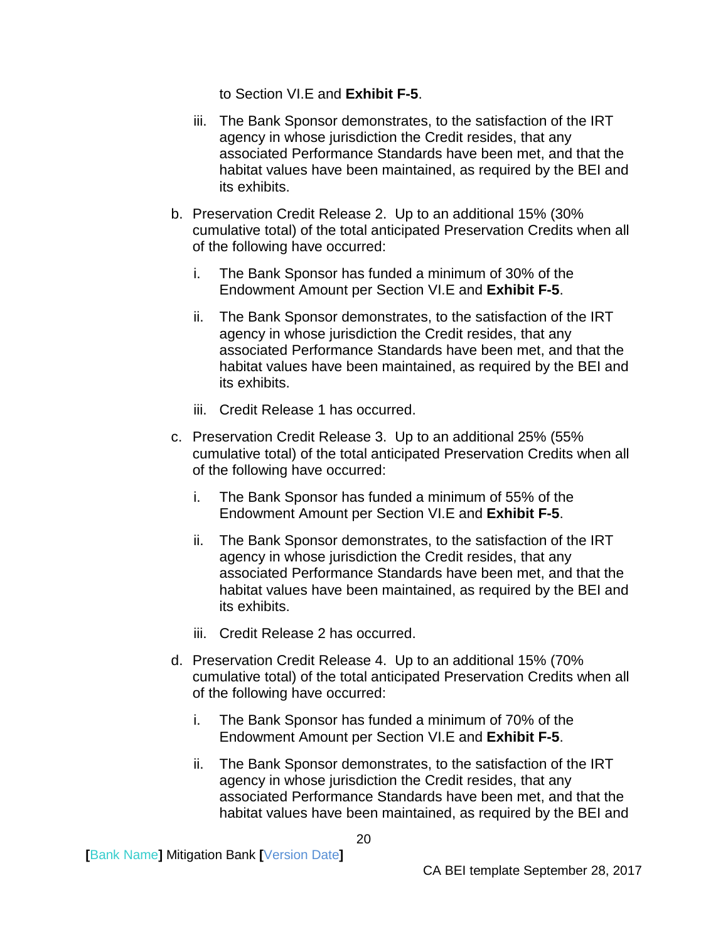to Section VI.E and **Exhibit F-5**.

- iii. The Bank Sponsor demonstrates, to the satisfaction of the IRT agency in whose jurisdiction the Credit resides, that any associated Performance Standards have been met, and that the habitat values have been maintained, as required by the BEI and its exhibits.
- b. Preservation Credit Release 2. Up to an additional 15% (30% cumulative total) of the total anticipated Preservation Credits when all of the following have occurred:
	- i. The Bank Sponsor has funded a minimum of 30% of the Endowment Amount per Section VI.E and **Exhibit F-5**.
	- ii. The Bank Sponsor demonstrates, to the satisfaction of the IRT agency in whose jurisdiction the Credit resides, that any associated Performance Standards have been met, and that the habitat values have been maintained, as required by the BEI and its exhibits.
	- iii. Credit Release 1 has occurred.
- c. Preservation Credit Release 3. Up to an additional 25% (55% cumulative total) of the total anticipated Preservation Credits when all of the following have occurred:
	- i. The Bank Sponsor has funded a minimum of 55% of the Endowment Amount per Section VI.E and **Exhibit F-5**.
	- ii. The Bank Sponsor demonstrates, to the satisfaction of the IRT agency in whose jurisdiction the Credit resides, that any associated Performance Standards have been met, and that the habitat values have been maintained, as required by the BEI and its exhibits.
	- iii. Credit Release 2 has occurred.
- d. Preservation Credit Release 4. Up to an additional 15% (70% cumulative total) of the total anticipated Preservation Credits when all of the following have occurred:
	- i. The Bank Sponsor has funded a minimum of 70% of the Endowment Amount per Section VI.E and **Exhibit F-5**.
	- ii. The Bank Sponsor demonstrates, to the satisfaction of the IRT agency in whose jurisdiction the Credit resides, that any associated Performance Standards have been met, and that the habitat values have been maintained, as required by the BEI and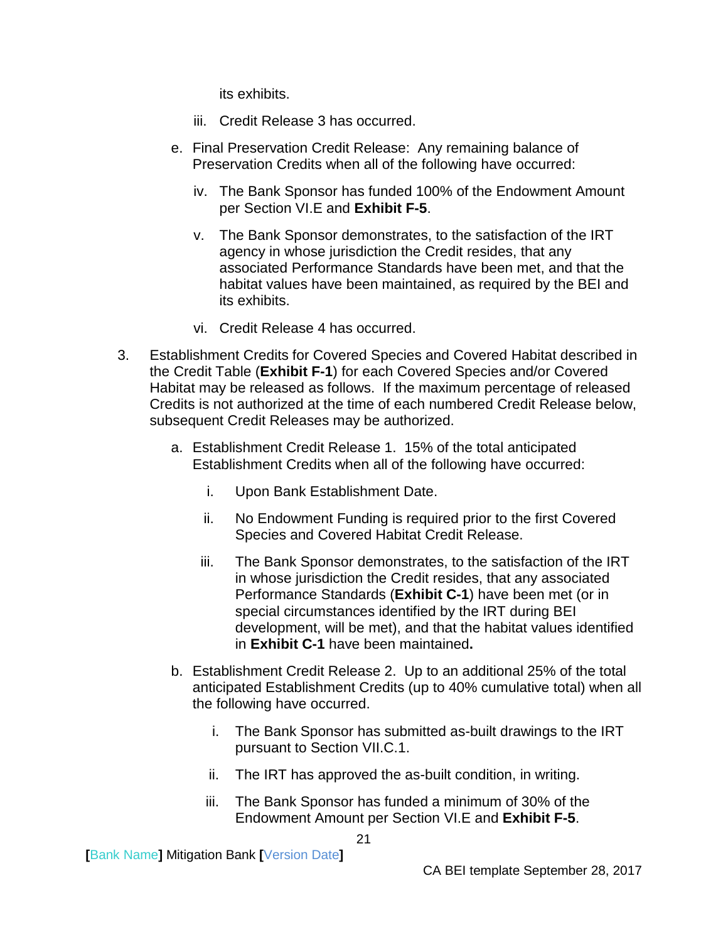its exhibits.

- iii. Credit Release 3 has occurred.
- e. Final Preservation Credit Release: Any remaining balance of Preservation Credits when all of the following have occurred:
	- iv. The Bank Sponsor has funded 100% of the Endowment Amount per Section VI.E and **Exhibit F-5**.
	- v. The Bank Sponsor demonstrates, to the satisfaction of the IRT agency in whose jurisdiction the Credit resides, that any associated Performance Standards have been met, and that the habitat values have been maintained, as required by the BEI and its exhibits.
	- vi. Credit Release 4 has occurred.
- 3. Establishment Credits for Covered Species and Covered Habitat described in the Credit Table (**Exhibit F-1**) for each Covered Species and/or Covered Habitat may be released as follows. If the maximum percentage of released Credits is not authorized at the time of each numbered Credit Release below, subsequent Credit Releases may be authorized.
	- a. Establishment Credit Release 1. 15% of the total anticipated Establishment Credits when all of the following have occurred:
		- i. Upon Bank Establishment Date.
		- ii. No Endowment Funding is required prior to the first Covered Species and Covered Habitat Credit Release.
		- iii. The Bank Sponsor demonstrates, to the satisfaction of the IRT in whose jurisdiction the Credit resides, that any associated Performance Standards (**Exhibit C-1**) have been met (or in special circumstances identified by the IRT during BEI development, will be met), and that the habitat values identified in **Exhibit C-1** have been maintained**.**
	- b. Establishment Credit Release 2. Up to an additional 25% of the total anticipated Establishment Credits (up to 40% cumulative total) when all the following have occurred.
		- i. The Bank Sponsor has submitted as-built drawings to the IRT pursuant to Section VII.C.1.
		- ii. The IRT has approved the as-built condition, in writing.
		- iii. The Bank Sponsor has funded a minimum of 30% of the Endowment Amount per Section VI.E and **Exhibit F-5**.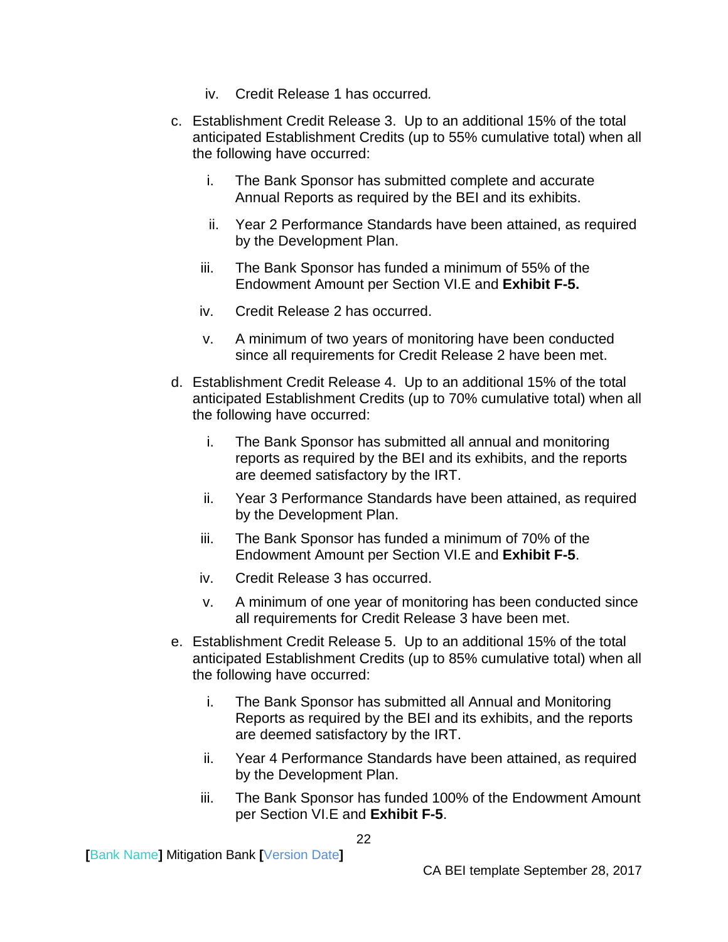- iv. Credit Release 1 has occurred*.*
- c. Establishment Credit Release 3. Up to an additional 15% of the total anticipated Establishment Credits (up to 55% cumulative total) when all the following have occurred:
	- i. The Bank Sponsor has submitted complete and accurate Annual Reports as required by the BEI and its exhibits.
	- ii. Year 2 Performance Standards have been attained, as required by the Development Plan.
	- iii. The Bank Sponsor has funded a minimum of 55% of the Endowment Amount per Section VI.E and **Exhibit F-5.**
	- iv. Credit Release 2 has occurred.
	- v. A minimum of two years of monitoring have been conducted since all requirements for Credit Release 2 have been met.
- d. Establishment Credit Release 4. Up to an additional 15% of the total anticipated Establishment Credits (up to 70% cumulative total) when all the following have occurred:
	- i. The Bank Sponsor has submitted all annual and monitoring reports as required by the BEI and its exhibits, and the reports are deemed satisfactory by the IRT.
	- ii. Year 3 Performance Standards have been attained, as required by the Development Plan.
	- iii. The Bank Sponsor has funded a minimum of 70% of the Endowment Amount per Section VI.E and **Exhibit F-5**.
	- iv. Credit Release 3 has occurred.
	- v. A minimum of one year of monitoring has been conducted since all requirements for Credit Release 3 have been met.
- e. Establishment Credit Release 5. Up to an additional 15% of the total anticipated Establishment Credits (up to 85% cumulative total) when all the following have occurred:
	- i. The Bank Sponsor has submitted all Annual and Monitoring Reports as required by the BEI and its exhibits, and the reports are deemed satisfactory by the IRT.
	- ii. Year 4 Performance Standards have been attained, as required by the Development Plan.
	- iii. The Bank Sponsor has funded 100% of the Endowment Amount per Section VI.E and **Exhibit F-5**.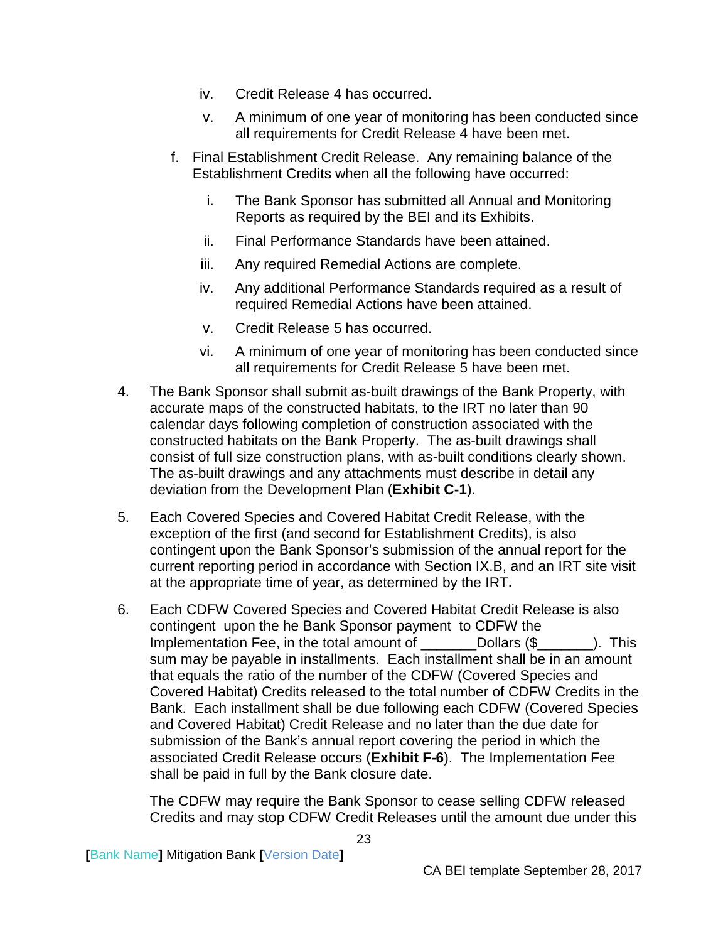- iv. Credit Release 4 has occurred.
- v. A minimum of one year of monitoring has been conducted since all requirements for Credit Release 4 have been met.
- f. Final Establishment Credit Release. Any remaining balance of the Establishment Credits when all the following have occurred:
	- i. The Bank Sponsor has submitted all Annual and Monitoring Reports as required by the BEI and its Exhibits.
	- ii. Final Performance Standards have been attained.
	- iii. Any required Remedial Actions are complete.
	- iv. Any additional Performance Standards required as a result of required Remedial Actions have been attained.
	- v. Credit Release 5 has occurred.
	- vi. A minimum of one year of monitoring has been conducted since all requirements for Credit Release 5 have been met.
- 4. The Bank Sponsor shall submit as-built drawings of the Bank Property, with accurate maps of the constructed habitats, to the IRT no later than 90 calendar days following completion of construction associated with the constructed habitats on the Bank Property. The as-built drawings shall consist of full size construction plans, with as-built conditions clearly shown. The as-built drawings and any attachments must describe in detail any deviation from the Development Plan (**Exhibit C-1**).
- 5. Each Covered Species and Covered Habitat Credit Release, with the exception of the first (and second for Establishment Credits), is also contingent upon the Bank Sponsor's submission of the annual report for the current reporting period in accordance with Section IX.B, and an IRT site visit at the appropriate time of year, as determined by the IRT**.**
- 6. Each CDFW Covered Species and Covered Habitat Credit Release is also contingent upon the he Bank Sponsor payment to CDFW the Implementation Fee, in the total amount of The Dollars (\$ This sum may be payable in installments. Each installment shall be in an amount that equals the ratio of the number of the CDFW (Covered Species and Covered Habitat) Credits released to the total number of CDFW Credits in the Bank. Each installment shall be due following each CDFW (Covered Species and Covered Habitat) Credit Release and no later than the due date for submission of the Bank's annual report covering the period in which the associated Credit Release occurs (**Exhibit F-6**). The Implementation Fee shall be paid in full by the Bank closure date.

The CDFW may require the Bank Sponsor to cease selling CDFW released Credits and may stop CDFW Credit Releases until the amount due under this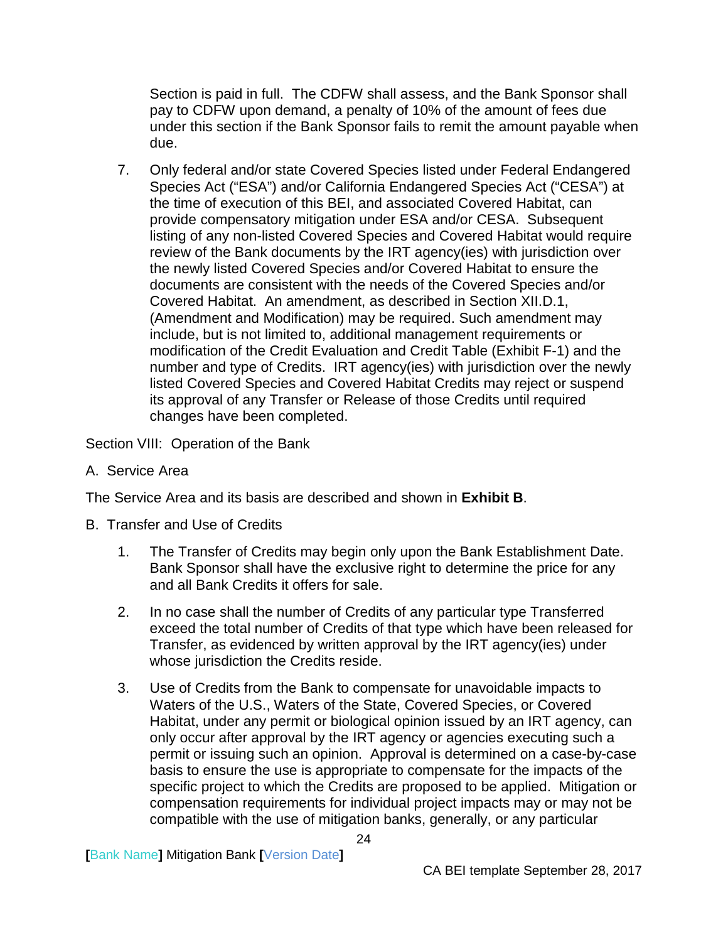Section is paid in full. The CDFW shall assess, and the Bank Sponsor shall pay to CDFW upon demand, a penalty of 10% of the amount of fees due under this section if the Bank Sponsor fails to remit the amount payable when due.

7. Only federal and/or state Covered Species listed under Federal Endangered Species Act ("ESA") and/or California Endangered Species Act ("CESA") at the time of execution of this BEI, and associated Covered Habitat, can provide compensatory mitigation under ESA and/or CESA. Subsequent listing of any non-listed Covered Species and Covered Habitat would require review of the Bank documents by the IRT agency(ies) with jurisdiction over the newly listed Covered Species and/or Covered Habitat to ensure the documents are consistent with the needs of the Covered Species and/or Covered Habitat. An amendment, as described in Section XII.D.1, (Amendment and Modification) may be required. Such amendment may include, but is not limited to, additional management requirements or modification of the Credit Evaluation and Credit Table (Exhibit F-1) and the number and type of Credits. IRT agency(ies) with jurisdiction over the newly listed Covered Species and Covered Habitat Credits may reject or suspend its approval of any Transfer or Release of those Credits until required changes have been completed.

<span id="page-26-0"></span>Section VIII: Operation of the Bank

<span id="page-26-1"></span>A. Service Area

The Service Area and its basis are described and shown in **Exhibit B**.

- <span id="page-26-2"></span>B. Transfer and Use of Credits
	- 1. The Transfer of Credits may begin only upon the Bank Establishment Date. Bank Sponsor shall have the exclusive right to determine the price for any and all Bank Credits it offers for sale.
	- 2. In no case shall the number of Credits of any particular type Transferred exceed the total number of Credits of that type which have been released for Transfer, as evidenced by written approval by the IRT agency(ies) under whose jurisdiction the Credits reside.
	- 3. Use of Credits from the Bank to compensate for unavoidable impacts to Waters of the U.S., Waters of the State, Covered Species, or Covered Habitat, under any permit or biological opinion issued by an IRT agency, can only occur after approval by the IRT agency or agencies executing such a permit or issuing such an opinion. Approval is determined on a case-by-case basis to ensure the use is appropriate to compensate for the impacts of the specific project to which the Credits are proposed to be applied. Mitigation or compensation requirements for individual project impacts may or may not be compatible with the use of mitigation banks, generally, or any particular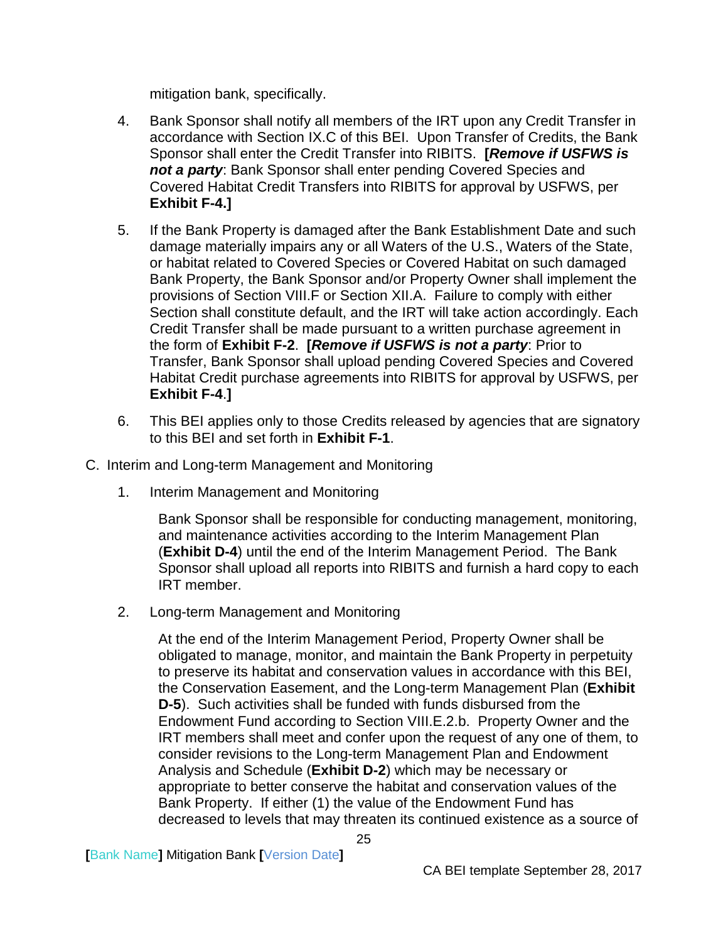mitigation bank, specifically.

- 4. Bank Sponsor shall notify all members of the IRT upon any Credit Transfer in accordance with Section IX.C of this BEI. Upon Transfer of Credits, the Bank Sponsor shall enter the Credit Transfer into RIBITS. **[***Remove if USFWS is not a party*: Bank Sponsor shall enter pending Covered Species and Covered Habitat Credit Transfers into RIBITS for approval by USFWS, per **Exhibit F-4.]**
- 5. If the Bank Property is damaged after the Bank Establishment Date and such damage materially impairs any or all Waters of the U.S., Waters of the State, or habitat related to Covered Species or Covered Habitat on such damaged Bank Property, the Bank Sponsor and/or Property Owner shall implement the provisions of Section VIII.F or Section XII.A. Failure to comply with either Section shall constitute default, and the IRT will take action accordingly. Each Credit Transfer shall be made pursuant to a written purchase agreement in the form of **Exhibit F-2**. **[***Remove if USFWS is not a party*: Prior to Transfer, Bank Sponsor shall upload pending Covered Species and Covered Habitat Credit purchase agreements into RIBITS for approval by USFWS, per **Exhibit F-4**.**]**
- 6. This BEI applies only to those Credits released by agencies that are signatory to this BEI and set forth in **Exhibit F-1**.
- <span id="page-27-0"></span>C. Interim and Long-term Management and Monitoring
	- 1. Interim Management and Monitoring

Bank Sponsor shall be responsible for conducting management, monitoring, and maintenance activities according to the Interim Management Plan (**Exhibit D-4**) until the end of the Interim Management Period. The Bank Sponsor shall upload all reports into RIBITS and furnish a hard copy to each IRT member.

2. Long-term Management and Monitoring

At the end of the Interim Management Period, Property Owner shall be obligated to manage, monitor, and maintain the Bank Property in perpetuity to preserve its habitat and conservation values in accordance with this BEI, the Conservation Easement, and the Long-term Management Plan (**Exhibit D-5**). Such activities shall be funded with funds disbursed from the Endowment Fund according to Section VIII.E.2.b. Property Owner and the IRT members shall meet and confer upon the request of any one of them, to consider revisions to the Long-term Management Plan and Endowment Analysis and Schedule (**Exhibit D-2**) which may be necessary or appropriate to better conserve the habitat and conservation values of the Bank Property. If either (1) the value of the Endowment Fund has decreased to levels that may threaten its continued existence as a source of

**[**Bank Name**]** Mitigation Bank **[**Version Date**]**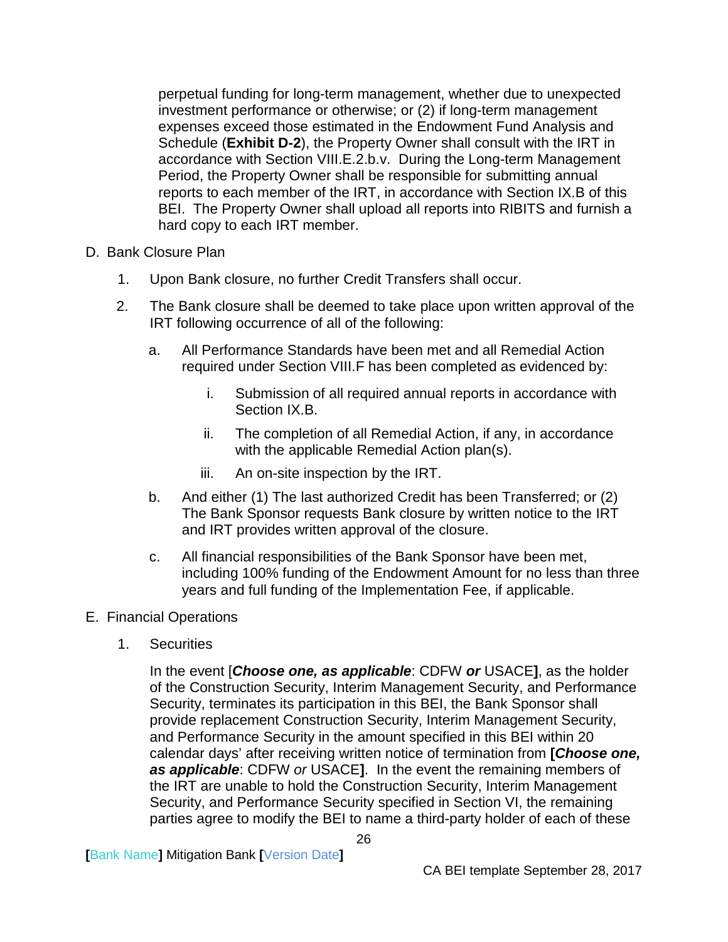perpetual funding for long-term management, whether due to unexpected investment performance or otherwise; or (2) if long-term management expenses exceed those estimated in the Endowment Fund Analysis and Schedule (**Exhibit D-2**), the Property Owner shall consult with the IRT in accordance with Section VIII.E.2.b.v. During the Long-term Management Period, the Property Owner shall be responsible for submitting annual reports to each member of the IRT, in accordance with Section IX.B of this BEI. The Property Owner shall upload all reports into RIBITS and furnish a hard copy to each IRT member.

- <span id="page-28-0"></span>D. Bank Closure Plan
	- 1. Upon Bank closure, no further Credit Transfers shall occur.
	- 2. The Bank closure shall be deemed to take place upon written approval of the IRT following occurrence of all of the following:
		- a. All Performance Standards have been met and all Remedial Action required under Section VIII.F has been completed as evidenced by:
			- i. Submission of all required annual reports in accordance with Section IX.B.
			- ii. The completion of all Remedial Action, if any, in accordance with the applicable Remedial Action plan(s).
			- iii. An on-site inspection by the IRT.
		- b. And either (1) The last authorized Credit has been Transferred; or (2) The Bank Sponsor requests Bank closure by written notice to the IRT and IRT provides written approval of the closure.
		- c. All financial responsibilities of the Bank Sponsor have been met, including 100% funding of the Endowment Amount for no less than three years and full funding of the Implementation Fee, if applicable.
- <span id="page-28-1"></span>E. Financial Operations
	- 1. Securities

In the event [*Choose one, as applicable*: CDFW *or* USACE**]**, as the holder of the Construction Security, Interim Management Security, and Performance Security, terminates its participation in this BEI, the Bank Sponsor shall provide replacement Construction Security, Interim Management Security, and Performance Security in the amount specified in this BEI within 20 calendar days' after receiving written notice of termination from **[***Choose one, as applicable*: CDFW *or* USACE**]**. In the event the remaining members of the IRT are unable to hold the Construction Security, Interim Management Security, and Performance Security specified in Section VI, the remaining parties agree to modify the BEI to name a third-party holder of each of these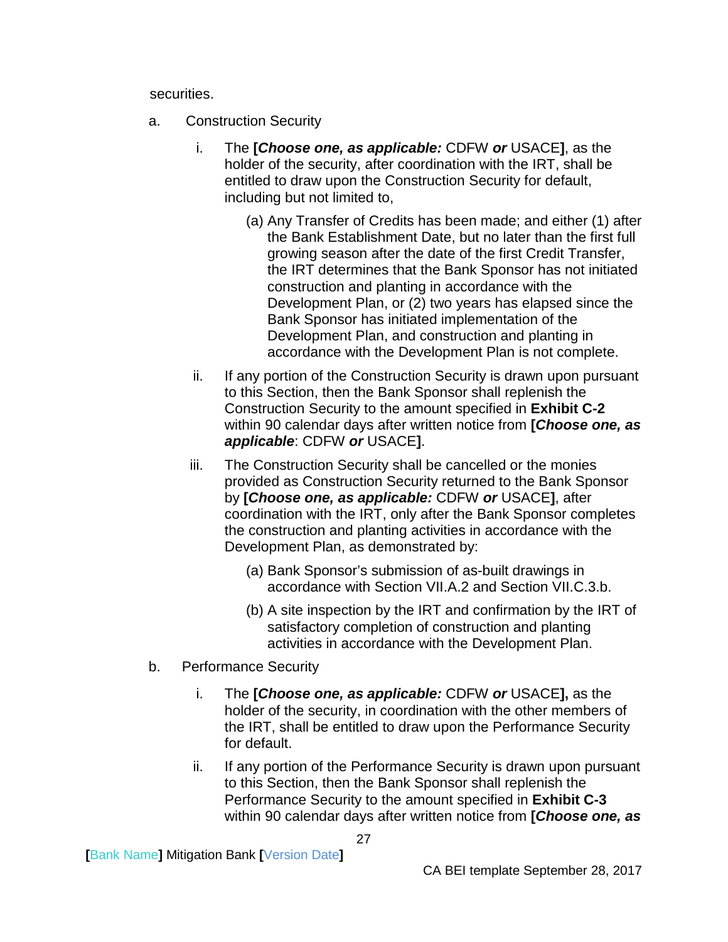securities.

- a. Construction Security
	- i. The **[***Choose one, as applicable:* CDFW *or* USACE**]**, as the holder of the security, after coordination with the IRT, shall be entitled to draw upon the Construction Security for default, including but not limited to,
		- (a) Any Transfer of Credits has been made; and either (1) after the Bank Establishment Date, but no later than the first full growing season after the date of the first Credit Transfer, the IRT determines that the Bank Sponsor has not initiated construction and planting in accordance with the Development Plan, or (2) two years has elapsed since the Bank Sponsor has initiated implementation of the Development Plan, and construction and planting in accordance with the Development Plan is not complete.
	- ii. If any portion of the Construction Security is drawn upon pursuant to this Section, then the Bank Sponsor shall replenish the Construction Security to the amount specified in **Exhibit C-2** within 90 calendar days after written notice from **[***Choose one, as applicable*: CDFW *or* USACE**]**.
	- iii. The Construction Security shall be cancelled or the monies provided as Construction Security returned to the Bank Sponsor by **[***Choose one, as applicable:* CDFW *or* USACE**]**, after coordination with the IRT, only after the Bank Sponsor completes the construction and planting activities in accordance with the Development Plan, as demonstrated by:
		- (a) Bank Sponsor's submission of as-built drawings in accordance with Section VII.A.2 and Section VII.C.3.b.
		- (b) A site inspection by the IRT and confirmation by the IRT of satisfactory completion of construction and planting activities in accordance with the Development Plan.
- b. Performance Security
	- i. The **[***Choose one, as applicable:* CDFW *or* USACE**],** as the holder of the security, in coordination with the other members of the IRT, shall be entitled to draw upon the Performance Security for default.
	- ii. If any portion of the Performance Security is drawn upon pursuant to this Section, then the Bank Sponsor shall replenish the Performance Security to the amount specified in **Exhibit C-3** within 90 calendar days after written notice from **[***Choose one, as*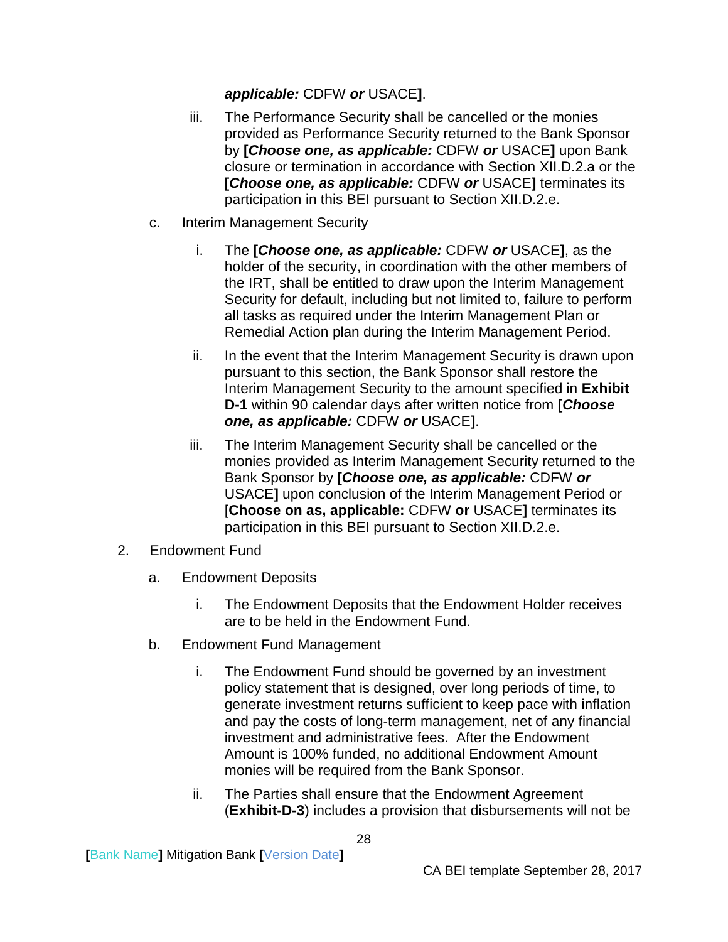## *applicable:* CDFW *or* USACE**]**.

- iii. The Performance Security shall be cancelled or the monies provided as Performance Security returned to the Bank Sponsor by **[***Choose one, as applicable:* CDFW *or* USACE**]** upon Bank closure or termination in accordance with Section XII.D.2.a or the **[***Choose one, as applicable:* CDFW *or* USACE**]** terminates its participation in this BEI pursuant to Section XII.D.2.e.
- c. Interim Management Security
	- i. The **[***Choose one, as applicable:* CDFW *or* USACE**]**, as the holder of the security, in coordination with the other members of the IRT, shall be entitled to draw upon the Interim Management Security for default, including but not limited to, failure to perform all tasks as required under the Interim Management Plan or Remedial Action plan during the Interim Management Period.
	- ii. In the event that the Interim Management Security is drawn upon pursuant to this section, the Bank Sponsor shall restore the Interim Management Security to the amount specified in **Exhibit D-1** within 90 calendar days after written notice from **[***Choose one, as applicable:* CDFW *or* USACE**]**.
	- iii. The Interim Management Security shall be cancelled or the monies provided as Interim Management Security returned to the Bank Sponsor by **[***Choose one, as applicable:* CDFW *or* USACE**]** upon conclusion of the Interim Management Period or [**Choose on as, applicable:** CDFW **or** USACE**]** terminates its participation in this BEI pursuant to Section XII.D.2.e.
- 2. Endowment Fund
	- a. Endowment Deposits
		- i. The Endowment Deposits that the Endowment Holder receives are to be held in the Endowment Fund.
	- b. Endowment Fund Management
		- i. The Endowment Fund should be governed by an investment policy statement that is designed, over long periods of time, to generate investment returns sufficient to keep pace with inflation and pay the costs of long-term management, net of any financial investment and administrative fees. After the Endowment Amount is 100% funded, no additional Endowment Amount monies will be required from the Bank Sponsor.
		- ii. The Parties shall ensure that the Endowment Agreement (**Exhibit-D-3**) includes a provision that disbursements will not be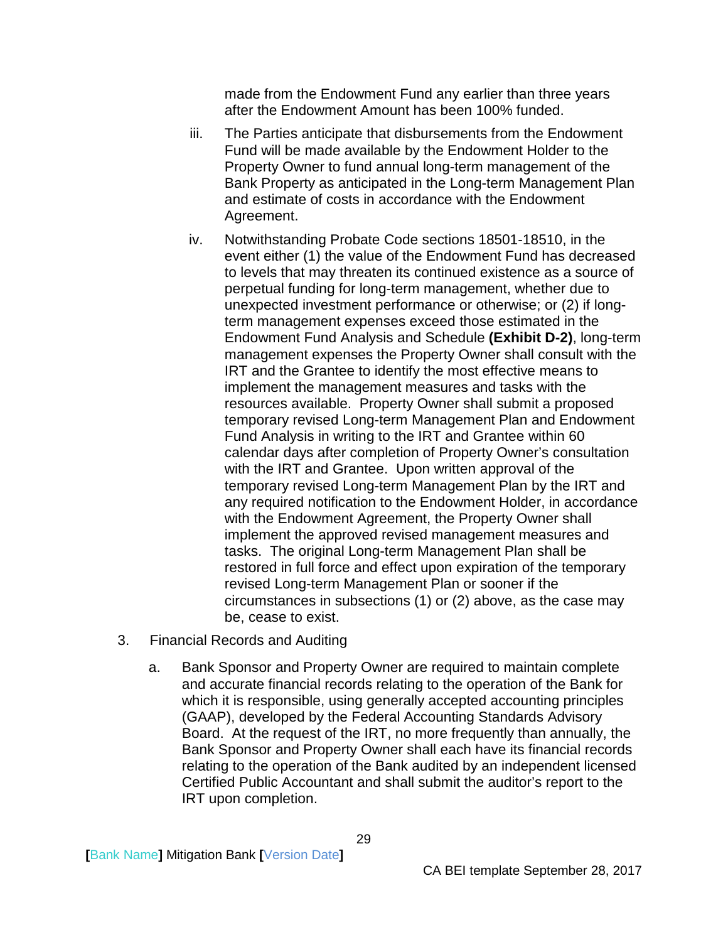made from the Endowment Fund any earlier than three years after the Endowment Amount has been 100% funded.

- iii. The Parties anticipate that disbursements from the Endowment Fund will be made available by the Endowment Holder to the Property Owner to fund annual long-term management of the Bank Property as anticipated in the Long-term Management Plan and estimate of costs in accordance with the Endowment Agreement.
- iv. Notwithstanding Probate Code sections 18501-18510, in the event either (1) the value of the Endowment Fund has decreased to levels that may threaten its continued existence as a source of perpetual funding for long-term management, whether due to unexpected investment performance or otherwise; or (2) if longterm management expenses exceed those estimated in the Endowment Fund Analysis and Schedule **(Exhibit D-2)**, long-term management expenses the Property Owner shall consult with the IRT and the Grantee to identify the most effective means to implement the management measures and tasks with the resources available. Property Owner shall submit a proposed temporary revised Long-term Management Plan and Endowment Fund Analysis in writing to the IRT and Grantee within 60 calendar days after completion of Property Owner's consultation with the IRT and Grantee. Upon written approval of the temporary revised Long-term Management Plan by the IRT and any required notification to the Endowment Holder, in accordance with the Endowment Agreement, the Property Owner shall implement the approved revised management measures and tasks. The original Long-term Management Plan shall be restored in full force and effect upon expiration of the temporary revised Long-term Management Plan or sooner if the circumstances in subsections (1) or (2) above, as the case may be, cease to exist.
- 3. Financial Records and Auditing
	- a. Bank Sponsor and Property Owner are required to maintain complete and accurate financial records relating to the operation of the Bank for which it is responsible, using generally accepted accounting principles (GAAP), developed by the Federal Accounting Standards Advisory Board. At the request of the IRT, no more frequently than annually, the Bank Sponsor and Property Owner shall each have its financial records relating to the operation of the Bank audited by an independent licensed Certified Public Accountant and shall submit the auditor's report to the IRT upon completion.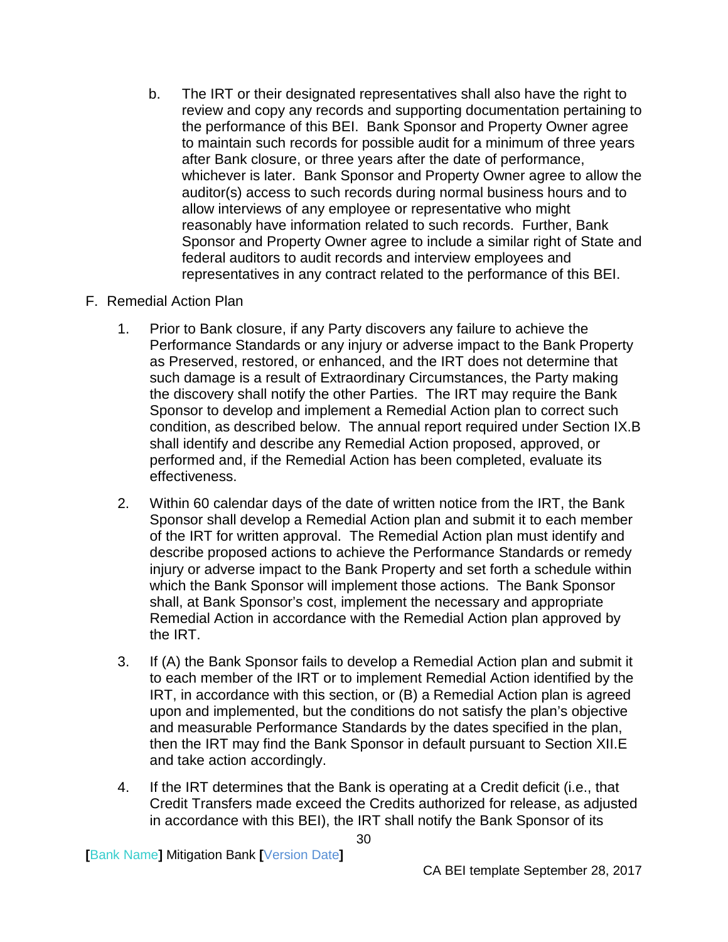b. The IRT or their designated representatives shall also have the right to review and copy any records and supporting documentation pertaining to the performance of this BEI. Bank Sponsor and Property Owner agree to maintain such records for possible audit for a minimum of three years after Bank closure, or three years after the date of performance, whichever is later. Bank Sponsor and Property Owner agree to allow the auditor(s) access to such records during normal business hours and to allow interviews of any employee or representative who might reasonably have information related to such records. Further, Bank Sponsor and Property Owner agree to include a similar right of State and federal auditors to audit records and interview employees and representatives in any contract related to the performance of this BEI.

### <span id="page-32-0"></span>F. Remedial Action Plan

- 1. Prior to Bank closure, if any Party discovers any failure to achieve the Performance Standards or any injury or adverse impact to the Bank Property as Preserved, restored, or enhanced, and the IRT does not determine that such damage is a result of Extraordinary Circumstances, the Party making the discovery shall notify the other Parties. The IRT may require the Bank Sponsor to develop and implement a Remedial Action plan to correct such condition, as described below. The annual report required under Section IX.B shall identify and describe any Remedial Action proposed, approved, or performed and, if the Remedial Action has been completed, evaluate its effectiveness.
- 2. Within 60 calendar days of the date of written notice from the IRT, the Bank Sponsor shall develop a Remedial Action plan and submit it to each member of the IRT for written approval. The Remedial Action plan must identify and describe proposed actions to achieve the Performance Standards or remedy injury or adverse impact to the Bank Property and set forth a schedule within which the Bank Sponsor will implement those actions. The Bank Sponsor shall, at Bank Sponsor's cost, implement the necessary and appropriate Remedial Action in accordance with the Remedial Action plan approved by the IRT.
- 3. If (A) the Bank Sponsor fails to develop a Remedial Action plan and submit it to each member of the IRT or to implement Remedial Action identified by the IRT, in accordance with this section, or (B) a Remedial Action plan is agreed upon and implemented, but the conditions do not satisfy the plan's objective and measurable Performance Standards by the dates specified in the plan, then the IRT may find the Bank Sponsor in default pursuant to Section XII.E and take action accordingly.
- 4. If the IRT determines that the Bank is operating at a Credit deficit (i.e., that Credit Transfers made exceed the Credits authorized for release, as adjusted in accordance with this BEI), the IRT shall notify the Bank Sponsor of its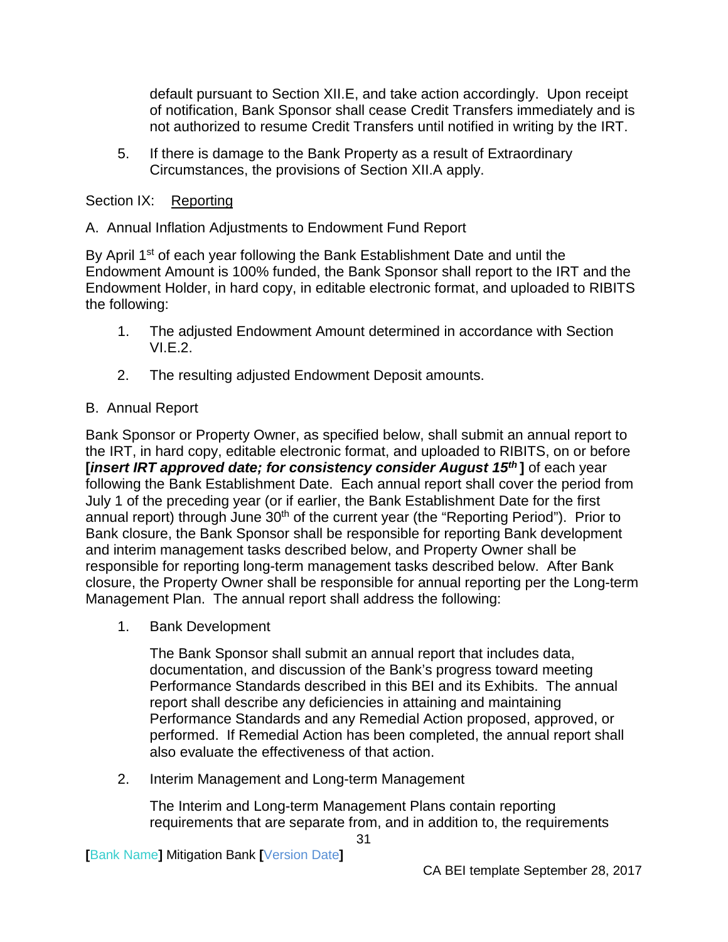default pursuant to Section XII.E, and take action accordingly. Upon receipt of notification, Bank Sponsor shall cease Credit Transfers immediately and is not authorized to resume Credit Transfers until notified in writing by the IRT.

5. If there is damage to the Bank Property as a result of Extraordinary Circumstances, the provisions of Section XII.A apply.

## <span id="page-33-0"></span>Section IX: Reporting

## <span id="page-33-1"></span>A. Annual Inflation Adjustments to Endowment Fund Report

By April 1<sup>st</sup> of each year following the Bank Establishment Date and until the Endowment Amount is 100% funded, the Bank Sponsor shall report to the IRT and the Endowment Holder, in hard copy, in editable electronic format, and uploaded to RIBITS the following:

- 1. The adjusted Endowment Amount determined in accordance with Section VI.E.2.
- 2. The resulting adjusted Endowment Deposit amounts.

## <span id="page-33-2"></span>B. Annual Report

Bank Sponsor or Property Owner, as specified below, shall submit an annual report to the IRT, in hard copy, editable electronic format, and uploaded to RIBITS, on or before *<u>insert IRT approved date; for consistency consider August 15<sup>th</sup></u> of each year* following the Bank Establishment Date. Each annual report shall cover the period from July 1 of the preceding year (or if earlier, the Bank Establishment Date for the first annual report) through June 30<sup>th</sup> of the current year (the "Reporting Period"). Prior to Bank closure, the Bank Sponsor shall be responsible for reporting Bank development and interim management tasks described below, and Property Owner shall be responsible for reporting long-term management tasks described below. After Bank closure, the Property Owner shall be responsible for annual reporting per the Long-term Management Plan. The annual report shall address the following:

1. Bank Development

The Bank Sponsor shall submit an annual report that includes data, documentation, and discussion of the Bank's progress toward meeting Performance Standards described in this BEI and its Exhibits. The annual report shall describe any deficiencies in attaining and maintaining Performance Standards and any Remedial Action proposed, approved, or performed. If Remedial Action has been completed, the annual report shall also evaluate the effectiveness of that action.

2. Interim Management and Long-term Management

The Interim and Long-term Management Plans contain reporting requirements that are separate from, and in addition to, the requirements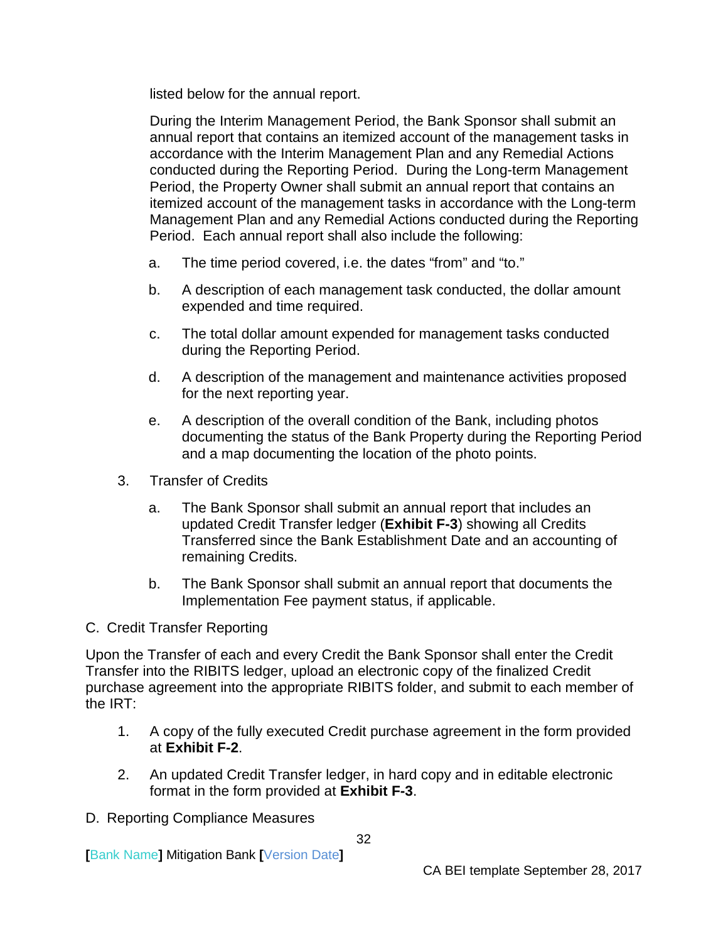listed below for the annual report.

During the Interim Management Period, the Bank Sponsor shall submit an annual report that contains an itemized account of the management tasks in accordance with the Interim Management Plan and any Remedial Actions conducted during the Reporting Period. During the Long-term Management Period, the Property Owner shall submit an annual report that contains an itemized account of the management tasks in accordance with the Long-term Management Plan and any Remedial Actions conducted during the Reporting Period. Each annual report shall also include the following:

- a. The time period covered, i.e. the dates "from" and "to."
- b. A description of each management task conducted, the dollar amount expended and time required.
- c. The total dollar amount expended for management tasks conducted during the Reporting Period.
- d. A description of the management and maintenance activities proposed for the next reporting year.
- e. A description of the overall condition of the Bank, including photos documenting the status of the Bank Property during the Reporting Period and a map documenting the location of the photo points.
- 3. Transfer of Credits
	- a. The Bank Sponsor shall submit an annual report that includes an updated Credit Transfer ledger (**Exhibit F-3**) showing all Credits Transferred since the Bank Establishment Date and an accounting of remaining Credits.
	- b. The Bank Sponsor shall submit an annual report that documents the Implementation Fee payment status, if applicable.

#### <span id="page-34-0"></span>C. Credit Transfer Reporting

Upon the Transfer of each and every Credit the Bank Sponsor shall enter the Credit Transfer into the RIBITS ledger, upload an electronic copy of the finalized Credit purchase agreement into the appropriate RIBITS folder, and submit to each member of the IRT:

- 1. A copy of the fully executed Credit purchase agreement in the form provided at **Exhibit F-2**.
- 2. An updated Credit Transfer ledger, in hard copy and in editable electronic format in the form provided at **Exhibit F-3**.
- <span id="page-34-1"></span>D. Reporting Compliance Measures

**[**Bank Name**]** Mitigation Bank **[**Version Date**]**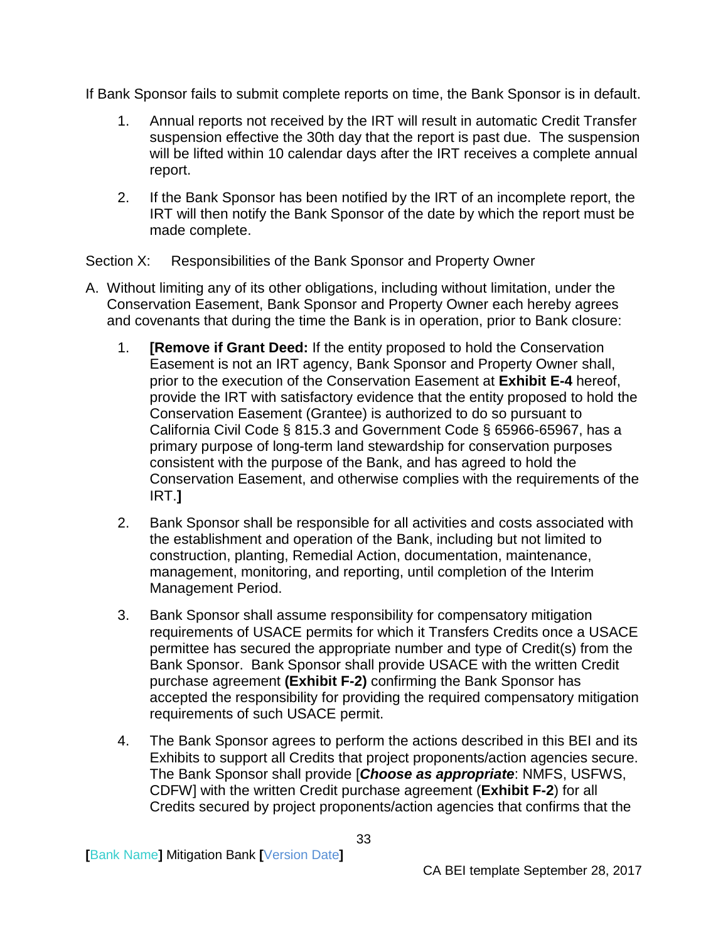If Bank Sponsor fails to submit complete reports on time, the Bank Sponsor is in default.

- 1. Annual reports not received by the IRT will result in automatic Credit Transfer suspension effective the 30th day that the report is past due. The suspension will be lifted within 10 calendar days after the IRT receives a complete annual report.
- 2. If the Bank Sponsor has been notified by the IRT of an incomplete report, the IRT will then notify the Bank Sponsor of the date by which the report must be made complete.

<span id="page-35-0"></span>Section X: Responsibilities of the Bank Sponsor and Property Owner

- A. Without limiting any of its other obligations, including without limitation, under the Conservation Easement, Bank Sponsor and Property Owner each hereby agrees and covenants that during the time the Bank is in operation, prior to Bank closure:
	- 1. **[Remove if Grant Deed:** If the entity proposed to hold the Conservation Easement is not an IRT agency, Bank Sponsor and Property Owner shall, prior to the execution of the Conservation Easement at **Exhibit E-4** hereof, provide the IRT with satisfactory evidence that the entity proposed to hold the Conservation Easement (Grantee) is authorized to do so pursuant to California Civil Code § 815.3 and Government Code § 65966-65967, has a primary purpose of long-term land stewardship for conservation purposes consistent with the purpose of the Bank, and has agreed to hold the Conservation Easement, and otherwise complies with the requirements of the IRT.**]**
	- 2. Bank Sponsor shall be responsible for all activities and costs associated with the establishment and operation of the Bank, including but not limited to construction, planting, Remedial Action, documentation, maintenance, management, monitoring, and reporting, until completion of the Interim Management Period.
	- 3. Bank Sponsor shall assume responsibility for compensatory mitigation requirements of USACE permits for which it Transfers Credits once a USACE permittee has secured the appropriate number and type of Credit(s) from the Bank Sponsor. Bank Sponsor shall provide USACE with the written Credit purchase agreement **(Exhibit F-2)** confirming the Bank Sponsor has accepted the responsibility for providing the required compensatory mitigation requirements of such USACE permit.
	- 4. The Bank Sponsor agrees to perform the actions described in this BEI and its Exhibits to support all Credits that project proponents/action agencies secure. The Bank Sponsor shall provide [*Choose as appropriate*: NMFS, USFWS, CDFW] with the written Credit purchase agreement (**Exhibit F-2**) for all Credits secured by project proponents/action agencies that confirms that the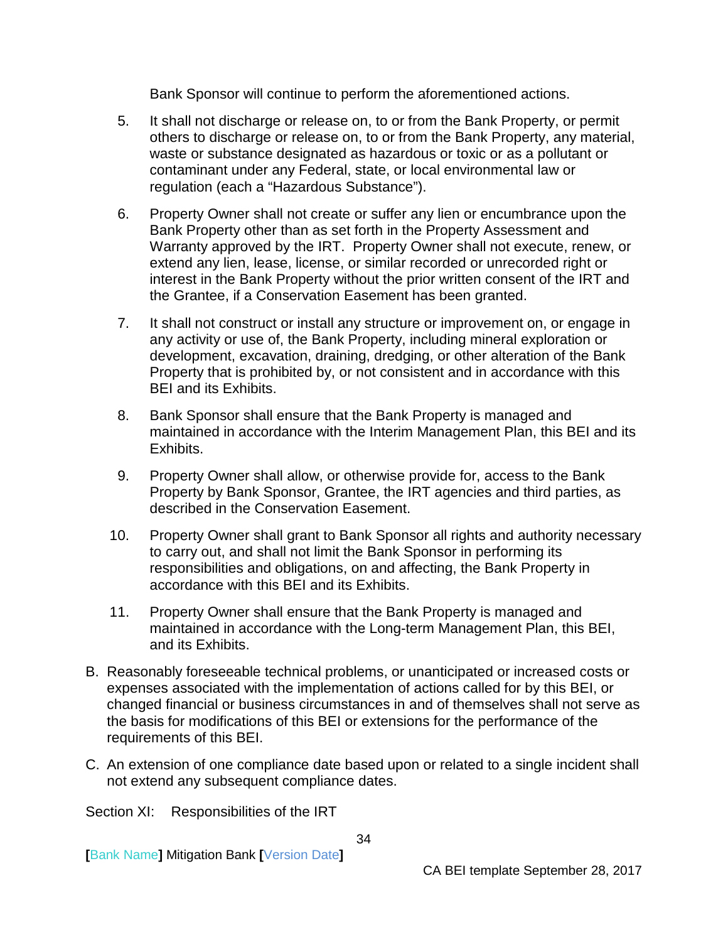Bank Sponsor will continue to perform the aforementioned actions.

- 5. It shall not discharge or release on, to or from the Bank Property, or permit others to discharge or release on, to or from the Bank Property, any material, waste or substance designated as hazardous or toxic or as a pollutant or contaminant under any Federal, state, or local environmental law or regulation (each a "Hazardous Substance").
- 6. Property Owner shall not create or suffer any lien or encumbrance upon the Bank Property other than as set forth in the Property Assessment and Warranty approved by the IRT. Property Owner shall not execute, renew, or extend any lien, lease, license, or similar recorded or unrecorded right or interest in the Bank Property without the prior written consent of the IRT and the Grantee, if a Conservation Easement has been granted.
- 7. It shall not construct or install any structure or improvement on, or engage in any activity or use of, the Bank Property, including mineral exploration or development, excavation, draining, dredging, or other alteration of the Bank Property that is prohibited by, or not consistent and in accordance with this BEI and its Exhibits.
- 8. Bank Sponsor shall ensure that the Bank Property is managed and maintained in accordance with the Interim Management Plan, this BEI and its Exhibits.
- 9. Property Owner shall allow, or otherwise provide for, access to the Bank Property by Bank Sponsor, Grantee, the IRT agencies and third parties, as described in the Conservation Easement.
- 10. Property Owner shall grant to Bank Sponsor all rights and authority necessary to carry out, and shall not limit the Bank Sponsor in performing its responsibilities and obligations, on and affecting, the Bank Property in accordance with this BEI and its Exhibits.
- 11. Property Owner shall ensure that the Bank Property is managed and maintained in accordance with the Long-term Management Plan, this BEI, and its Exhibits.
- B. Reasonably foreseeable technical problems, or unanticipated or increased costs or expenses associated with the implementation of actions called for by this BEI, or changed financial or business circumstances in and of themselves shall not serve as the basis for modifications of this BEI or extensions for the performance of the requirements of this BEI.
- C. An extension of one compliance date based upon or related to a single incident shall not extend any subsequent compliance dates.

<span id="page-36-0"></span>Section XI: Responsibilities of the IRT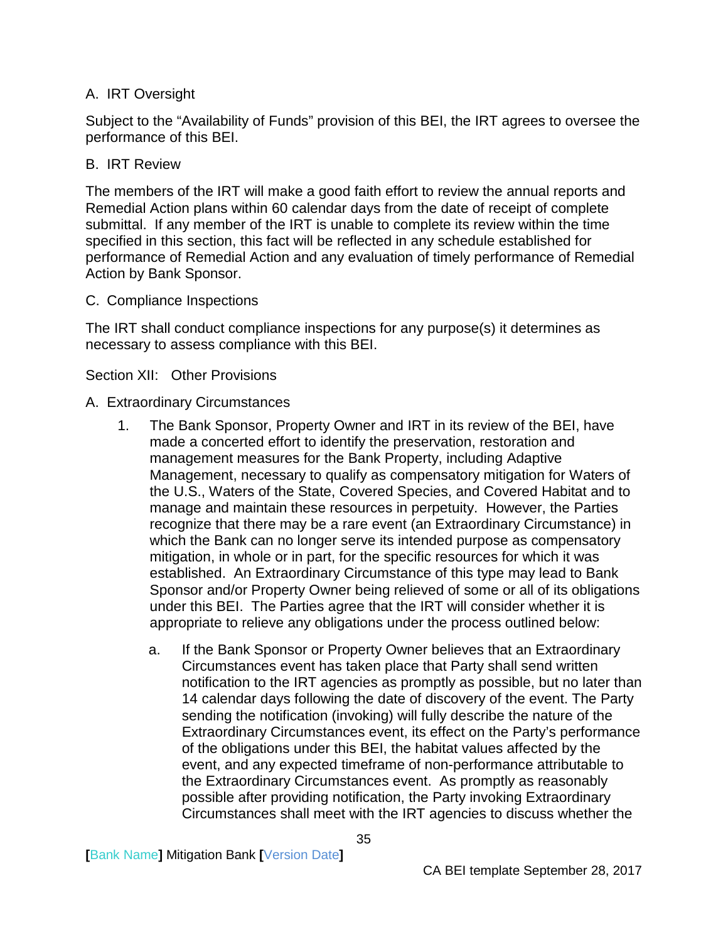### <span id="page-37-0"></span>A. IRT Oversight

Subject to the "Availability of Funds" provision of this BEI, the IRT agrees to oversee the performance of this BEI.

### <span id="page-37-1"></span>B. IRT Review

The members of the IRT will make a good faith effort to review the annual reports and Remedial Action plans within 60 calendar days from the date of receipt of complete submittal. If any member of the IRT is unable to complete its review within the time specified in this section, this fact will be reflected in any schedule established for performance of Remedial Action and any evaluation of timely performance of Remedial Action by Bank Sponsor.

### <span id="page-37-2"></span>C. Compliance Inspections

The IRT shall conduct compliance inspections for any purpose(s) it determines as necessary to assess compliance with this BEI.

### <span id="page-37-3"></span>Section XII: Other Provisions

### <span id="page-37-4"></span>A. Extraordinary Circumstances

- 1. The Bank Sponsor, Property Owner and IRT in its review of the BEI, have made a concerted effort to identify the preservation, restoration and management measures for the Bank Property, including Adaptive Management, necessary to qualify as compensatory mitigation for Waters of the U.S., Waters of the State, Covered Species, and Covered Habitat and to manage and maintain these resources in perpetuity. However, the Parties recognize that there may be a rare event (an Extraordinary Circumstance) in which the Bank can no longer serve its intended purpose as compensatory mitigation, in whole or in part, for the specific resources for which it was established. An Extraordinary Circumstance of this type may lead to Bank Sponsor and/or Property Owner being relieved of some or all of its obligations under this BEI. The Parties agree that the IRT will consider whether it is appropriate to relieve any obligations under the process outlined below:
	- a. If the Bank Sponsor or Property Owner believes that an Extraordinary Circumstances event has taken place that Party shall send written notification to the IRT agencies as promptly as possible, but no later than 14 calendar days following the date of discovery of the event. The Party sending the notification (invoking) will fully describe the nature of the Extraordinary Circumstances event, its effect on the Party's performance of the obligations under this BEI, the habitat values affected by the event, and any expected timeframe of non-performance attributable to the Extraordinary Circumstances event. As promptly as reasonably possible after providing notification, the Party invoking Extraordinary Circumstances shall meet with the IRT agencies to discuss whether the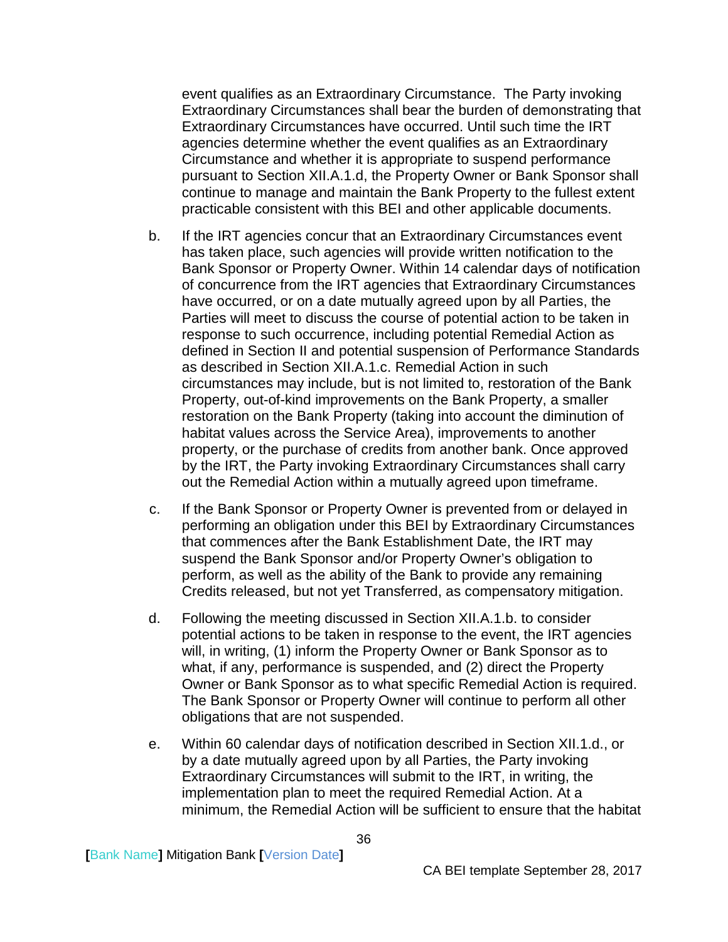event qualifies as an Extraordinary Circumstance. The Party invoking Extraordinary Circumstances shall bear the burden of demonstrating that Extraordinary Circumstances have occurred. Until such time the IRT agencies determine whether the event qualifies as an Extraordinary Circumstance and whether it is appropriate to suspend performance pursuant to Section XII.A.1.d, the Property Owner or Bank Sponsor shall continue to manage and maintain the Bank Property to the fullest extent practicable consistent with this BEI and other applicable documents.

- b. If the IRT agencies concur that an Extraordinary Circumstances event has taken place, such agencies will provide written notification to the Bank Sponsor or Property Owner. Within 14 calendar days of notification of concurrence from the IRT agencies that Extraordinary Circumstances have occurred, or on a date mutually agreed upon by all Parties, the Parties will meet to discuss the course of potential action to be taken in response to such occurrence, including potential Remedial Action as defined in Section II and potential suspension of Performance Standards as described in Section XII.A.1.c. Remedial Action in such circumstances may include, but is not limited to, restoration of the Bank Property, out-of-kind improvements on the Bank Property, a smaller restoration on the Bank Property (taking into account the diminution of habitat values across the Service Area), improvements to another property, or the purchase of credits from another bank. Once approved by the IRT, the Party invoking Extraordinary Circumstances shall carry out the Remedial Action within a mutually agreed upon timeframe.
- c. If the Bank Sponsor or Property Owner is prevented from or delayed in performing an obligation under this BEI by Extraordinary Circumstances that commences after the Bank Establishment Date, the IRT may suspend the Bank Sponsor and/or Property Owner's obligation to perform, as well as the ability of the Bank to provide any remaining Credits released, but not yet Transferred, as compensatory mitigation.
- d. Following the meeting discussed in Section XII.A.1.b. to consider potential actions to be taken in response to the event, the IRT agencies will, in writing, (1) inform the Property Owner or Bank Sponsor as to what, if any, performance is suspended, and (2) direct the Property Owner or Bank Sponsor as to what specific Remedial Action is required. The Bank Sponsor or Property Owner will continue to perform all other obligations that are not suspended.
- e. Within 60 calendar days of notification described in Section XII.1.d., or by a date mutually agreed upon by all Parties, the Party invoking Extraordinary Circumstances will submit to the IRT, in writing, the implementation plan to meet the required Remedial Action. At a minimum, the Remedial Action will be sufficient to ensure that the habitat

**[**Bank Name**]** Mitigation Bank **[**Version Date**]**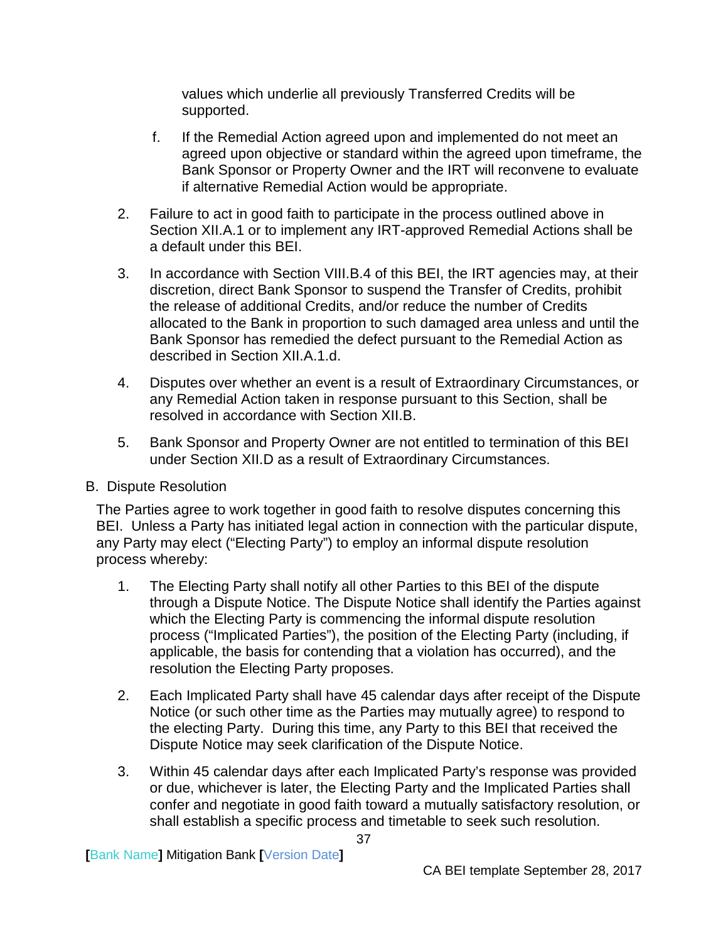values which underlie all previously Transferred Credits will be supported.

- f. If the Remedial Action agreed upon and implemented do not meet an agreed upon objective or standard within the agreed upon timeframe, the Bank Sponsor or Property Owner and the IRT will reconvene to evaluate if alternative Remedial Action would be appropriate.
- 2. Failure to act in good faith to participate in the process outlined above in Section XII.A.1 or to implement any IRT-approved Remedial Actions shall be a default under this BEI.
- 3. In accordance with Section VIII.B.4 of this BEI, the IRT agencies may, at their discretion, direct Bank Sponsor to suspend the Transfer of Credits, prohibit the release of additional Credits, and/or reduce the number of Credits allocated to the Bank in proportion to such damaged area unless and until the Bank Sponsor has remedied the defect pursuant to the Remedial Action as described in Section XII.A.1.d.
- 4. Disputes over whether an event is a result of Extraordinary Circumstances, or any Remedial Action taken in response pursuant to this Section, shall be resolved in accordance with Section XII.B.
- 5. Bank Sponsor and Property Owner are not entitled to termination of this BEI under Section XII.D as a result of Extraordinary Circumstances.

#### <span id="page-39-0"></span>B. Dispute Resolution

The Parties agree to work together in good faith to resolve disputes concerning this BEI. Unless a Party has initiated legal action in connection with the particular dispute, any Party may elect ("Electing Party") to employ an informal dispute resolution process whereby:

- 1. The Electing Party shall notify all other Parties to this BEI of the dispute through a Dispute Notice. The Dispute Notice shall identify the Parties against which the Electing Party is commencing the informal dispute resolution process ("Implicated Parties"), the position of the Electing Party (including, if applicable, the basis for contending that a violation has occurred), and the resolution the Electing Party proposes.
- 2. Each Implicated Party shall have 45 calendar days after receipt of the Dispute Notice (or such other time as the Parties may mutually agree) to respond to the electing Party. During this time, any Party to this BEI that received the Dispute Notice may seek clarification of the Dispute Notice.
- 3. Within 45 calendar days after each Implicated Party's response was provided or due, whichever is later, the Electing Party and the Implicated Parties shall confer and negotiate in good faith toward a mutually satisfactory resolution, or shall establish a specific process and timetable to seek such resolution.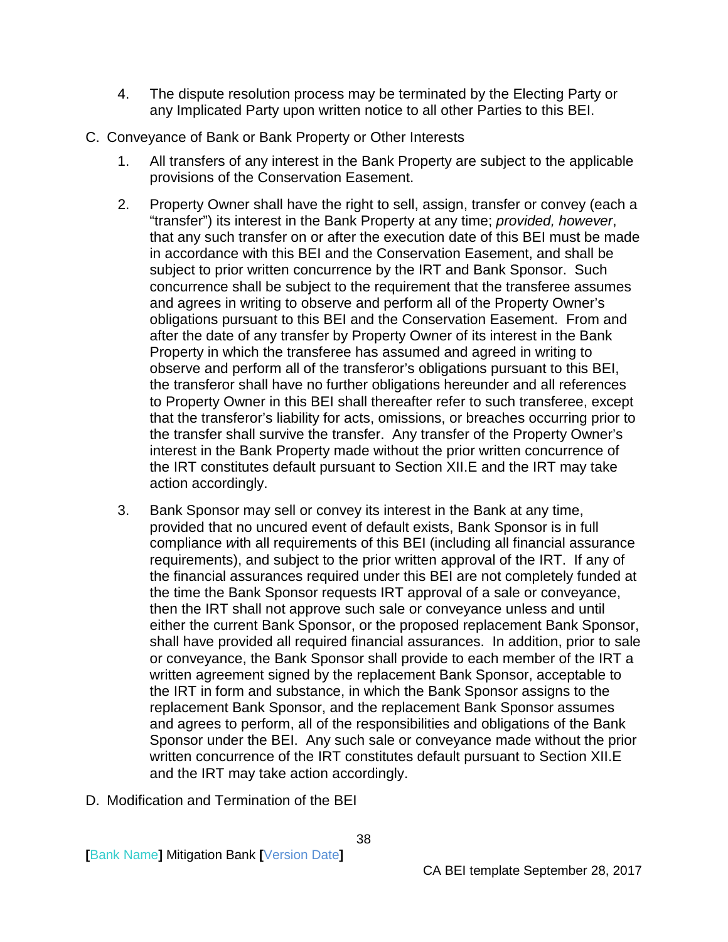- 4. The dispute resolution process may be terminated by the Electing Party or any Implicated Party upon written notice to all other Parties to this BEI.
- <span id="page-40-0"></span>C. Conveyance of Bank or Bank Property or Other Interests
	- 1. All transfers of any interest in the Bank Property are subject to the applicable provisions of the Conservation Easement.
	- 2. Property Owner shall have the right to sell, assign, transfer or convey (each a "transfer") its interest in the Bank Property at any time; *provided, however*, that any such transfer on or after the execution date of this BEI must be made in accordance with this BEI and the Conservation Easement, and shall be subject to prior written concurrence by the IRT and Bank Sponsor. Such concurrence shall be subject to the requirement that the transferee assumes and agrees in writing to observe and perform all of the Property Owner's obligations pursuant to this BEI and the Conservation Easement. From and after the date of any transfer by Property Owner of its interest in the Bank Property in which the transferee has assumed and agreed in writing to observe and perform all of the transferor's obligations pursuant to this BEI, the transferor shall have no further obligations hereunder and all references to Property Owner in this BEI shall thereafter refer to such transferee, except that the transferor's liability for acts, omissions, or breaches occurring prior to the transfer shall survive the transfer. Any transfer of the Property Owner's interest in the Bank Property made without the prior written concurrence of the IRT constitutes default pursuant to Section XII.E and the IRT may take action accordingly.
	- 3. Bank Sponsor may sell or convey its interest in the Bank at any time, provided that no uncured event of default exists, Bank Sponsor is in full compliance *w*ith all requirements of this BEI (including all financial assurance requirements), and subject to the prior written approval of the IRT. If any of the financial assurances required under this BEI are not completely funded at the time the Bank Sponsor requests IRT approval of a sale or conveyance, then the IRT shall not approve such sale or conveyance unless and until either the current Bank Sponsor, or the proposed replacement Bank Sponsor, shall have provided all required financial assurances. In addition, prior to sale or conveyance, the Bank Sponsor shall provide to each member of the IRT a written agreement signed by the replacement Bank Sponsor, acceptable to the IRT in form and substance, in which the Bank Sponsor assigns to the replacement Bank Sponsor, and the replacement Bank Sponsor assumes and agrees to perform, all of the responsibilities and obligations of the Bank Sponsor under the BEI. Any such sale or conveyance made without the prior written concurrence of the IRT constitutes default pursuant to Section XII.E and the IRT may take action accordingly.
- <span id="page-40-1"></span>D. Modification and Termination of the BEI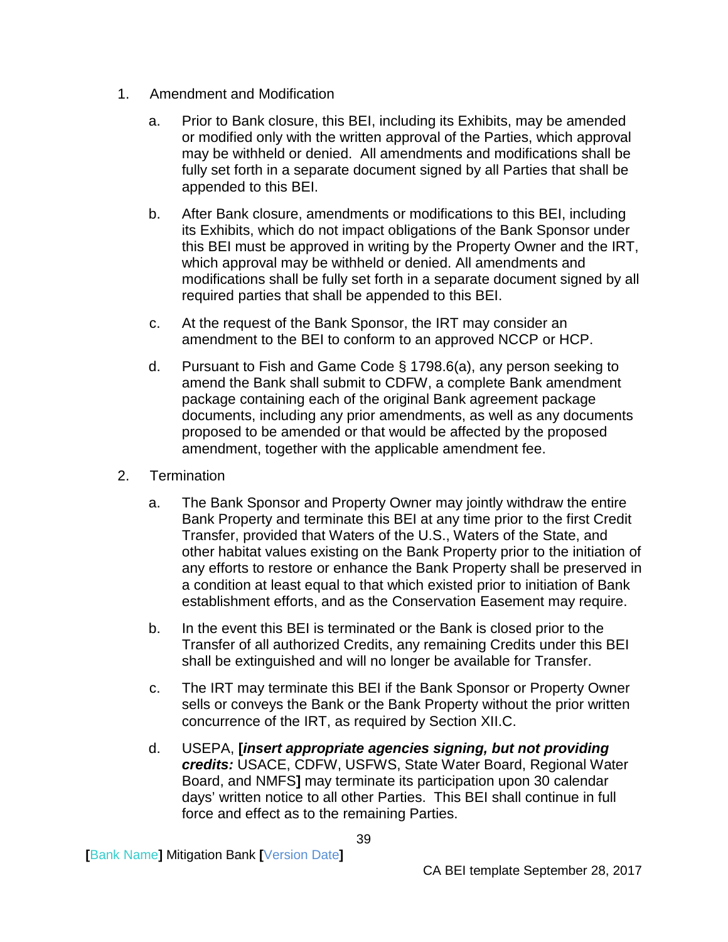- 1. Amendment and Modification
	- a. Prior to Bank closure, this BEI, including its Exhibits, may be amended or modified only with the written approval of the Parties, which approval may be withheld or denied. All amendments and modifications shall be fully set forth in a separate document signed by all Parties that shall be appended to this BEI.
	- b. After Bank closure, amendments or modifications to this BEI, including its Exhibits, which do not impact obligations of the Bank Sponsor under this BEI must be approved in writing by the Property Owner and the IRT, which approval may be withheld or denied. All amendments and modifications shall be fully set forth in a separate document signed by all required parties that shall be appended to this BEI.
	- c. At the request of the Bank Sponsor, the IRT may consider an amendment to the BEI to conform to an approved NCCP or HCP.
	- d. Pursuant to Fish and Game Code § 1798.6(a), any person seeking to amend the Bank shall submit to CDFW, a complete Bank amendment package containing each of the original Bank agreement package documents, including any prior amendments, as well as any documents proposed to be amended or that would be affected by the proposed amendment, together with the applicable amendment fee.
- 2. Termination
	- a. The Bank Sponsor and Property Owner may jointly withdraw the entire Bank Property and terminate this BEI at any time prior to the first Credit Transfer, provided that Waters of the U.S., Waters of the State, and other habitat values existing on the Bank Property prior to the initiation of any efforts to restore or enhance the Bank Property shall be preserved in a condition at least equal to that which existed prior to initiation of Bank establishment efforts, and as the Conservation Easement may require.
	- b. In the event this BEI is terminated or the Bank is closed prior to the Transfer of all authorized Credits, any remaining Credits under this BEI shall be extinguished and will no longer be available for Transfer.
	- c. The IRT may terminate this BEI if the Bank Sponsor or Property Owner sells or conveys the Bank or the Bank Property without the prior written concurrence of the IRT, as required by Section XII.C.
	- d. USEPA, **[***insert appropriate agencies signing, but not providing credits:* USACE, CDFW, USFWS, State Water Board, Regional Water Board, and NMFS**]** may terminate its participation upon 30 calendar days' written notice to all other Parties. This BEI shall continue in full force and effect as to the remaining Parties.

**[**Bank Name**]** Mitigation Bank **[**Version Date**]**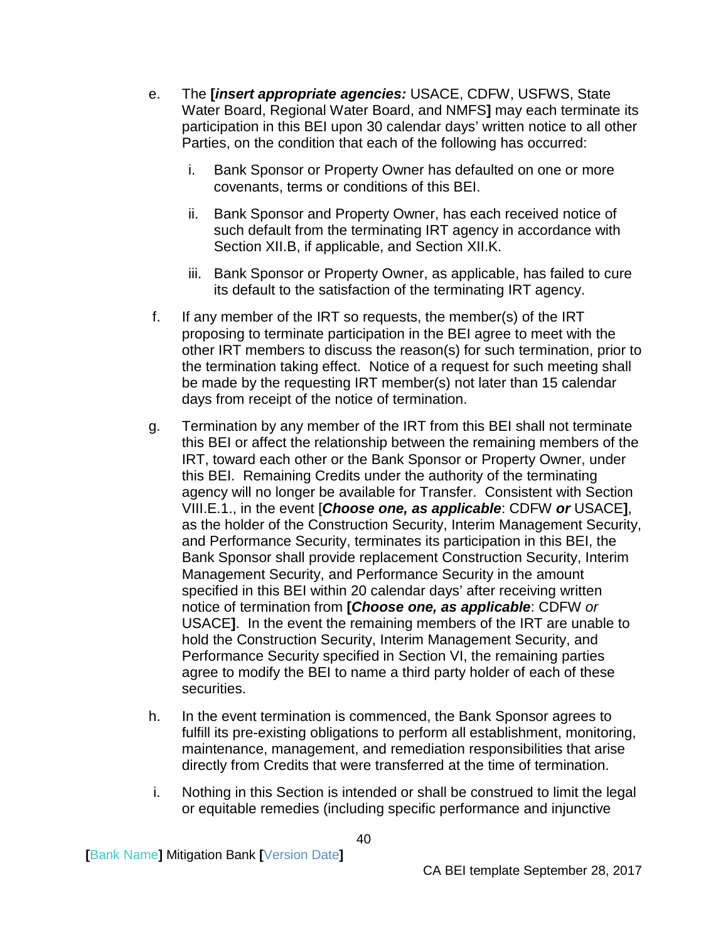- e. The **[***insert appropriate agencies:* USACE, CDFW, USFWS, State Water Board, Regional Water Board, and NMFS**]** may each terminate its participation in this BEI upon 30 calendar days' written notice to all other Parties, on the condition that each of the following has occurred:
	- i. Bank Sponsor or Property Owner has defaulted on one or more covenants, terms or conditions of this BEI.
	- ii. Bank Sponsor and Property Owner, has each received notice of such default from the terminating IRT agency in accordance with Section XII.B, if applicable, and Section XII.K.
	- iii. Bank Sponsor or Property Owner, as applicable, has failed to cure its default to the satisfaction of the terminating IRT agency.
- f. If any member of the IRT so requests, the member(s) of the IRT proposing to terminate participation in the BEI agree to meet with the other IRT members to discuss the reason(s) for such termination, prior to the termination taking effect. Notice of a request for such meeting shall be made by the requesting IRT member(s) not later than 15 calendar days from receipt of the notice of termination.
- g. Termination by any member of the IRT from this BEI shall not terminate this BEI or affect the relationship between the remaining members of the IRT, toward each other or the Bank Sponsor or Property Owner, under this BEI. Remaining Credits under the authority of the terminating agency will no longer be available for Transfer. Consistent with Section VIII.E.1., in the event [*Choose one, as applicable*: CDFW *or* USACE**]**, as the holder of the Construction Security, Interim Management Security, and Performance Security, terminates its participation in this BEI, the Bank Sponsor shall provide replacement Construction Security, Interim Management Security, and Performance Security in the amount specified in this BEI within 20 calendar days' after receiving written notice of termination from **[***Choose one, as applicable*: CDFW *or* USACE**]**. In the event the remaining members of the IRT are unable to hold the Construction Security, Interim Management Security, and Performance Security specified in Section VI, the remaining parties agree to modify the BEI to name a third party holder of each of these securities.
- h. In the event termination is commenced, the Bank Sponsor agrees to fulfill its pre-existing obligations to perform all establishment, monitoring, maintenance, management, and remediation responsibilities that arise directly from Credits that were transferred at the time of termination.
- i. Nothing in this Section is intended or shall be construed to limit the legal or equitable remedies (including specific performance and injunctive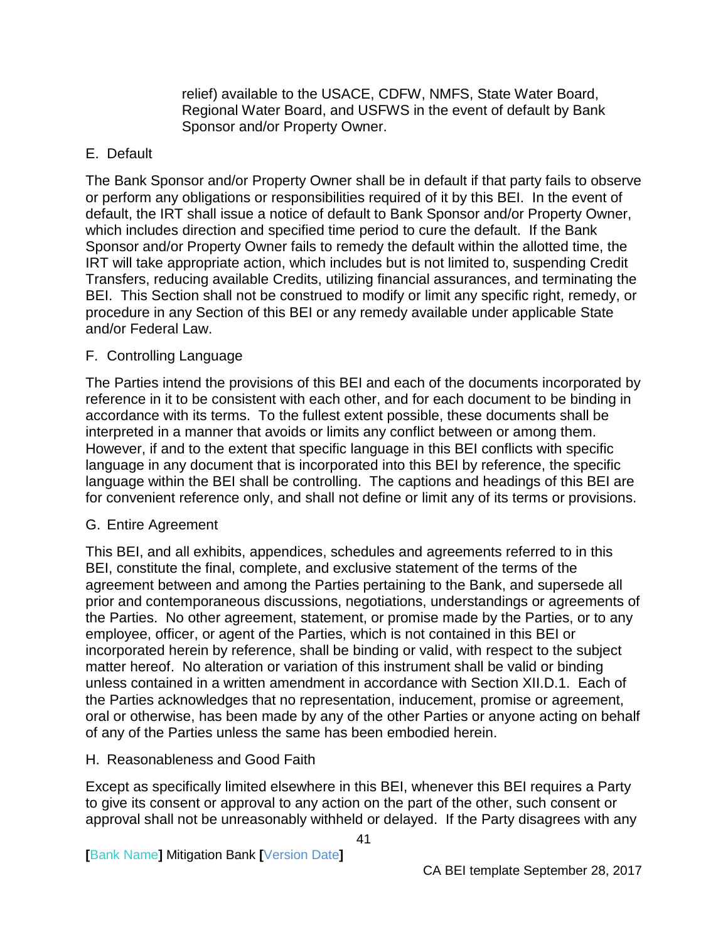relief) available to the USACE, CDFW, NMFS, State Water Board, Regional Water Board, and USFWS in the event of default by Bank Sponsor and/or Property Owner.

### <span id="page-43-0"></span>E. Default

The Bank Sponsor and/or Property Owner shall be in default if that party fails to observe or perform any obligations or responsibilities required of it by this BEI. In the event of default, the IRT shall issue a notice of default to Bank Sponsor and/or Property Owner, which includes direction and specified time period to cure the default. If the Bank Sponsor and/or Property Owner fails to remedy the default within the allotted time, the IRT will take appropriate action, which includes but is not limited to, suspending Credit Transfers, reducing available Credits, utilizing financial assurances, and terminating the BEI. This Section shall not be construed to modify or limit any specific right, remedy, or procedure in any Section of this BEI or any remedy available under applicable State and/or Federal Law.

### <span id="page-43-1"></span>F. Controlling Language

The Parties intend the provisions of this BEI and each of the documents incorporated by reference in it to be consistent with each other, and for each document to be binding in accordance with its terms. To the fullest extent possible, these documents shall be interpreted in a manner that avoids or limits any conflict between or among them. However, if and to the extent that specific language in this BEI conflicts with specific language in any document that is incorporated into this BEI by reference, the specific language within the BEI shall be controlling. The captions and headings of this BEI are for convenient reference only, and shall not define or limit any of its terms or provisions.

#### <span id="page-43-2"></span>G. Entire Agreement

This BEI, and all exhibits, appendices, schedules and agreements referred to in this BEI, constitute the final, complete, and exclusive statement of the terms of the agreement between and among the Parties pertaining to the Bank, and supersede all prior and contemporaneous discussions, negotiations, understandings or agreements of the Parties. No other agreement, statement, or promise made by the Parties, or to any employee, officer, or agent of the Parties, which is not contained in this BEI or incorporated herein by reference, shall be binding or valid, with respect to the subject matter hereof. No alteration or variation of this instrument shall be valid or binding unless contained in a written amendment in accordance with Section XII.D.1. Each of the Parties acknowledges that no representation, inducement, promise or agreement, oral or otherwise, has been made by any of the other Parties or anyone acting on behalf of any of the Parties unless the same has been embodied herein.

#### <span id="page-43-3"></span>H. Reasonableness and Good Faith

Except as specifically limited elsewhere in this BEI, whenever this BEI requires a Party to give its consent or approval to any action on the part of the other, such consent or approval shall not be unreasonably withheld or delayed. If the Party disagrees with any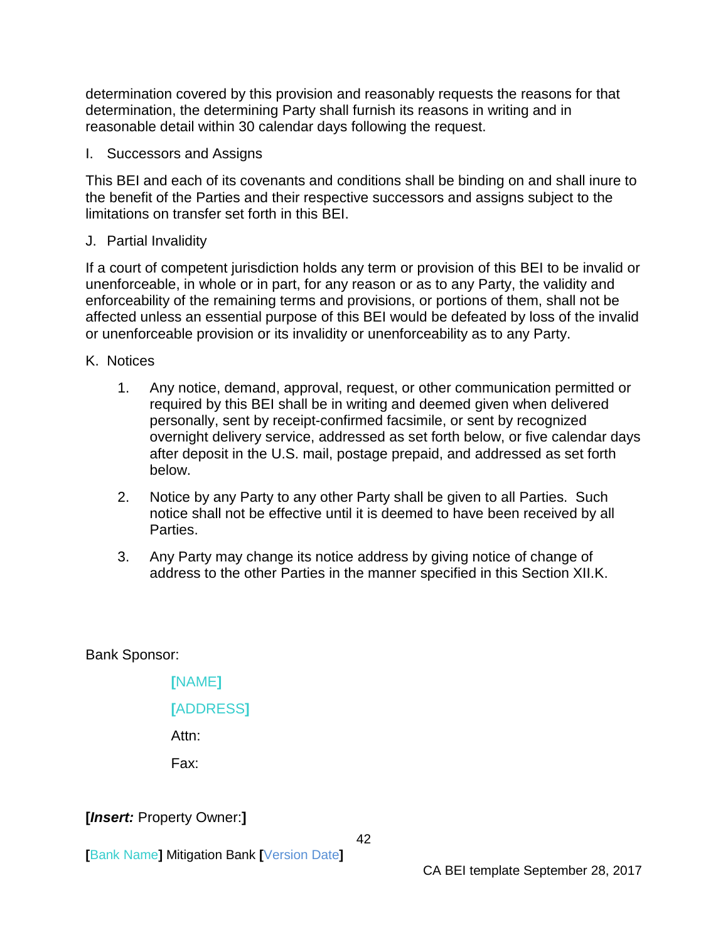determination covered by this provision and reasonably requests the reasons for that determination, the determining Party shall furnish its reasons in writing and in reasonable detail within 30 calendar days following the request.

<span id="page-44-0"></span>I. Successors and Assigns

This BEI and each of its covenants and conditions shall be binding on and shall inure to the benefit of the Parties and their respective successors and assigns subject to the limitations on transfer set forth in this BEI.

<span id="page-44-1"></span>J. Partial Invalidity

If a court of competent jurisdiction holds any term or provision of this BEI to be invalid or unenforceable, in whole or in part, for any reason or as to any Party, the validity and enforceability of the remaining terms and provisions, or portions of them, shall not be affected unless an essential purpose of this BEI would be defeated by loss of the invalid or unenforceable provision or its invalidity or unenforceability as to any Party.

- <span id="page-44-2"></span>K. Notices
	- 1. Any notice, demand, approval, request, or other communication permitted or required by this BEI shall be in writing and deemed given when delivered personally, sent by receipt-confirmed facsimile, or sent by recognized overnight delivery service, addressed as set forth below, or five calendar days after deposit in the U.S. mail, postage prepaid, and addressed as set forth below.
	- 2. Notice by any Party to any other Party shall be given to all Parties. Such notice shall not be effective until it is deemed to have been received by all Parties.
	- 3. Any Party may change its notice address by giving notice of change of address to the other Parties in the manner specified in this Section XII.K.

Bank Sponsor:

**[**NAME**] [**ADDRESS**]** Attn: Fax:

**[***Insert:* Property Owner:**]**

**[**Bank Name**]** Mitigation Bank **[**Version Date**]**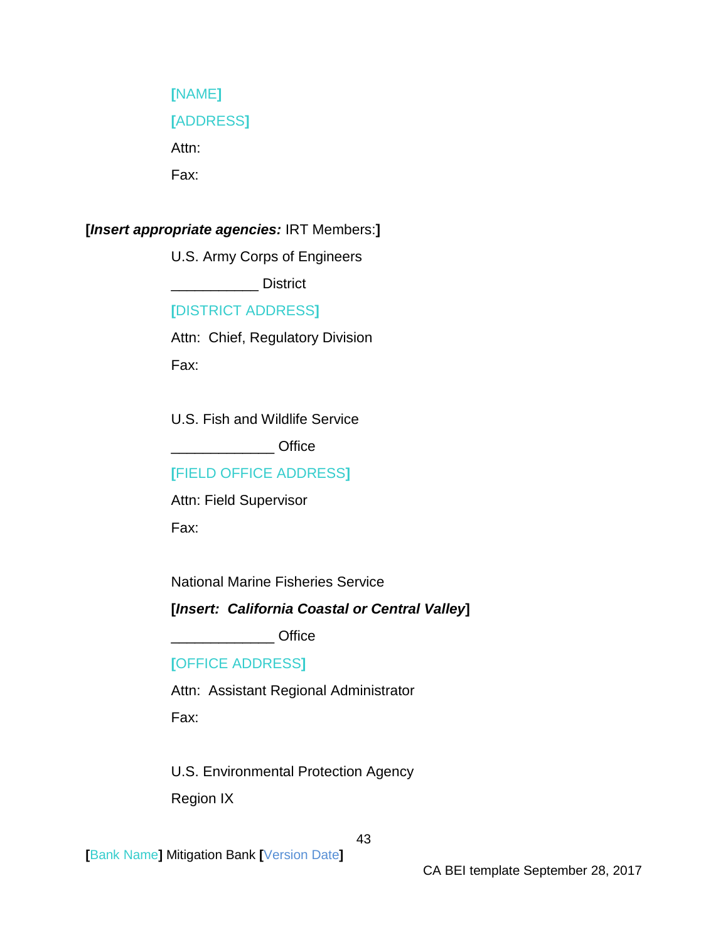## **[**NAME**]**

## **[**ADDRESS**]**

Attn:

Fax:

## **[***Insert appropriate agencies:* IRT Members:**]**

U.S. Army Corps of Engineers

\_\_\_\_\_\_\_\_\_\_\_ District

## **[**DISTRICT ADDRESS**]**

Attn: Chief, Regulatory Division Fax:

U.S. Fish and Wildlife Service \_\_\_\_\_\_\_\_\_\_\_\_\_ Office

## **[**FIELD OFFICE ADDRESS**]**

Attn: Field Supervisor Fax:

National Marine Fisheries Service

## **[***Insert: California Coastal or Central Valley***]**

\_\_\_\_\_\_\_\_\_\_\_\_\_ Office

## **[**OFFICE ADDRESS**]**

Attn: Assistant Regional Administrator

Fax:

U.S. Environmental Protection Agency Region IX

**[**Bank Name**]** Mitigation Bank **[**Version Date**]**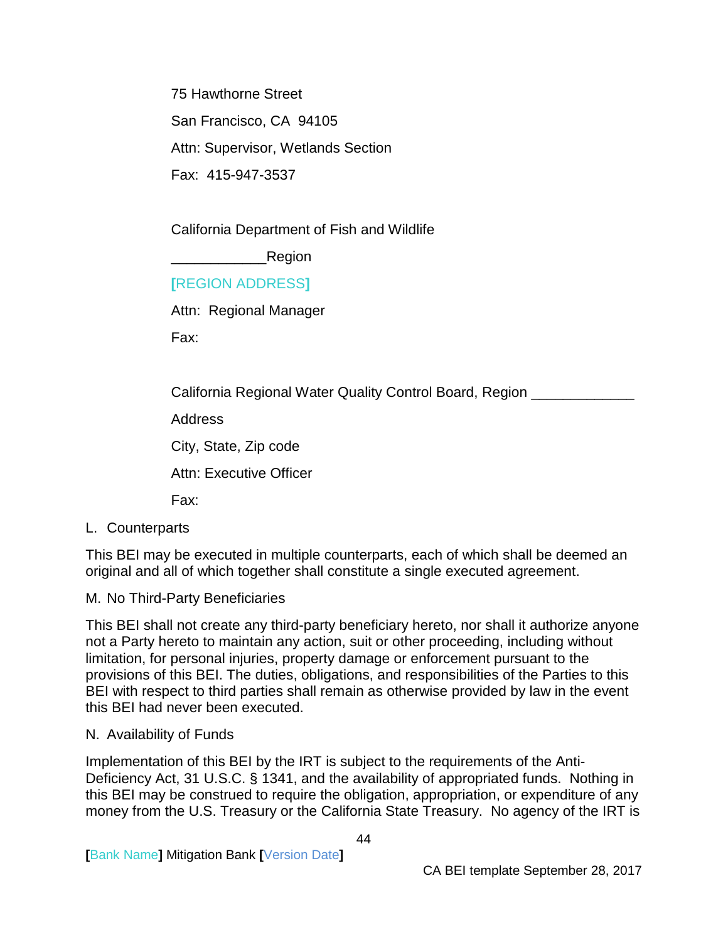75 Hawthorne Street San Francisco, CA 94105 Attn: Supervisor, Wetlands Section Fax: 415-947-3537

California Department of Fish and Wildlife

Region

#### **[**REGION ADDRESS**]**

Attn: Regional Manager

Fax:

California Regional Water Quality Control Board, Region \_\_\_\_\_\_\_\_\_\_\_\_

Address

City, State, Zip code

Attn: Executive Officer

Fax:

<span id="page-46-0"></span>L. Counterparts

This BEI may be executed in multiple counterparts, each of which shall be deemed an original and all of which together shall constitute a single executed agreement.

#### <span id="page-46-1"></span>M. No Third-Party Beneficiaries

This BEI shall not create any third-party beneficiary hereto, nor shall it authorize anyone not a Party hereto to maintain any action, suit or other proceeding, including without limitation, for personal injuries, property damage or enforcement pursuant to the provisions of this BEI. The duties, obligations, and responsibilities of the Parties to this BEI with respect to third parties shall remain as otherwise provided by law in the event this BEI had never been executed.

#### <span id="page-46-2"></span>N. Availability of Funds

Implementation of this BEI by the IRT is subject to the requirements of the Anti-Deficiency Act, 31 U.S.C. § 1341, and the availability of appropriated funds. Nothing in this BEI may be construed to require the obligation, appropriation, or expenditure of any money from the U.S. Treasury or the California State Treasury. No agency of the IRT is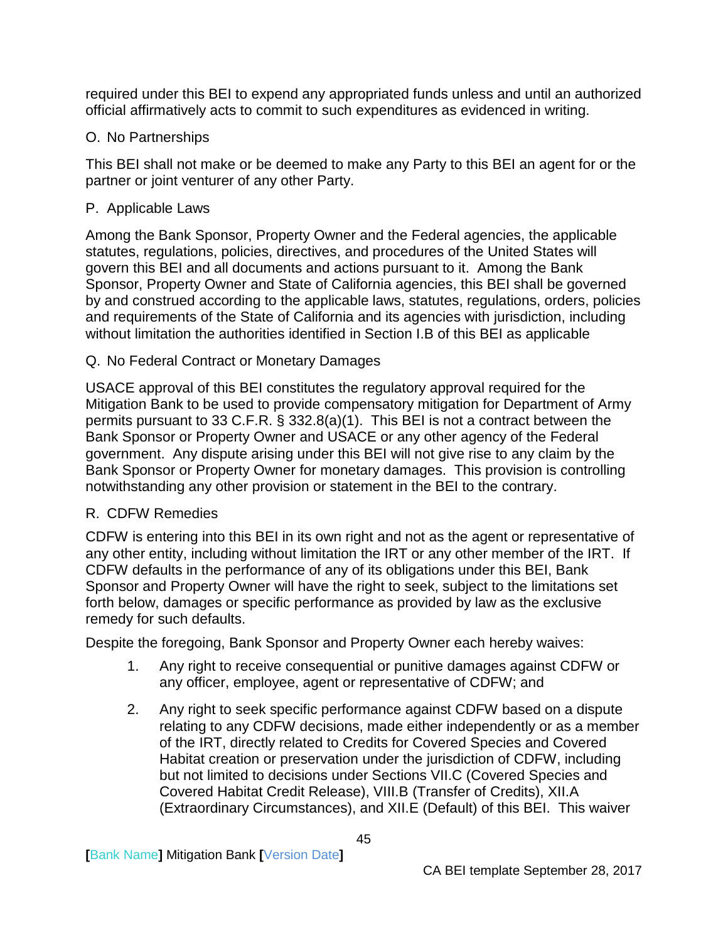required under this BEI to expend any appropriated funds unless and until an authorized official affirmatively acts to commit to such expenditures as evidenced in writing.

## <span id="page-47-0"></span>O. No Partnerships

This BEI shall not make or be deemed to make any Party to this BEI an agent for or the partner or joint venturer of any other Party.

## <span id="page-47-1"></span>P. Applicable Laws

Among the Bank Sponsor, Property Owner and the Federal agencies, the applicable statutes, regulations, policies, directives, and procedures of the United States will govern this BEI and all documents and actions pursuant to it. Among the Bank Sponsor, Property Owner and State of California agencies, this BEI shall be governed by and construed according to the applicable laws, statutes, regulations, orders, policies and requirements of the State of California and its agencies with jurisdiction, including without limitation the authorities identified in Section I.B of this BEI as applicable

## <span id="page-47-2"></span>Q. No Federal Contract or Monetary Damages

USACE approval of this BEI constitutes the regulatory approval required for the Mitigation Bank to be used to provide compensatory mitigation for Department of Army permits pursuant to 33 C.F.R. § 332.8(a)(1). This BEI is not a contract between the Bank Sponsor or Property Owner and USACE or any other agency of the Federal government. Any dispute arising under this BEI will not give rise to any claim by the Bank Sponsor or Property Owner for monetary damages. This provision is controlling notwithstanding any other provision or statement in the BEI to the contrary.

## <span id="page-47-3"></span>R. CDFW Remedies

CDFW is entering into this BEI in its own right and not as the agent or representative of any other entity, including without limitation the IRT or any other member of the IRT. If CDFW defaults in the performance of any of its obligations under this BEI, Bank Sponsor and Property Owner will have the right to seek, subject to the limitations set forth below, damages or specific performance as provided by law as the exclusive remedy for such defaults.

Despite the foregoing, Bank Sponsor and Property Owner each hereby waives:

- 1. Any right to receive consequential or punitive damages against CDFW or any officer, employee, agent or representative of CDFW; and
- 2. Any right to seek specific performance against CDFW based on a dispute relating to any CDFW decisions, made either independently or as a member of the IRT, directly related to Credits for Covered Species and Covered Habitat creation or preservation under the jurisdiction of CDFW, including but not limited to decisions under Sections VII.C (Covered Species and Covered Habitat Credit Release), VIII.B (Transfer of Credits), XII.A (Extraordinary Circumstances), and XII.E (Default) of this BEI. This waiver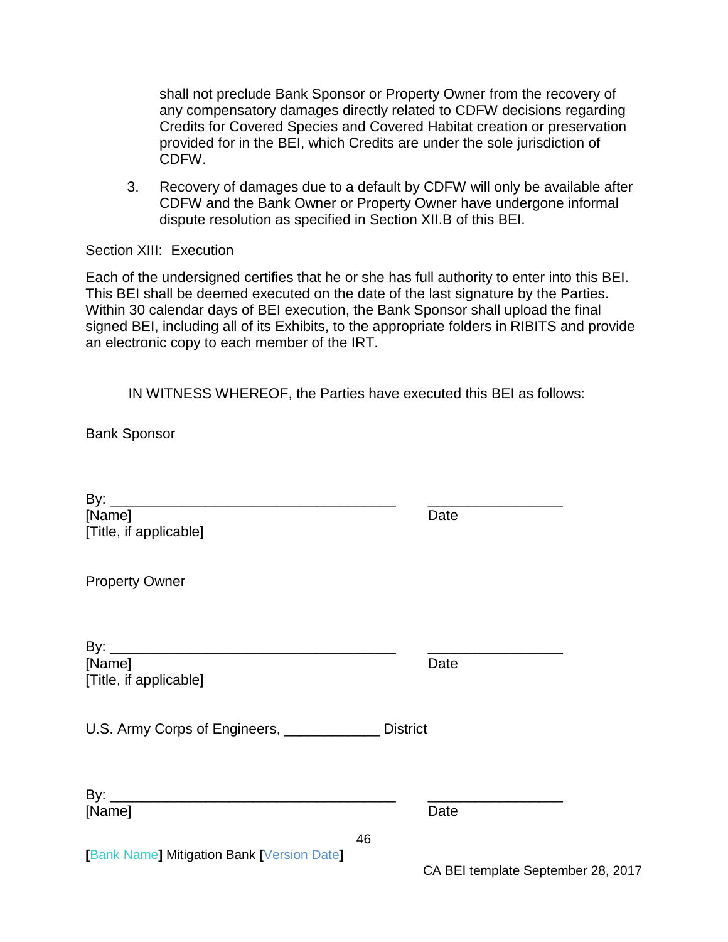shall not preclude Bank Sponsor or Property Owner from the recovery of any compensatory damages directly related to CDFW decisions regarding Credits for Covered Species and Covered Habitat creation or preservation provided for in the BEI, which Credits are under the sole jurisdiction of CDFW.

3. Recovery of damages due to a default by CDFW will only be available after CDFW and the Bank Owner or Property Owner have undergone informal dispute resolution as specified in Section XII.B of this BEI.

#### <span id="page-48-0"></span>Section XIII: Execution

Each of the undersigned certifies that he or she has full authority to enter into this BEI. This BEI shall be deemed executed on the date of the last signature by the Parties. Within 30 calendar days of BEI execution, the Bank Sponsor shall upload the final signed BEI, including all of its Exhibits, to the appropriate folders in RIBITS and provide an electronic copy to each member of the IRT.

IN WITNESS WHEREOF, the Parties have executed this BEI as follows:

Bank Sponsor

| [Name]                                           |    | Date            |  |
|--------------------------------------------------|----|-----------------|--|
| [Title, if applicable]                           |    |                 |  |
|                                                  |    |                 |  |
| <b>Property Owner</b>                            |    |                 |  |
|                                                  |    |                 |  |
|                                                  |    |                 |  |
| [Name]                                           |    | Date            |  |
| [Title, if applicable]                           |    |                 |  |
|                                                  |    |                 |  |
| U.S. Army Corps of Engineers, <u>___________</u> |    | <b>District</b> |  |
|                                                  |    |                 |  |
|                                                  |    |                 |  |
| [Name]                                           |    | Date            |  |
|                                                  | 46 |                 |  |
| <b>Bank Name] Mitigation Bank [Version Date]</b> |    |                 |  |

CA BEI template September 28, 2017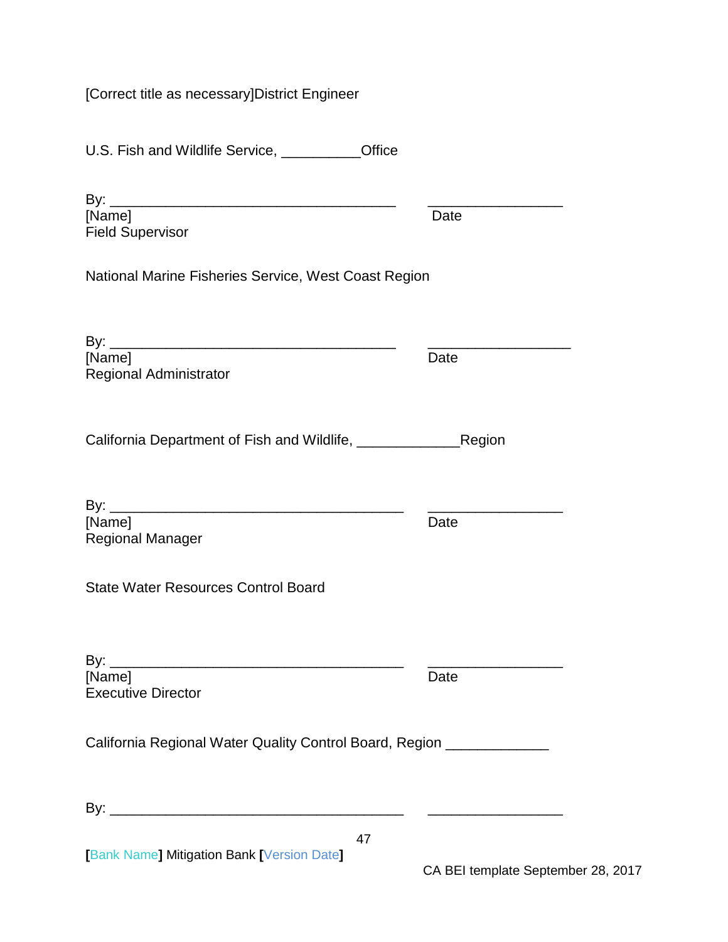[Correct title as necessary]District Engineer

U.S. Fish and Wildlife Service, \_\_\_\_\_\_\_\_\_\_Office

| [Name]                                                     | Date          |
|------------------------------------------------------------|---------------|
| <b>Field Supervisor</b>                                    |               |
| National Marine Fisheries Service, West Coast Region       |               |
|                                                            |               |
| [Name]<br><b>Regional Administrator</b>                    | Date          |
| California Department of Fish and Wildlife, ______________ | <b>Region</b> |
| I <b>block</b>                                             | Doto.         |

[Name] Date Regional Manager

| By:                       |      |
|---------------------------|------|
| [Name]                    | Date |
| <b>Executive Director</b> |      |

California Regional Water Quality Control Board, Region \_\_\_\_\_\_\_\_\_\_\_\_\_

| Bγ |  |  |  |
|----|--|--|--|
|    |  |  |  |

**[**Bank Name**]** Mitigation Bank **[**Version Date**]**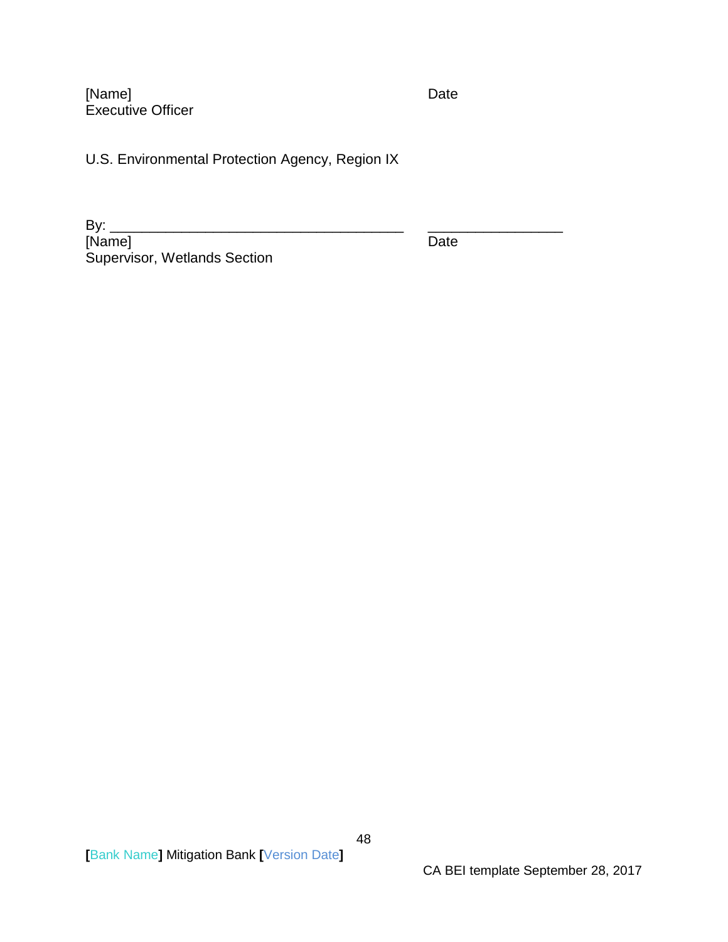[Name] Date Executive Officer

U.S. Environmental Protection Agency, Region IX

| Bv:                                 |      |  |
|-------------------------------------|------|--|
| [Name]                              | Date |  |
| <b>Supervisor, Wetlands Section</b> |      |  |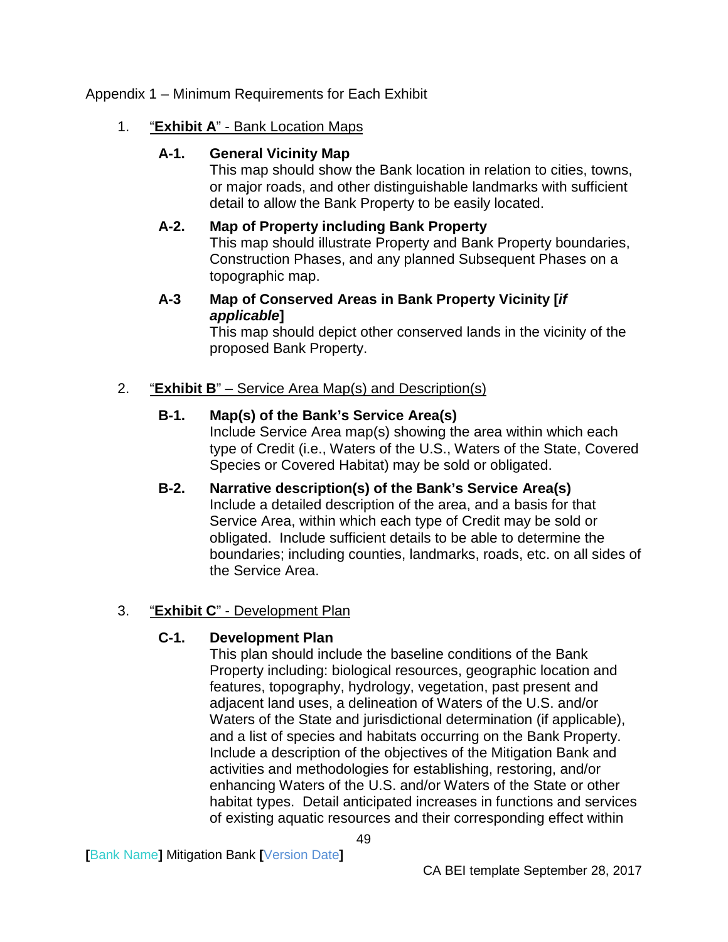## <span id="page-51-1"></span><span id="page-51-0"></span>Appendix 1 – Minimum Requirements for Each Exhibit

## <span id="page-51-2"></span>1. "**Exhibit A**" - Bank Location Maps

## **A-1. General Vicinity Map**

This map should show the Bank location in relation to cities, towns, or major roads, and other distinguishable landmarks with sufficient detail to allow the Bank Property to be easily located.

## <span id="page-51-3"></span>**A-2. Map of Property including Bank Property**

This map should illustrate Property and Bank Property boundaries, Construction Phases, and any planned Subsequent Phases on a topographic map.

## **A-3 Map of Conserved Areas in Bank Property Vicinity [***if applicable***]**

This map should depict other conserved lands in the vicinity of the proposed Bank Property.

## <span id="page-51-5"></span><span id="page-51-4"></span>2. "**Exhibit B**" – Service Area Map(s) and Description(s)

## **B-1. Map(s) of the Bank's Service Area(s)**

Include Service Area map(s) showing the area within which each type of Credit (i.e., Waters of the U.S., Waters of the State, Covered Species or Covered Habitat) may be sold or obligated.

<span id="page-51-6"></span>**B-2. Narrative description(s) of the Bank's Service Area(s)** Include a detailed description of the area, and a basis for that Service Area, within which each type of Credit may be sold or obligated. Include sufficient details to be able to determine the boundaries; including counties, landmarks, roads, etc. on all sides of the Service Area.

## <span id="page-51-8"></span><span id="page-51-7"></span>3. "**Exhibit C**" - Development Plan

## **C-1. Development Plan**

This plan should include the baseline conditions of the Bank Property including: biological resources, geographic location and features, topography, hydrology, vegetation, past present and adjacent land uses, a delineation of Waters of the U.S. and/or Waters of the State and jurisdictional determination (if applicable), and a list of species and habitats occurring on the Bank Property. Include a description of the objectives of the Mitigation Bank and activities and methodologies for establishing, restoring, and/or enhancing Waters of the U.S. and/or Waters of the State or other habitat types. Detail anticipated increases in functions and services of existing aquatic resources and their corresponding effect within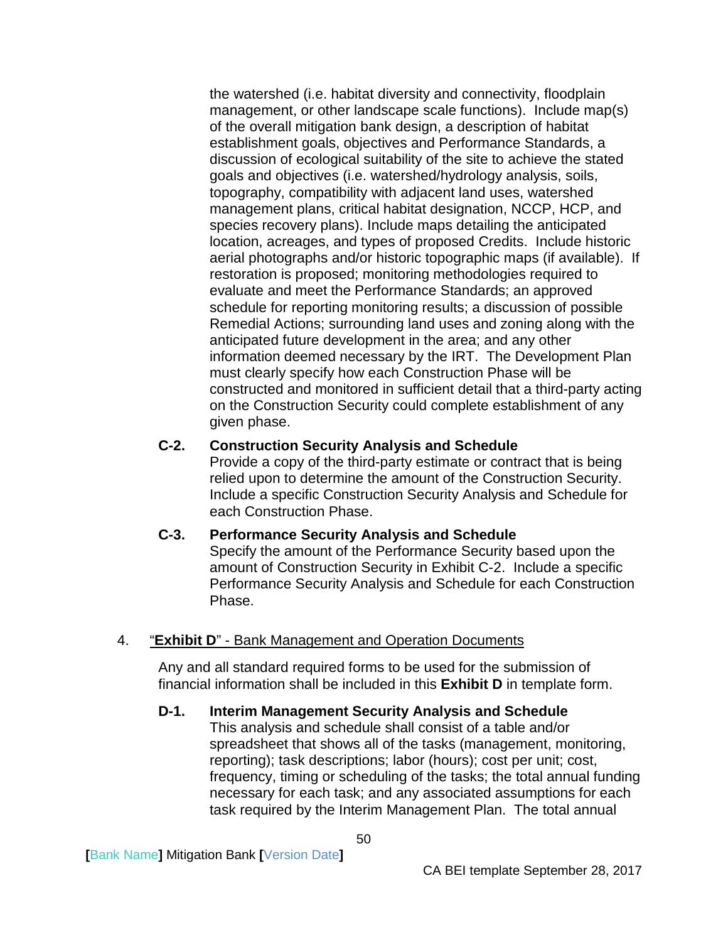the watershed (i.e. habitat diversity and connectivity, floodplain management, or other landscape scale functions). Include map(s) of the overall mitigation bank design, a description of habitat establishment goals, objectives and Performance Standards, a discussion of ecological suitability of the site to achieve the stated goals and objectives (i.e. watershed/hydrology analysis, soils, topography, compatibility with adjacent land uses, watershed management plans, critical habitat designation, NCCP, HCP, and species recovery plans). Include maps detailing the anticipated location, acreages, and types of proposed Credits. Include historic aerial photographs and/or historic topographic maps (if available). If restoration is proposed; monitoring methodologies required to evaluate and meet the Performance Standards; an approved schedule for reporting monitoring results; a discussion of possible Remedial Actions; surrounding land uses and zoning along with the anticipated future development in the area; and any other information deemed necessary by the IRT. The Development Plan must clearly specify how each Construction Phase will be constructed and monitored in sufficient detail that a third-party acting on the Construction Security could complete establishment of any given phase.

### <span id="page-52-0"></span>**C-2. Construction Security Analysis and Schedule**

Provide a copy of the third-party estimate or contract that is being relied upon to determine the amount of the Construction Security. Include a specific Construction Security Analysis and Schedule for each Construction Phase.

#### <span id="page-52-1"></span>**C-3. Performance Security Analysis and Schedule**

Specify the amount of the Performance Security based upon the amount of Construction Security in Exhibit C-2. Include a specific Performance Security Analysis and Schedule for each Construction Phase.

#### <span id="page-52-2"></span>4. "**Exhibit D**" - Bank Management and Operation Documents

Any and all standard required forms to be used for the submission of financial information shall be included in this **Exhibit D** in template form.

#### <span id="page-52-3"></span>**D-1. Interim Management Security Analysis and Schedule**

This analysis and schedule shall consist of a table and/or spreadsheet that shows all of the tasks (management, monitoring, reporting); task descriptions; labor (hours); cost per unit; cost, frequency, timing or scheduling of the tasks; the total annual funding necessary for each task; and any associated assumptions for each task required by the Interim Management Plan. The total annual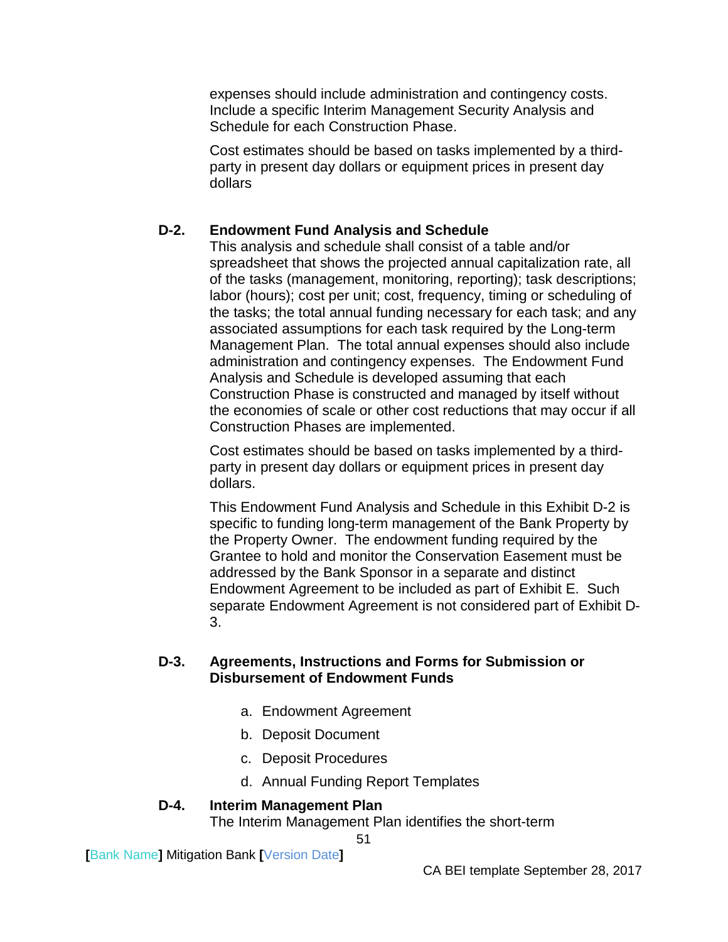expenses should include administration and contingency costs. Include a specific Interim Management Security Analysis and Schedule for each Construction Phase.

Cost estimates should be based on tasks implemented by a thirdparty in present day dollars or equipment prices in present day dollars

## <span id="page-53-0"></span>**D-2. Endowment Fund Analysis and Schedule**

This analysis and schedule shall consist of a table and/or spreadsheet that shows the projected annual capitalization rate, all of the tasks (management, monitoring, reporting); task descriptions; labor (hours); cost per unit; cost, frequency, timing or scheduling of the tasks; the total annual funding necessary for each task; and any associated assumptions for each task required by the Long-term Management Plan. The total annual expenses should also include administration and contingency expenses. The Endowment Fund Analysis and Schedule is developed assuming that each Construction Phase is constructed and managed by itself without the economies of scale or other cost reductions that may occur if all Construction Phases are implemented.

Cost estimates should be based on tasks implemented by a thirdparty in present day dollars or equipment prices in present day dollars.

This Endowment Fund Analysis and Schedule in this Exhibit D-2 is specific to funding long-term management of the Bank Property by the Property Owner. The endowment funding required by the Grantee to hold and monitor the Conservation Easement must be addressed by the Bank Sponsor in a separate and distinct Endowment Agreement to be included as part of Exhibit E. Such separate Endowment Agreement is not considered part of Exhibit D-3.

#### <span id="page-53-1"></span>**D-3. Agreements, Instructions and Forms for Submission or Disbursement of Endowment Funds**

- a. Endowment Agreement
- b. Deposit Document
- c. Deposit Procedures
- d. Annual Funding Report Templates

51

## <span id="page-53-2"></span>**D-4. Interim Management Plan**

The Interim Management Plan identifies the short-term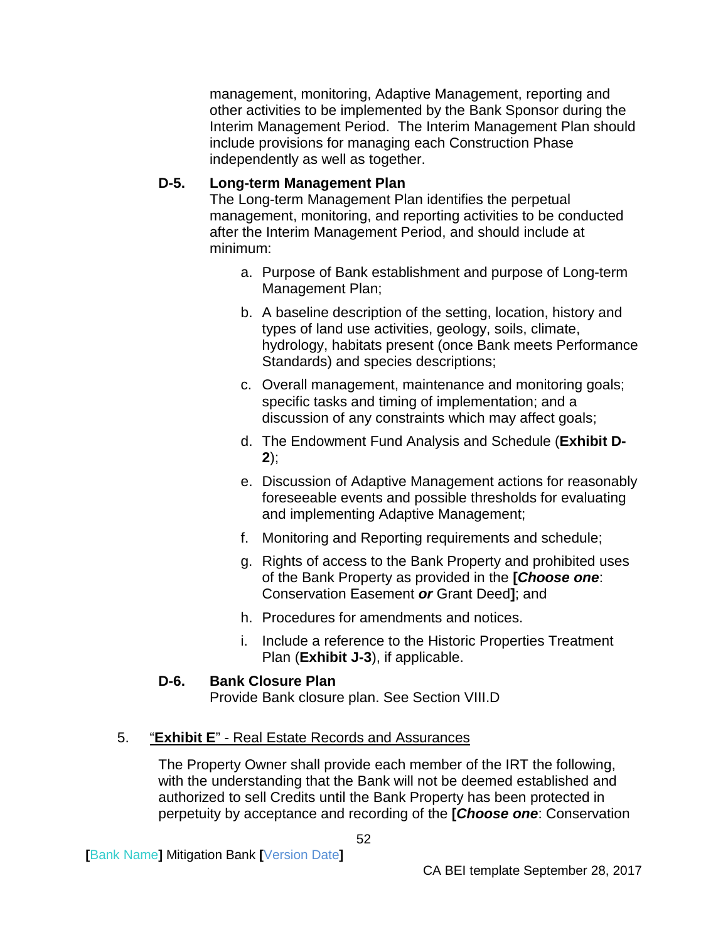management, monitoring, Adaptive Management, reporting and other activities to be implemented by the Bank Sponsor during the Interim Management Period. The Interim Management Plan should include provisions for managing each Construction Phase independently as well as together.

## <span id="page-54-0"></span>**D-5. Long-term Management Plan**

The Long-term Management Plan identifies the perpetual management, monitoring, and reporting activities to be conducted after the Interim Management Period, and should include at minimum:

- a. Purpose of Bank establishment and purpose of Long-term Management Plan;
- b. A baseline description of the setting, location, history and types of land use activities, geology, soils, climate, hydrology, habitats present (once Bank meets Performance Standards) and species descriptions;
- c. Overall management, maintenance and monitoring goals; specific tasks and timing of implementation; and a discussion of any constraints which may affect goals;
- d. The Endowment Fund Analysis and Schedule (**Exhibit D-2**);
- e. Discussion of Adaptive Management actions for reasonably foreseeable events and possible thresholds for evaluating and implementing Adaptive Management;
- f. Monitoring and Reporting requirements and schedule;
- g. Rights of access to the Bank Property and prohibited uses of the Bank Property as provided in the **[***Choose one*: Conservation Easement *or* Grant Deed**]**; and
- h. Procedures for amendments and notices.
- i. Include a reference to the Historic Properties Treatment Plan (**Exhibit J-3**), if applicable.

## **D-6. Bank Closure Plan**

Provide Bank closure plan. See Section VIII.D

## <span id="page-54-2"></span><span id="page-54-1"></span>5. "**Exhibit E**" - Real Estate Records and Assurances

The Property Owner shall provide each member of the IRT the following, with the understanding that the Bank will not be deemed established and authorized to sell Credits until the Bank Property has been protected in perpetuity by acceptance and recording of the **[***Choose one*: Conservation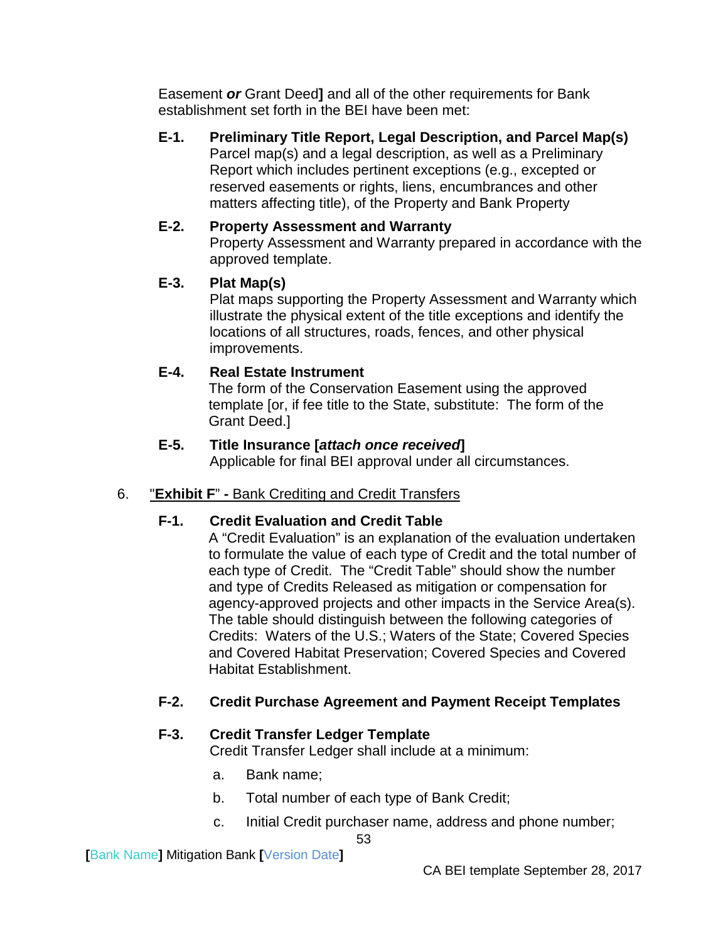Easement *or* Grant Deed**]** and all of the other requirements for Bank establishment set forth in the BEI have been met:

<span id="page-55-0"></span>**E-1. Preliminary Title Report, Legal Description, and Parcel Map(s)** Parcel map(s) and a legal description, as well as a Preliminary Report which includes pertinent exceptions (e.g., excepted or reserved easements or rights, liens, encumbrances and other matters affecting title), of the Property and Bank Property

## <span id="page-55-1"></span>**E-2. Property Assessment and Warranty**

Property Assessment and Warranty prepared in accordance with the approved template.

## <span id="page-55-2"></span>**E-3. Plat Map(s)**

Plat maps supporting the Property Assessment and Warranty which illustrate the physical extent of the title exceptions and identify the locations of all structures, roads, fences, and other physical improvements.

## <span id="page-55-3"></span>**E-4. Real Estate Instrument**

The form of the Conservation Easement using the approved template [or, if fee title to the State, substitute: The form of the Grant Deed.]

## **E-5. Title Insurance [***attach once received***]**

Applicable for final BEI approval under all circumstances.

## <span id="page-55-7"></span><span id="page-55-6"></span><span id="page-55-5"></span><span id="page-55-4"></span>6. "**Exhibit F**" **-** Bank Crediting and Credit Transfers

## **F-1. Credit Evaluation and Credit Table**

A "Credit Evaluation" is an explanation of the evaluation undertaken to formulate the value of each type of Credit and the total number of each type of Credit. The "Credit Table" should show the number and type of Credits Released as mitigation or compensation for agency-approved projects and other impacts in the Service Area(s). The table should distinguish between the following categories of Credits: Waters of the U.S.; Waters of the State; Covered Species and Covered Habitat Preservation; Covered Species and Covered Habitat Establishment.

## <span id="page-55-8"></span>**F-2. Credit Purchase Agreement and Payment Receipt Templates**

## <span id="page-55-9"></span>**F-3. Credit Transfer Ledger Template**

Credit Transfer Ledger shall include at a minimum:

- a. Bank name;
- b. Total number of each type of Bank Credit;

53

c. Initial Credit purchaser name, address and phone number;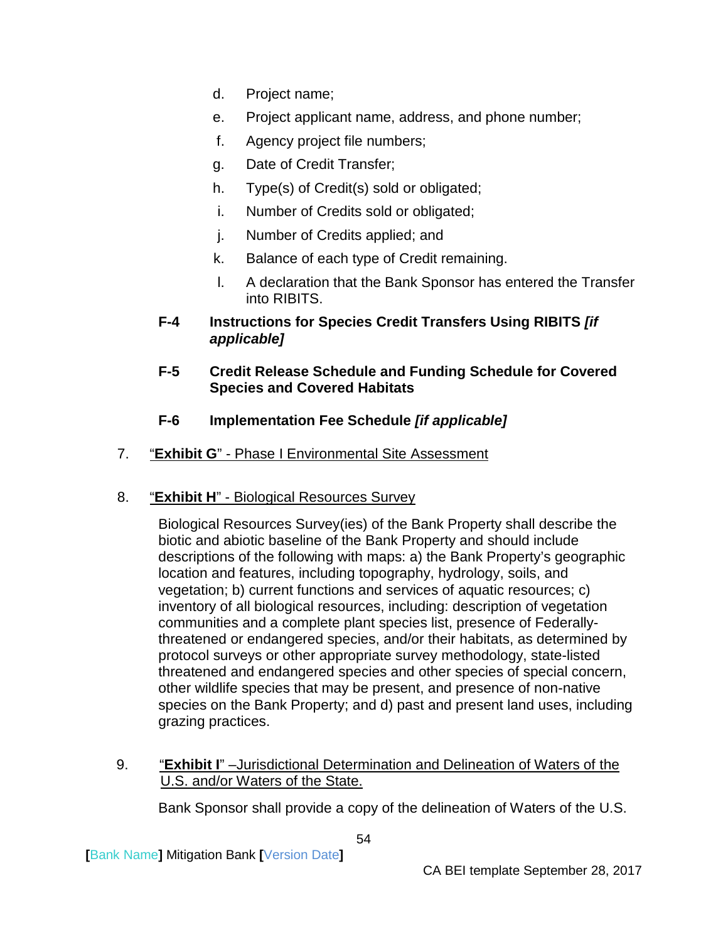- d. Project name;
- e. Project applicant name, address, and phone number;
- f. Agency project file numbers;
- g. Date of Credit Transfer;
- h. Type(s) of Credit(s) sold or obligated;
- i. Number of Credits sold or obligated;
- j. Number of Credits applied; and
- k. Balance of each type of Credit remaining.
- l. A declaration that the Bank Sponsor has entered the Transfer into RIBITS.
- <span id="page-56-0"></span>**F-4 Instructions for Species Credit Transfers Using RIBITS** *[if applicable]*
- <span id="page-56-1"></span>**F-5 Credit Release Schedule and Funding Schedule for Covered Species and Covered Habitats**
- **F-6 Implementation Fee Schedule** *[if applicable]*
- <span id="page-56-3"></span><span id="page-56-2"></span>7. "**Exhibit G**" - Phase I Environmental Site Assessment
- <span id="page-56-4"></span>8. "**Exhibit H**" - Biological Resources Survey

Biological Resources Survey(ies) of the Bank Property shall describe the biotic and abiotic baseline of the Bank Property and should include descriptions of the following with maps: a) the Bank Property's geographic location and features, including topography, hydrology, soils, and vegetation; b) current functions and services of aquatic resources; c) inventory of all biological resources, including: description of vegetation communities and a complete plant species list, presence of Federallythreatened or endangered species, and/or their habitats, as determined by protocol surveys or other appropriate survey methodology, state-listed threatened and endangered species and other species of special concern, other wildlife species that may be present, and presence of non-native species on the Bank Property; and d) past and present land uses, including grazing practices.

<span id="page-56-5"></span>9. "**Exhibit I**" –Jurisdictional Determination and Delineation of Waters of the U.S. and/or Waters of the State.

Bank Sponsor shall provide a copy of the delineation of Waters of the U.S.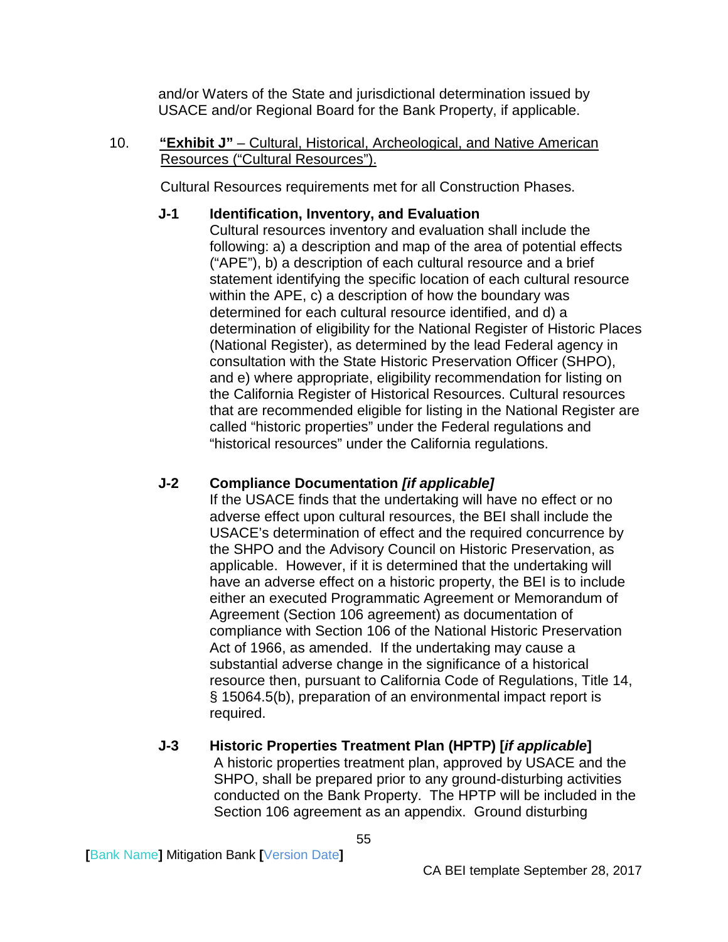and/or Waters of the State and jurisdictional determination issued by USACE and/or Regional Board for the Bank Property, if applicable.

<span id="page-57-0"></span>10. **"Exhibit J"** – Cultural, Historical, Archeological, and Native American Resources ("Cultural Resources").

Cultural Resources requirements met for all Construction Phases.

## <span id="page-57-1"></span>**J-1 Identification, Inventory, and Evaluation**

Cultural resources inventory and evaluation shall include the following: a) a description and map of the area of potential effects ("APE"), b) a description of each cultural resource and a brief statement identifying the specific location of each cultural resource within the APE, c) a description of how the boundary was determined for each cultural resource identified, and d) a determination of eligibility for the National Register of Historic Places (National Register), as determined by the lead Federal agency in consultation with the State Historic Preservation Officer (SHPO), and e) where appropriate, eligibility recommendation for listing on the California Register of Historical Resources. Cultural resources that are recommended eligible for listing in the National Register are called "historic properties" under the Federal regulations and "historical resources" under the California regulations.

# <span id="page-57-2"></span>**J-2 Compliance Documentation** *[if applicable]*

If the USACE finds that the undertaking will have no effect or no adverse effect upon cultural resources, the BEI shall include the USACE's determination of effect and the required concurrence by the SHPO and the Advisory Council on Historic Preservation, as applicable. However, if it is determined that the undertaking will have an adverse effect on a historic property, the BEI is to include either an executed Programmatic Agreement or Memorandum of Agreement (Section 106 agreement) as documentation of compliance with Section 106 of the National Historic Preservation Act of 1966, as amended. If the undertaking may cause a substantial adverse change in the significance of a historical resource then, pursuant to California Code of Regulations, Title 14, § 15064.5(b), preparation of an environmental impact report is required.

# <span id="page-57-3"></span>**J-3 Historic Properties Treatment Plan (HPTP) [***if applicable***]**

A historic properties treatment plan, approved by USACE and the SHPO, shall be prepared prior to any ground-disturbing activities conducted on the Bank Property. The HPTP will be included in the Section 106 agreement as an appendix. Ground disturbing